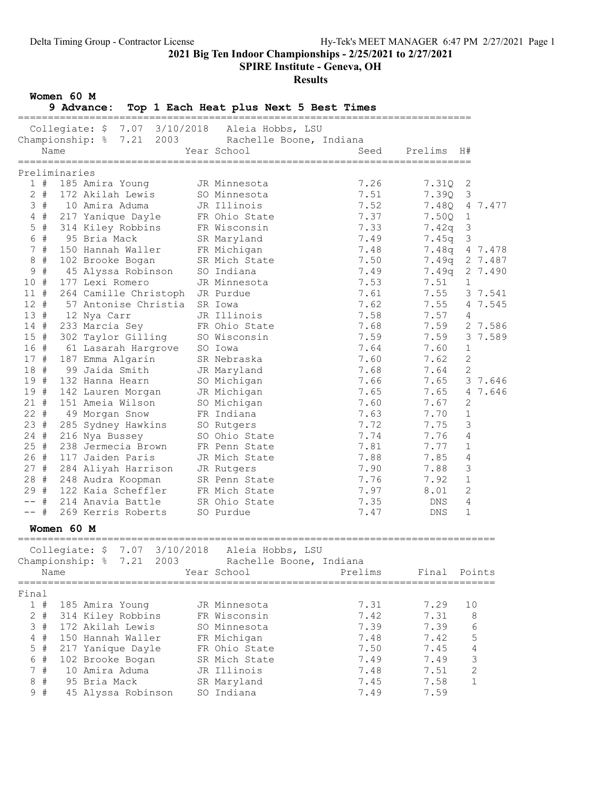SPIRE Institute - Geneva, OH

## Results

Women 60 M

9 Advance: Top 1 Each Heat plus Next 5 Best Times

|         |       |               | =================                              |                  |                                               |              |                         |
|---------|-------|---------------|------------------------------------------------|------------------|-----------------------------------------------|--------------|-------------------------|
|         |       |               | Collegiate: \$ 7.07 3/10/2018 Aleia Hobbs, LSU |                  |                                               |              |                         |
|         |       |               | Championship: % 7.21                           |                  | Rachelle Boone, Indiana                       |              |                         |
|         | Name  |               |                                                | Year School      | Seed                                          | Prelims      | H#                      |
|         |       |               |                                                |                  |                                               |              |                         |
|         |       | Preliminaries |                                                |                  |                                               |              |                         |
|         | 1#    |               | 185 Amira Young                                | JR Minnesota     | 7.26                                          | 7.31Q        | 2                       |
|         | $2 +$ |               | 172 Akilah Lewis                               | SO Minnesota     | 7.51                                          | 7.39Q        | $\mathcal{S}$           |
|         | 3#    |               | 10 Amira Aduma                                 | JR Illinois      | 7.52                                          | 7.48Q        | 4 7.477                 |
|         | $4$ # |               | 217 Yanique Dayle                              | FR Ohio State    | 7.37                                          | 7.50Q        | $\mathbf{1}$            |
|         | $5$ # |               | 314 Kiley Robbins                              | FR Wisconsin     | 7.33                                          | 7.42q        | $\overline{\mathbf{3}}$ |
|         | 6 #   |               | 95 Bria Mack                                   | SR Maryland      | 7.49                                          | 7.45q        | $\overline{\mathbf{3}}$ |
|         | 7#    |               | 150 Hannah Waller                              | FR Michigan      | 7.48                                          | 7.48a        | 4 7.478                 |
|         | $8 +$ |               | 102 Brooke Bogan                               | SR Mich State    | 7.50                                          |              | 7.49q 2 7.487           |
|         | 9#    |               | 45 Alyssa Robinson                             | SO Indiana       | 7.49                                          | 7.49q        | 2 7.490                 |
| 10 #    |       |               | 177 Lexi Romero                                | JR Minnesota     | 7.53                                          | 7.51         | $\mathbf{1}$            |
| 11#     |       |               | 264 Camille Christoph                          | JR Purdue        | 7.61                                          | 7.55         | 3 7.541                 |
| 12#     |       |               | 57 Antonise Christia                           | SR Iowa          | 7.62                                          | 7.55         | 4 7.545                 |
| 13#     |       |               | 12 Nya Carr                                    | JR Illinois      | 7.58                                          | 7.57         | 4                       |
|         | 14#   |               | 233 Marcia Sey                                 | FR Ohio State    | 7.68                                          | 7.59         | 2 7.586                 |
| 15#     |       |               | 302 Taylor Gilling                             | SO Wisconsin     | 7.59                                          | 7.59         | 3 7.589                 |
| 16 #    |       |               | 61 Lasarah Hargrove                            | SO Iowa          | 7.64                                          | 7.60         | $\mathbf{1}$            |
| 17#     |       |               | 187 Emma Algarin                               | SR Nebraska      | 7.60                                          | 7.62         | 2                       |
| 18#     |       |               | 99 Jaida Smith                                 | JR Maryland      | 7.68                                          | 7.64         | 2                       |
| 19#     |       |               | 132 Hanna Hearn                                | SO Michigan      | 7.66                                          | 7.65         | 3 7.646                 |
| 19#     |       |               | 142 Lauren Morgan                              | JR Michigan      | 7.65                                          | 7.65         | 4 7.646                 |
| 21#     |       |               |                                                |                  |                                               |              | $\mathbf{2}$            |
|         |       |               | 151 Ameia Wilson                               | SO Michigan      | 7.60                                          | 7.67         |                         |
| $22 +$  |       |               | 49 Morgan Snow                                 | FR Indiana       | 7.63                                          | 7.70         | $\mathbf 1$             |
| 23#     |       |               | 285 Sydney Hawkins                             | SO Rutgers       | 7.72                                          | 7.75         | 3                       |
| $24 +$  |       |               | 216 Nya Bussey                                 | SO Ohio State    | 7.74                                          | 7.76         | 4                       |
| 25#     |       |               | 238 Jermecia Brown                             | FR Penn State    | 7.81                                          | 7.77         | 1                       |
|         | 26#   |               | 117 Jaiden Paris                               | JR Mich State    | 7.88                                          | 7.85         | 4                       |
| 27#     |       |               | 284 Aliyah Harrison                            | JR Rutgers       | 7.90                                          | 7.88         | 3                       |
| 28 #    |       |               | 248 Audra Koopman                              | SR Penn State    | 7.76                                          | 7.92         | $\mathbf{1}$            |
| 29#     |       |               | 122 Kaia Scheffler                             | FR Mich State    | 7.97                                          | 8.01         | 2                       |
| -- #    |       |               | 214 Anavia Battle                              | SR Ohio State    | 7.35                                          | DNS          | 4                       |
| -- #    |       |               | 269 Kerris Roberts                             | SO Purdue        | 7.47                                          | DNS          | 1                       |
|         |       | Women 60 M    |                                                |                  |                                               |              |                         |
|         |       |               | Collegiate: \$ 7.07 3/10/2018                  | Aleia Hobbs, LSU |                                               |              |                         |
|         |       |               |                                                |                  |                                               |              |                         |
|         |       |               | Championship: $\frac{1}{6}$ 7.21 2003          |                  | Rachelle Boone, Indiana                       |              |                         |
|         | Name  |               |                                                | Year School      | Prelims<br>================================== | Final Points |                         |
|         |       |               |                                                |                  |                                               |              |                         |
| Final   |       |               |                                                |                  |                                               |              |                         |
|         | 1#    |               | 185 Amira Young                                | JR Minnesota     | 7.31                                          | 7.29         | 10                      |
|         | $2$ # |               | 314 Kiley Robbins                              | FR Wisconsin     | 7.42                                          | 7.31         | 8                       |
|         | 3#    |               | 172 Akilah Lewis                               | SO Minnesota     | 7.39                                          | 7.39         | 6                       |
|         | $4$ # |               | 150 Hannah Waller                              | FR Michigan      | 7.48                                          | 7.42         | 5                       |
|         | $5$ # |               | 217 Yanique Dayle                              | FR Ohio State    | 7.50                                          | 7.45         | $\sqrt{4}$              |
|         | 6 #   |               | 102 Brooke Bogan                               | SR Mich State    | 7.49                                          | 7.49         | 3                       |
|         | 7#    |               | 10 Amira Aduma                                 | JR Illinois      | 7.48                                          | 7.51         | 2                       |
| $\,8\,$ | #     |               | 95 Bria Mack                                   | SR Maryland      | 7.45                                          | 7.58         | $\mathbf 1$             |
|         | 9#    |               | 45 Alyssa Robinson                             | SO Indiana       | 7.49                                          | 7.59         |                         |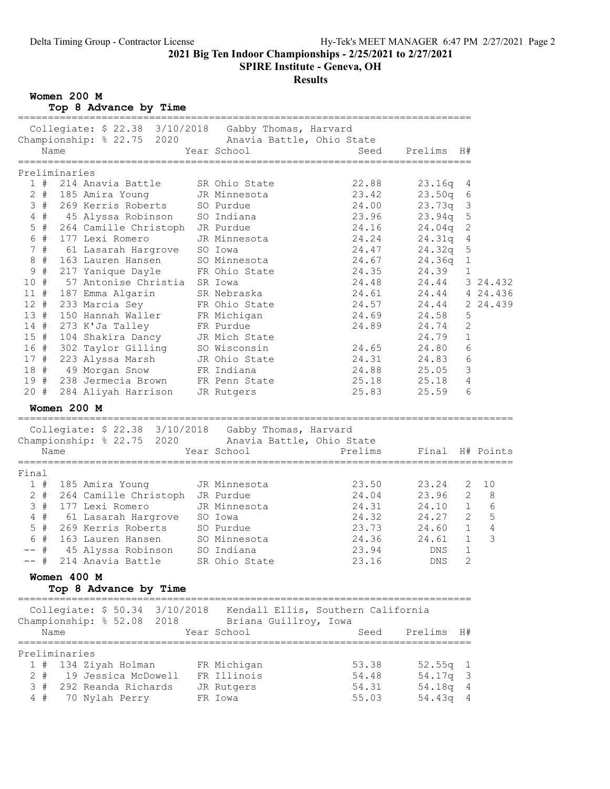#### SPIRE Institute - Geneva, OH

## Results

Women 200 M

Top 8 Advance by Time

|        | ==============================                                                                          |                            | ================================ |                 |                |            |
|--------|---------------------------------------------------------------------------------------------------------|----------------------------|----------------------------------|-----------------|----------------|------------|
|        | Collegiate: \$ 22.38 3/10/2018 Gabby Thomas, Harvard                                                    |                            |                                  |                 |                |            |
|        | Championship: % 22.75 2020 Anavia Battle, Ohio State                                                    |                            |                                  |                 |                |            |
|        | Name                                                                                                    | Year School                | Seed                             | Prelims         | H#             |            |
|        |                                                                                                         |                            |                                  |                 |                |            |
|        | Preliminaries                                                                                           |                            |                                  |                 |                |            |
| 1#     | 214 Anavia Battle                                                                                       | SR Ohio State              | 22.88                            | 23.16q          | 4              |            |
|        | 2 # 185 Amira Young                                                                                     | JR Minnesota<br>SO Purdue  | 23.42                            | 23.50q          | $6\,$          |            |
|        | 3 # 269 Kerris Roberts                                                                                  |                            | 24.00                            | 23.73q          | $\mathfrak{Z}$ |            |
|        | 4 # 45 Alyssa Robinson SO Indiana                                                                       |                            | 23.96                            | 23.94q          | 5              |            |
| $5$ #  | 264 Camille Christoph JR Purdue                                                                         |                            | 24.16                            | 24.04q          | $\mathbf{2}$   |            |
| 6 #    | 177 Lexi Romero                                                                                         | JR Minnesota               | 24.24                            | 24.31q          | $\overline{4}$ |            |
| 7#     | 61 Lasarah Hargrove SO Iowa                                                                             |                            | 24.47                            | 24.32q          | $\mathsf S$    |            |
| $8$ #  | 163 Lauren Hansen SO Minnesota<br>217 Yanique Dayle FR Ohio State<br>57 Antonise Christia SR Iowa       |                            | 24.67                            | 24.36q          | $1\,$          |            |
| 9#     |                                                                                                         |                            | 24.35                            | 24.39           | $\mathbf{1}$   |            |
| 10 #   |                                                                                                         |                            | 24.48                            | 24.44           |                | 3 24.432   |
| 11#    | 187 Emma Algarin                                                                                        | SR Nebraska                | 24.61                            | 24.44 4 24.436  |                |            |
| 12#    | 233 Marcia Sey                                                                                          | FR Ohio State              | 24.57                            | 24.44           |                | 2 24.439   |
|        | 13 # 150 Hannah Waller                                                                                  | FR Michigan                | 24.69                            | 24.58           | 5              |            |
|        | 14 # 273 K'Ja Talley                                                                                    |                            | 24.89                            | 24.74           | 2              |            |
|        | 15 # 104 Shakira Dancy                                                                                  | FR Purdue<br>JR Mich State |                                  | 24.79           | $\mathbf{1}$   |            |
|        | 16 # 302 Taylor Gilling SO Wisconsin                                                                    |                            | 24.65                            | 24.80           | 6              |            |
|        | 17 # 223 Alyssa Marsh JR Ohio State                                                                     |                            | 24.31                            | 24.83           | 6              |            |
|        | 18 # 49 Morgan Snow FR Indiana                                                                          |                            | 24.88                            | 25.05           | 3              |            |
|        |                                                                                                         |                            |                                  |                 | $\overline{4}$ |            |
|        | 19 # 238 Jermecia Brown FR Penn State                                                                   |                            | 25.18                            | 25.18           | 6              |            |
|        | 20 # 284 Aliyah Harrison JR Rutgers                                                                     |                            | 25.83                            | 25.59           |                |            |
|        | Women 200 M                                                                                             |                            |                                  |                 |                |            |
|        |                                                                                                         |                            |                                  |                 |                |            |
|        | Collegiate: \$ 22.38 3/10/2018 Gabby Thomas, Harvard                                                    |                            |                                  |                 |                |            |
|        | Championship: % 22.75 2020 Anavia Battle, Ohio State                                                    |                            |                                  |                 |                |            |
|        | Name                                                                                                    | Year School                | Prelims                          | Final H# Points |                |            |
| Final  |                                                                                                         |                            |                                  |                 |                |            |
|        | 1 # 185 Amira Young                                                                                     | JR Minnesota               | 23.50                            | 23.24           | 2              | 10         |
|        | 2 # 264 Camille Christoph JR Purdue                                                                     |                            | 24.04                            | 23.96           | 2              | 8          |
|        |                                                                                                         |                            | 24.31                            | 24.10           | $\mathbf{1}$   | $6\,$      |
|        |                                                                                                         |                            |                                  |                 |                | 5          |
|        | 3 # 177 Lexi Romero JR Minnesota<br>4 # 61 Lasarah Hargrove SO Iowa<br>5 # 269 Kerris Roberts SO Purdue |                            | 24.32                            | 24.27           | $\mathbf{2}$   |            |
|        |                                                                                                         |                            | 23.73                            | 24.60           | $\mathbf{1}$   | $\sqrt{4}$ |
| 6 #    | 163 Lauren Hansen                                                                                       | SO Minnesota               | 24.36                            | 24.61           | $\mathbf{1}$   | 3          |
| -- #   | 45 Alyssa Robinson                                                                                      | SO Indiana                 | 23.94                            | DNS             | $\mathbf{1}$   |            |
| $--$ # | 214 Anavia Battle                                                                                       | SR Ohio State              | 23.16                            | DNS             | 2              |            |
|        | Women 400 M                                                                                             |                            |                                  |                 |                |            |
|        | Top 8 Advance by Time                                                                                   |                            |                                  |                 |                |            |
|        |                                                                                                         |                            |                                  |                 |                |            |
|        | Collegiate: \$50.34 3/10/2018 Kendall Ellis, Southern California                                        |                            |                                  |                 |                |            |
|        | Championship: % 52.08 2018 Briana Guillroy, Iowa                                                        |                            |                                  |                 |                |            |
|        | Name                                                                                                    | Year School                | Seed                             | Prelims         | H#             |            |
|        |                                                                                                         |                            |                                  |                 |                |            |
|        | Preliminaries                                                                                           |                            |                                  |                 |                |            |
|        | 1 # 134 Ziyah Holman                                                                                    | FR Michigan                | 53.38                            | $52.55q$ 1      |                |            |
| 2#     | 19 Jessica McDowell FR Illinois                                                                         |                            | 54.48                            | 54.17q          | 3              |            |
|        | 3 # 292 Reanda Richards                                                                                 | JR Rutgers                 | 54.31                            | 54.18q          | 4              |            |
| 4#     | 70 Nylah Perry                                                                                          | FR Iowa                    | 55.03                            | 54.43q 4        |                |            |
|        |                                                                                                         |                            |                                  |                 |                |            |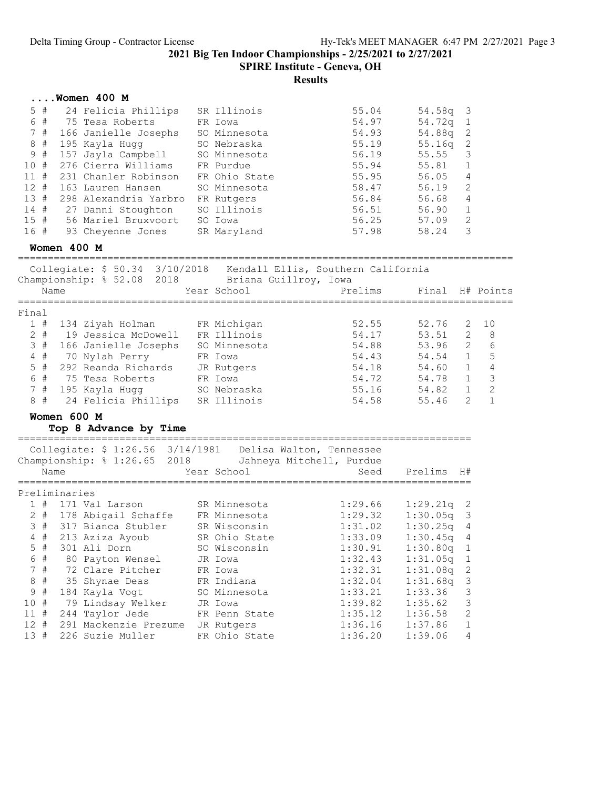SPIRE Institute - Geneva, OH

|         |       |               | Women 400 M                                                       |               |                          |                 |                       |                |
|---------|-------|---------------|-------------------------------------------------------------------|---------------|--------------------------|-----------------|-----------------------|----------------|
|         | $5$ # |               | 24 Felicia Phillips                                               | SR Illinois   | 55.04                    | 54.58q          | 3                     |                |
|         | 6 #   |               | 75 Tesa Roberts                                                   | FR Iowa       | 54.97                    | 54.72q          | $\mathbf{1}$          |                |
|         | 7#    |               | 166 Janielle Josephs                                              | SO Minnesota  | 54.93                    | 54.88q          | 2                     |                |
|         | 8#    |               | 195 Kayla Hugg                                                    | SO Nebraska   | 55.19                    | 55.16q          | 2                     |                |
| 9       | #     |               | 157 Jayla Campbell                                                | SO Minnesota  | 56.19                    | 55.55           | 3                     |                |
| 10#     |       |               | 276 Cierra Williams                                               | FR Purdue     | 55.94                    | 55.81           | 1                     |                |
| 11#     |       |               | 231 Chanler Robinson                                              | FR Ohio State | 55.95                    | 56.05           | $\overline{4}$        |                |
|         | 12#   |               | 163 Lauren Hansen                                                 | SO Minnesota  | 58.47                    | 56.19           | 2                     |                |
| 13#     |       |               | 298 Alexandria Yarbro FR Rutgers                                  |               | 56.84                    | 56.68           | 4                     |                |
|         |       |               | 14 # 27 Danni Stoughton                                           | SO Illinois   | 56.51                    | 56.90           | 1                     |                |
|         |       |               | 15 # 56 Mariel Bruxvoort                                          | SO Iowa       | 56.25                    | 57.09           | 2                     |                |
| 16 #    |       |               | 93 Cheyenne Jones                                                 | SR Maryland   | 57.98                    | 58.24           | 3                     |                |
|         |       | Women 400 M   |                                                                   |               |                          |                 |                       |                |
|         |       |               | Collegiate: \$ 50.34 3/10/2018 Kendall Ellis, Southern California |               |                          |                 |                       |                |
|         |       |               | Championship: % 52.08 2018 Briana Guillroy, Iowa                  |               |                          |                 |                       |                |
|         | Name  |               |                                                                   | Year School   | Prelims                  | Final H# Points |                       |                |
|         |       |               |                                                                   |               |                          |                 |                       |                |
| Final   |       |               |                                                                   |               |                          |                 |                       |                |
|         | 1#    |               | 134 Ziyah Holman                                                  | FR Michigan   | 52.55                    | 52.76           | 2                     | 10             |
|         | $2$ # |               | 19 Jessica McDowell                                               | FR Illinois   | 54.17                    | 53.51           | 2                     | 8              |
|         |       |               | 3 # 166 Janielle Josephs SO Minnesota                             |               | 54.88                    | 53.96           | 2                     | 6              |
|         | $4$ # |               | 70 Nylah Perry                                                    | FR Iowa       | 54.43                    | 54.54           | $\mathbf{1}$          | 5              |
|         | $5$ # |               | 292 Reanda Richards                                               | JR Rutgers    | 54.18                    | 54.60           | $\mathbf{1}$          | $\overline{4}$ |
|         | 6 #   |               | 75 Tesa Roberts                                                   | FR Iowa       | 54.72                    | 54.78           | $\mathbf{1}$          | 3              |
|         | 7#    |               | 195 Kayla Hugg                                                    | SO Nebraska   | 55.16                    | 54.82 1         |                       | $\overline{c}$ |
|         | 8#    |               | 24 Felicia Phillips SR Illinois                                   |               | 54.58                    | 55.46           | $\mathbf{2}^{\prime}$ | $\mathbf{1}$   |
|         |       | Women 600 M   |                                                                   |               |                          |                 |                       |                |
|         |       |               | Top 8 Advance by Time                                             |               |                          |                 |                       |                |
|         |       |               | Collegiate: \$ 1:26.56 3/14/1981 Delisa Walton, Tennessee         |               |                          |                 |                       |                |
|         |       |               | Championship: % 1:26.65 2018                                      |               | Jahneya Mitchell, Purdue |                 |                       |                |
|         | Name  |               |                                                                   | Year School   | Seed                     | Prelims         | H#                    |                |
|         |       | Preliminaries |                                                                   |               |                          |                 |                       |                |
|         |       |               | $1$ # $171$ Val Larson                                            | SR Minnesota  | 1:29.66                  | 1:29.21q        | 2                     |                |
|         |       |               | 2 # 178 Abigail Schaffe                                           | FR Minnesota  | 1:29.32                  | 1:30.05q        | 3                     |                |
|         |       |               | 3 # 317 Bianca Stubler                                            | SR Wisconsin  | 1:31.02                  | 1:30.25q        | 4                     |                |
|         | $4$ # |               | 213 Aziza Ayoub                                                   | SR Ohio State | 1:33.09                  | 1:30.45q        | 4                     |                |
|         | $5$ # |               | 301 Ali Dorn                                                      | SO Wisconsin  | 1:30.91                  | 1:30.80q        | 1                     |                |
|         | 6 #   |               | 80 Payton Wensel                                                  | JR Iowa       | 1:32.43                  | 1:31.05q        | $\mathbf{1}$          |                |
|         | 7#    |               | 72 Clare Pitcher                                                  | FR Iowa       | 1:32.31                  | 1:31.08q        | $\mathbf{2}$          |                |
| $\,8\,$ | #     |               | 35 Shynae Deas                                                    | FR Indiana    | 1:32.04                  | 1:31.68q        | 3                     |                |
| 9       | #     |               | 184 Kayla Vogt                                                    | SO Minnesota  | 1:33.21                  | 1:33.36         | 3                     |                |
| 10 #    |       |               | 79 Lindsay Welker                                                 | JR Iowa       | 1:39.82                  | 1:35.62         | 3                     |                |
| $11$ #  |       |               | 244 Taylor Jede                                                   | FR Penn State | 1:35.12                  | 1:36.58         | 2                     |                |
| $12$ #  |       |               | 291 Mackenzie Prezume                                             | JR Rutgers    | 1:36.16                  | 1:37.86         | 1                     |                |
| 13 #    |       |               | 226 Suzie Muller                                                  | FR Ohio State | 1:36.20                  | 1:39.06         | 4                     |                |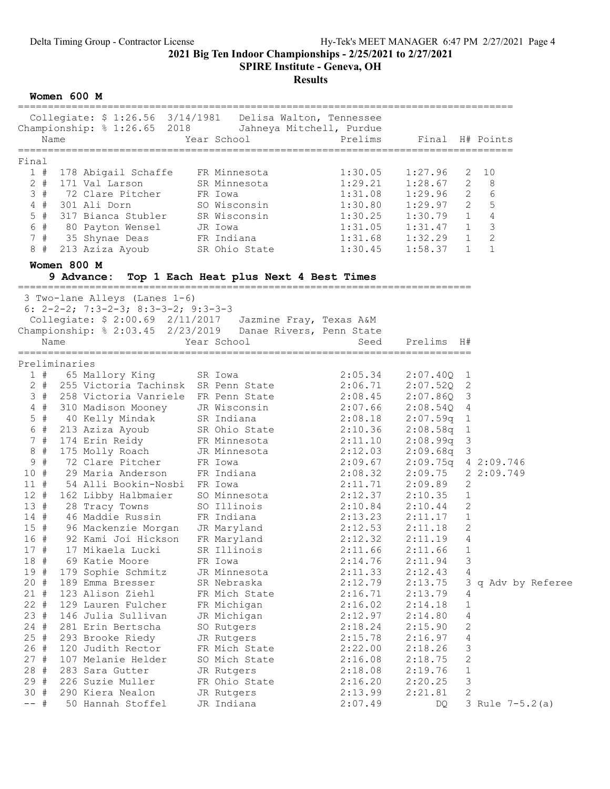SPIRE Institute - Geneva, OH

## Results

Women 600 M

|              | Collegiate: \$ 1:26.56 3/14/1981  Delisa Walton, Tennessee<br>Championship: % 1:26.65 2018 Jahneya Mitchell, Purdue                                           |                                        |                                                                         |                     |                   |                  |
|--------------|---------------------------------------------------------------------------------------------------------------------------------------------------------------|----------------------------------------|-------------------------------------------------------------------------|---------------------|-------------------|------------------|
| Name         |                                                                                                                                                               | Year School                            | Prelims                                                                 |                     |                   | Final H# Points  |
| Final        |                                                                                                                                                               |                                        |                                                                         |                     |                   |                  |
|              | 1 # 178 Abigail Schaffe FR Minnesota                                                                                                                          |                                        | 1:30.05                                                                 | 1:27.96             |                   | $2 \quad 10$     |
| $2 +$        | 171 Val Larson                                                                                                                                                | SR Minnesota                           | 1:29.21                                                                 | 1:28.67             |                   | $2 \quad 8$      |
| 3#           | 72 Clare Pitcher                                                                                                                                              | FR Iowa                                | 1:31.08                                                                 | $1:29.96$ 2         |                   | 6                |
| $4$ #        | 301 Ali Dorn                                                                                                                                                  | SO Wisconsin                           | 1:30.80                                                                 | 1:29.97 2           |                   | 5                |
| $5$ #        | 317 Bianca Stubler                                                                                                                                            |                                        |                                                                         |                     |                   | $\sqrt{4}$       |
|              |                                                                                                                                                               | SR Wisconsin                           | $1:30.25$ $1:30.79$ 1<br>$1:31.05$ $1:31.47$ 1<br>$1:31.68$ $1:32.29$ 1 |                     |                   | $\mathcal{S}$    |
|              | 6 #    80  Payton  Wensel          JR  Iowa<br>7  #    35  Shynae  Deas               FR  Indiana<br>35 Shynae Deas                                           |                                        |                                                                         |                     |                   | $\mathbf{2}$     |
| 8 #          | 213 Aziza Ayoub                                                                                                                                               | SR Ohio State 1:30.45                  |                                                                         | $1:58.37$ 1         |                   | $\mathbf{1}$     |
|              |                                                                                                                                                               |                                        |                                                                         |                     |                   |                  |
|              | Women 800 M                                                                                                                                                   |                                        |                                                                         |                     |                   |                  |
|              | 9 Advance:                                                                                                                                                    | Top 1 Each Heat plus Next 4 Best Times |                                                                         |                     |                   |                  |
|              | 3 Two-lane Alleys (Lanes 1-6)                                                                                                                                 |                                        |                                                                         |                     |                   |                  |
|              | 6: $2-2-2$ ; 7:3-2-3; 8:3-3-2; 9:3-3-3                                                                                                                        |                                        |                                                                         |                     |                   |                  |
|              | Collegiate: \$ 2:00.69 2/11/2017 Jazmine Fray, Texas A&M                                                                                                      |                                        |                                                                         |                     |                   |                  |
|              | Championship: % 2:03.45 2/23/2019 Danae Rivers, Penn State                                                                                                    |                                        |                                                                         |                     |                   |                  |
| Name         |                                                                                                                                                               | Year School                            | Seed                                                                    | Prelims H#          |                   |                  |
|              |                                                                                                                                                               |                                        |                                                                         |                     |                   |                  |
|              | Preliminaries                                                                                                                                                 |                                        |                                                                         |                     |                   |                  |
|              | 1 # 65 Mallory King                                                                                                                                           | SR Iowa                                | 2:05.34                                                                 | $2:07.40Q$ 1        |                   |                  |
|              | 2 # 255 Victoria Tachinsk SR Penn State                                                                                                                       |                                        | 2:06.71                                                                 | $2:07.520$ 2        |                   |                  |
|              | 3 # 258 Victoria Vanriele FR Penn State 2:08.45 2:07.86Q 3                                                                                                    |                                        |                                                                         |                     |                   |                  |
| $4$ #        | 310 Madison Mooney JR Wisconsin 2:07.66<br>40 Kelly Mindak SR Indiana 2:08.18<br>213 Aziza Ayoub SR Ohio State 2:10.36<br>174 Erin Reidy FR Minnesota 2:11.10 |                                        |                                                                         | 2:08.54Q 4          |                   |                  |
| $5$ #        |                                                                                                                                                               |                                        | 2:08.18  2:07.59q  1<br>2:10.36  2:08.58q  1<br>2:11.10  2:08.99q  3    |                     |                   |                  |
| 6 #          |                                                                                                                                                               |                                        |                                                                         |                     |                   |                  |
| 7#           |                                                                                                                                                               |                                        |                                                                         |                     |                   |                  |
| 8 #          | 175 Molly Roach                                                                                                                                               | JR Minnesota                           | 2:12.03                                                                 | $2:09.68q$ 3        |                   |                  |
| 9#           | 72 Clare Pitcher FR Iowa                                                                                                                                      |                                        | 2:09.67                                                                 | 2:09.75q 4 2:09.746 |                   |                  |
| 10#<br>11#   | 29 Maria Anderson                                                                                                                                             | FR Indiana                             | 2:08.32                                                                 | 2:09.75 2 2:09.749  |                   |                  |
|              | 54 Alli Bookin-Nosbi FR Iowa                                                                                                                                  |                                        | 2:11.71<br>2:12.37                                                      | 2:09.89             | 2                 |                  |
| 12#          | 162 Libby Halbmaier SO Minnesota                                                                                                                              | SO Illinois                            | $2:10.84$ $2:10.44$ 2                                                   | 2:10.35             | $\mathbf{1}$      |                  |
|              | 28 Tracy Towns                                                                                                                                                |                                        |                                                                         |                     |                   |                  |
| 13 #         |                                                                                                                                                               |                                        |                                                                         |                     |                   |                  |
| 14#          | 46 Maddie Russin                                                                                                                                              | FR Indiana                             | 2:13.23                                                                 | 2:11.17             | $\mathbf{1}$      |                  |
| 15#          | 96 Mackenzie Morgan                                                                                                                                           | JR Maryland                            | 2:12.53                                                                 | 2:11.18             | 2                 |                  |
| 16#          | 92 Kami Joi Hickson                                                                                                                                           | FR Maryland                            | 2:12.32                                                                 | 2:11.19             | 4                 |                  |
| 17#          | 17 Mikaela Lucki                                                                                                                                              | SR Illinois                            | 2:11.66                                                                 | 2:11.66             | 1                 |                  |
| 18 #         | 69 Katie Moore                                                                                                                                                | FR Iowa                                | 2:14.76                                                                 | 2:11.94             | 3                 |                  |
| 19#          | 179 Sophie Schmitz                                                                                                                                            | JR Minnesota                           | 2:11.33                                                                 | 2:12.43             | 4                 |                  |
| 20#          | 189 Emma Bresser                                                                                                                                              | SR Nebraska                            | 2:12.79                                                                 | 2:13.75             | З                 | q Adv by Referee |
| 21#          | 123 Alison Ziehl                                                                                                                                              | FR Mich State                          | 2:16.71                                                                 | 2:13.79             | 4                 |                  |
| $22 +$       | 129 Lauren Fulcher                                                                                                                                            | FR Michigan                            | 2:16.02                                                                 | 2:14.18             | 1                 |                  |
| 23#          | 146 Julia Sullivan                                                                                                                                            | JR Michigan                            | 2:12.97                                                                 | 2:14.80             | $\overline{4}$    |                  |
| 24#          | 281 Erin Bertscha                                                                                                                                             | SO Rutgers                             | 2:18.24                                                                 | 2:15.90             | 2                 |                  |
| 25#          | 293 Brooke Riedy                                                                                                                                              | JR Rutgers                             | 2:15.78                                                                 | 2:16.97             | 4                 |                  |
| 26#          | 120 Judith Rector                                                                                                                                             | FR Mich State                          | 2:22.00                                                                 | 2:18.26             | 3                 |                  |
| 27#          | 107 Melanie Helder                                                                                                                                            | SO Mich State                          | 2:16.08                                                                 | 2:18.75             | 2                 |                  |
| 28 #         | 283 Sara Gutter                                                                                                                                               | JR Rutgers                             | 2:18.08                                                                 | 2:19.76             | $\mathbf 1$       |                  |
| 29 #<br>30 # | 226 Suzie Muller<br>290 Kiera Nealon                                                                                                                          | FR Ohio State<br>JR Rutgers            | 2:16.20<br>2:13.99                                                      | 2:20.25<br>2:21.81  | 3<br>$\mathbf{2}$ |                  |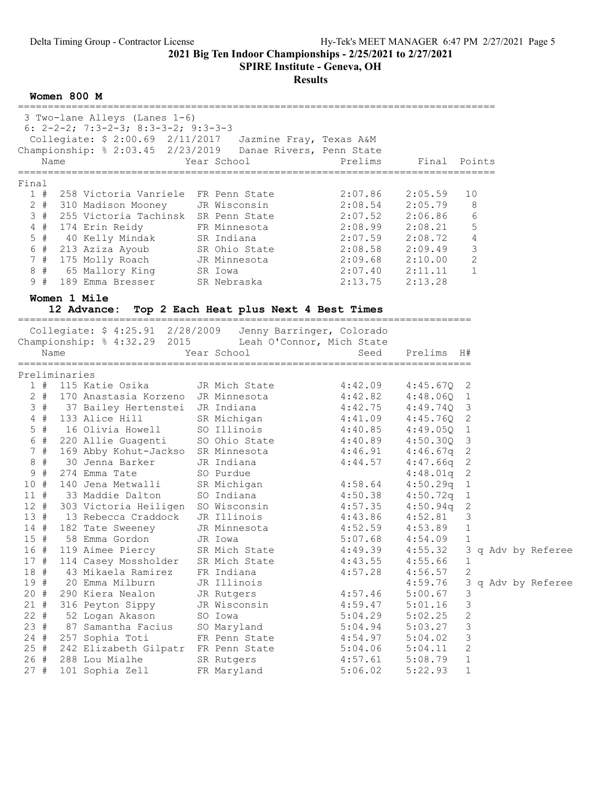SPIRE Institute - Geneva, OH

Results

Women 800 M

|        | 3 Two-lane Alleys (Lanes 1-6)<br>6: $2-2-2$ ; 7:3-2-3; 8:3-3-2; 9:3-3-3<br>Collegiate: \$ 2:00.69 2/11/2017 Jazmine Fray, Texas A&M<br>Championship: % 2:03.45 2/23/2019 Danae Rivers, Penn State<br>Name | Year School                    | Prelims                                                                         | Final Points |                         |  |                    |
|--------|-----------------------------------------------------------------------------------------------------------------------------------------------------------------------------------------------------------|--------------------------------|---------------------------------------------------------------------------------|--------------|-------------------------|--|--------------------|
| Final  |                                                                                                                                                                                                           |                                |                                                                                 |              |                         |  |                    |
| 1#     | 258 Victoria Vanriele FR Penn State                                                                                                                                                                       |                                | 2:07.86                                                                         | 2:05.59      | 10                      |  |                    |
| $2 +$  | 310 Madison Mooney     JR Wisconsin                                                                                                                                                                       |                                | $2:08.54$ $2:05.79$                                                             |              | 8                       |  |                    |
| 3#     | 255 Victoria Tachinsk SR Penn State                                                                                                                                                                       |                                | $2:07.52$ $2:06.86$                                                             |              | 6                       |  |                    |
| $4$ #  | 174 Erin Reidy                                                                                                                                                                                            | FR Minnesota 2:08.99 2:08.21   |                                                                                 |              | 5                       |  |                    |
|        | 5 # 40 Kelly Mindak SR Indiana<br>6 # 213 Aziza Ayoub SR Ohio State<br>7 # 175 Molly Roach JR Minnesota<br>8 # 65 Mallory King SR Iowa                                                                    |                                | 2:07.59 2:08.72<br>ate 2:08.58 2:09.49<br>ca 2:09.68 2:10.00<br>2:07.40 2:11.11 |              | 4                       |  |                    |
|        |                                                                                                                                                                                                           |                                |                                                                                 |              | 3                       |  |                    |
|        |                                                                                                                                                                                                           |                                |                                                                                 |              | 2                       |  |                    |
|        |                                                                                                                                                                                                           |                                |                                                                                 |              | $\mathbf{1}$            |  |                    |
| 9 #    | 189 Emma Bresser SR Nebraska 2:13.75                                                                                                                                                                      |                                |                                                                                 | 2:13.28      |                         |  |                    |
|        | Women 1 Mile<br>12 Advance: Top 2 Each Heat plus Next 4 Best Times                                                                                                                                        |                                |                                                                                 |              |                         |  |                    |
|        | Collegiate: \$ 4:25.91 2/28/2009 Jenny Barringer, Colorado                                                                                                                                                |                                |                                                                                 |              |                         |  |                    |
|        | Championship: % 4:32.29 2015 Leah O'Connor, Mich State                                                                                                                                                    |                                |                                                                                 |              |                         |  |                    |
|        | Name                                                                                                                                                                                                      | Year School                    | Seed                                                                            | Prelims H#   |                         |  |                    |
|        | Preliminaries                                                                                                                                                                                             |                                |                                                                                 |              |                         |  |                    |
|        | $1$ # 115 Katie Osika                                                                                                                                                                                     | JR Mich State                  | $4:42.09$ $4:45.67Q$ 2                                                          |              |                         |  |                    |
| $2$ #  | 170 Anastasia Korzeno JR Minnesota                                                                                                                                                                        |                                | $4:42.82$ $4:48.060$ 1                                                          |              |                         |  |                    |
|        | 3 # 37 Bailey Hertenstei JR Indiana                                                                                                                                                                       |                                | $4:42.75$ $4:49.74Q$ 3                                                          |              |                         |  |                    |
| $4$ #  | 133 Alice Hill                                                                                                                                                                                            | SR Michigan 4:41.09 4:45.76Q 2 |                                                                                 |              |                         |  |                    |
| 5 #    |                                                                                                                                                                                                           |                                |                                                                                 |              |                         |  |                    |
| 6 #    | 16 Olivia Howell 50 Illinois 4:40.85 4:49.050 1                                                                                                                                                           |                                |                                                                                 |              |                         |  |                    |
| 7#     | 220 Allie Guagenti SO Ohio State<br>169 Abby Kohut-Jackso SR Minnesota                                                                                                                                    |                                | 4:40.89  4:50.30Q  3<br>4:46.91  4:46.67q  2                                    |              |                         |  |                    |
| $8 +$  | 30 Jenna Barker                                                                                                                                                                                           | JR Indiana                     | 4:44.57                                                                         | $4:47.66q$ 2 |                         |  |                    |
| 9#     | 274 Emma Tate                                                                                                                                                                                             | SO Purdue                      |                                                                                 | $4:48.01q$ 2 |                         |  |                    |
| 10#    | 140 Jena Metwalli SR Michigan 4:58.64                                                                                                                                                                     |                                |                                                                                 | $4:50.29q$ 1 |                         |  |                    |
| 11#    | 33 Maddie Dalton                                                                                                                                                                                          | SO Indiana                     | 4:50.38                                                                         | $4:50.72q$ 1 |                         |  |                    |
|        | 12 # 303 Victoria Heiligen SO Wisconsin                                                                                                                                                                   |                                |                                                                                 | $4:50.94q$ 2 |                         |  |                    |
| 13#    | 13 Rebecca Craddock JR Illinois                                                                                                                                                                           |                                | $4:57.35$ $4:50.94q$<br>$4:43.86$ $4:52.81$                                     |              | $\overline{\mathbf{3}}$ |  |                    |
| 14#    | 182 Tate Sweeney JR Minnesota                                                                                                                                                                             |                                | $4:52.59$ $4:53.89$                                                             |              | 1                       |  |                    |
| 15#    | 58 Emma Gordon                                                                                                                                                                                            | JR Iowa                        | 5:07.68                                                                         | 4:54.09      | 1                       |  |                    |
| 16 #   | 119 Aimee Piercy                                                                                                                                                                                          | SR Mich State                  | 4:49.39                                                                         | 4:55.32      |                         |  | 3 q Adv by Referee |
| 17#    | 114 Casey Mossholder                                                                                                                                                                                      | SR Mich State                  | 4:43.55                                                                         | 4:55.66      | 1                       |  |                    |
| 18 #   | 43 Mikaela Ramirez                                                                                                                                                                                        | FR Indiana                     | 4:57.28                                                                         | 4:56.57      | $\mathbf{2}$            |  |                    |
| 19#    | 20 Emma Milburn                                                                                                                                                                                           | JR Illinois                    |                                                                                 | 4:59.76      | 3                       |  | q Adv by Referee   |
| 20#    | 290 Kiera Nealon                                                                                                                                                                                          | JR Rutgers                     | 4:57.46                                                                         | 5:00.67      | 3                       |  |                    |
| 21#    | 316 Peyton Sippy                                                                                                                                                                                          | JR Wisconsin                   | 4:59.47                                                                         | 5:01.16      | 3                       |  |                    |
| 22#    | 52 Logan Akason                                                                                                                                                                                           | SO Iowa                        | 5:04.29                                                                         | 5:02.25      | 2                       |  |                    |
| 23#    | 87 Samantha Facius                                                                                                                                                                                        | SO Maryland                    | 5:04.94                                                                         | 5:03.27      | $\mathsf 3$             |  |                    |
| $24 +$ | 257 Sophia Toti                                                                                                                                                                                           | FR Penn State                  | 4:54.97                                                                         | 5:04.02      | 3                       |  |                    |
| 25#    | 242 Elizabeth Gilpatr                                                                                                                                                                                     | FR Penn State                  | 5:04.06                                                                         | 5:04.11      | 2                       |  |                    |
| 26#    | 288 Lou Mialhe                                                                                                                                                                                            | SR Rutgers                     | 4:57.61                                                                         | 5:08.79      | 1                       |  |                    |
| 27#    | 101 Sophia Zell                                                                                                                                                                                           | FR Maryland                    | 5:06.02                                                                         | 5:22.93      | 1                       |  |                    |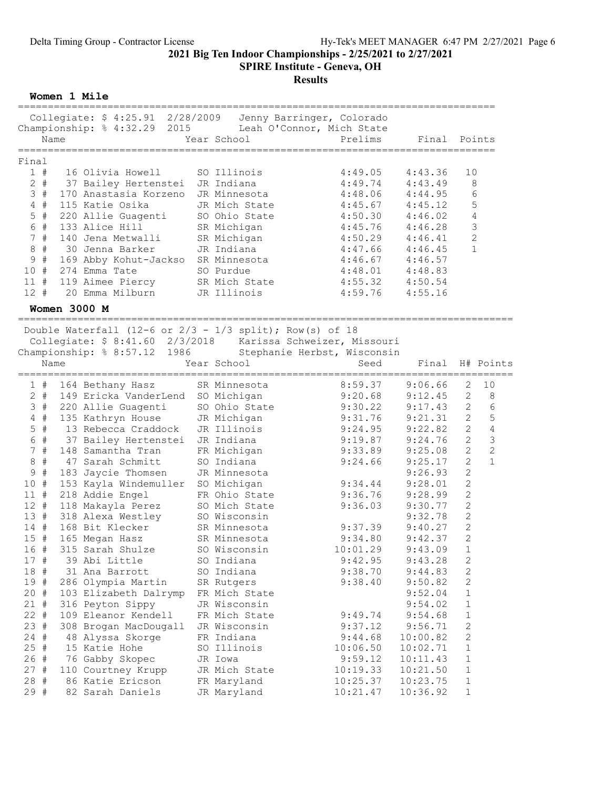SPIRE Institute - Geneva, OH

# Results

Women 1 Mile

| Collegiate: \$ 4:25.91 2/28/2009<br>Championship: % 4:32.29 2015<br>Name<br>================                                                                                                                                                                                                                                                                                                                                                                                                                                                                                                                                                                                                                                                                                                                                                                                                     | Year School                                                                                                                                                                                                                                                                                                                                                                                                   | Jenny Barringer, Colorado<br>Leah O'Connor, Mich State<br>Prelims                                                                                                                                                                                            | Final                                                                                                                                                                                                                                                                                                     | Points                                                                                                                                                                                                                                                                                                                                                                                                                            |
|--------------------------------------------------------------------------------------------------------------------------------------------------------------------------------------------------------------------------------------------------------------------------------------------------------------------------------------------------------------------------------------------------------------------------------------------------------------------------------------------------------------------------------------------------------------------------------------------------------------------------------------------------------------------------------------------------------------------------------------------------------------------------------------------------------------------------------------------------------------------------------------------------|---------------------------------------------------------------------------------------------------------------------------------------------------------------------------------------------------------------------------------------------------------------------------------------------------------------------------------------------------------------------------------------------------------------|--------------------------------------------------------------------------------------------------------------------------------------------------------------------------------------------------------------------------------------------------------------|-----------------------------------------------------------------------------------------------------------------------------------------------------------------------------------------------------------------------------------------------------------------------------------------------------------|-----------------------------------------------------------------------------------------------------------------------------------------------------------------------------------------------------------------------------------------------------------------------------------------------------------------------------------------------------------------------------------------------------------------------------------|
| Final<br>1#<br>16 Olivia Howell<br>$2 +$<br>37 Bailey Hertenstei JR Indiana<br>3#<br>170 Anastasia Korzeno JR Minnesota<br>$4$ #<br>115 Katie Osika<br>$5$ #<br>220 Allie Guagenti<br>6 #<br>133 Alice Hill<br>7#<br>140 Jena Metwalli<br>$\,8\,$<br>#<br>30 Jenna Barker<br>9<br>#<br>169 Abby Kohut-Jackso SR Minnesota<br>10 #<br>274 Emma Tate<br>$11$ #<br>119 Aimee Piercy<br>12#<br>20 Emma Milburn<br><b>Women 3000 M</b>                                                                                                                                                                                                                                                                                                                                                                                                                                                                | SO Illinois<br>JR Mich State<br>SO Ohio State<br>SR Michigan<br>SR Michigan<br>JR Indiana<br>SO Purdue<br>SR Mich State<br>JR Illinois                                                                                                                                                                                                                                                                        | 4:49.05<br>4:49.74<br>4:48.06<br>4:45.67<br>4:50.30<br>4:45.76<br>4:50.29<br>4:47.66<br>4:46.67<br>4:48.01<br>4:55.32<br>4:59.76                                                                                                                             | 4:43.36<br>4:43.49<br>4:44.95<br>4:45.12<br>4:46.02<br>4:46.28<br>4:46.41<br>4:46.45<br>4:46.57<br>4:48.83<br>4:50.54<br>4:55.16                                                                                                                                                                          | 10<br>8<br>6<br>$\mathsf S$<br>$\sqrt{4}$<br>$\mathsf 3$<br>$\sqrt{2}$<br>$\mathbf{1}$                                                                                                                                                                                                                                                                                                                                            |
| Double Waterfall (12-6 or $2/3$ - $1/3$ split); Row(s) of 18<br>Collegiate: \$ 8:41.60 2/3/2018 Karissa Schweizer, Missouri<br>Championship: % 8:57.12 1986<br>Name                                                                                                                                                                                                                                                                                                                                                                                                                                                                                                                                                                                                                                                                                                                              | Year School                                                                                                                                                                                                                                                                                                                                                                                                   | Stephanie Herbst, Wisconsin<br>Seed                                                                                                                                                                                                                          | Final                                                                                                                                                                                                                                                                                                     | H# Points                                                                                                                                                                                                                                                                                                                                                                                                                         |
| 1#<br>164 Bethany Hasz<br>$2 +$<br>149 Ericka VanderLend SO Michigan<br>3#<br>220 Allie Guagenti<br>$4$ #<br>135 Kathryn House<br>13 Rebecca Craddock<br>$5$ #<br>6<br>#<br>37 Bailey Hertenstei<br>7#<br>148 Samantha Tran<br>#<br>$\,8\,$<br>47 Sarah Schmitt<br>$\mathsf 9$<br>#<br>183 Jaycie Thomsen<br>10 #<br>153 Kayla Windemuller SO Michigan<br>$11$ #<br>218 Addie Engel<br>$12$ #<br>118 Makayla Perez<br>13#<br>318 Alexa Westley<br>$14$ #<br>168 Bit Klecker<br>$15$ #<br>165 Megan Hasz<br>16 #<br>315 Sarah Shulze<br>17#<br>39 Abi Little<br>18 #<br>31 Ana Barrott<br>19 #<br>286 Olympia Martin<br>20 #<br>103 Elizabeth Dalrymp<br>$21 +$<br>316 Peyton Sippy<br>$22 +$<br>109 Eleanor Kendell<br>$23 *$<br>308 Brogan MacDougall<br>$24$ #<br>48 Alyssa Skorge<br>25#<br>15 Katie Hohe<br>26 #<br>76 Gabby Skopec<br>27#<br>110 Courtney Krupp<br>28 #<br>86 Katie Ericson | SR Minnesota<br>SO Ohio State<br>SO Ohio Stat<br>JR Michigan<br>JR Illinois<br>JR Indiana<br>FR Michigan<br>SO Indiana<br>JR Minnesota<br>FR Ohio State<br>SO Mich State<br>SO Wisconsin<br>SR Minnesota<br>SR Minnesota<br>SO Wisconsin<br>SO Indiana<br>SO Indiana<br>SR Rutgers<br>FR Mich State<br>JR Wisconsin<br>FR Mich State<br>JR Wisconsin<br>FR Indiana<br>SO Illinois<br>JR Iowa<br>JR Mich State | 8:59.37<br>9:20.68<br>9:30.22<br>9:31.76<br>9:24.95<br>9:19.87<br>9:33.89<br>9:24.66<br>9:34.44<br>9:36.76<br>9:36.03<br>9:37.39<br>9:34.80<br>10:01.29<br>9:42.95<br>9:38.70<br>9:38.40<br>9:49.74<br>9:37.12<br>9:44.68<br>10:06.50<br>9:59.12<br>10:19.33 | 9:06.66<br>9:12.45<br>9:17.43<br>9:21.31<br>9:22.82<br>9:24.76<br>9:25.08<br>9:25.17<br>9:26.93<br>9:28.01<br>9:28.99<br>9:30.77<br>9:32.78<br>9:40.27<br>9:42.37<br>9:43.09<br>9:43.28<br>9:44.83<br>9:50.82<br>9:52.04<br>9:54.02<br>9:54.68<br>9:56.71<br>10:00.82<br>10:02.71<br>10:11.43<br>10:21.50 | 2<br>10<br>$\mathbf{2}$<br>8<br>$\epsilon$<br>$\sqrt{2}$<br>$\overline{c}$<br>5<br>$\overline{c}$<br>4<br>3<br>$\overline{c}$<br>$\overline{c}$<br>$\mathbf{2}$<br>$\mathbf{1}$<br>$\mathbf{2}$<br>$\overline{c}$<br>$\mathbf{2}$<br>$\mathbf{2}$<br>$\mathbf{2}$<br>$\mathbf{2}$<br>$\mathbf 2$<br>$\overline{c}$<br>$\,1\,$<br>2<br>2<br>2<br>$1\,$<br>$1\,$<br>$\mathbf 1$<br>$\mathbf 2$<br>$\overline{c}$<br>1<br>$1\,$<br>1 |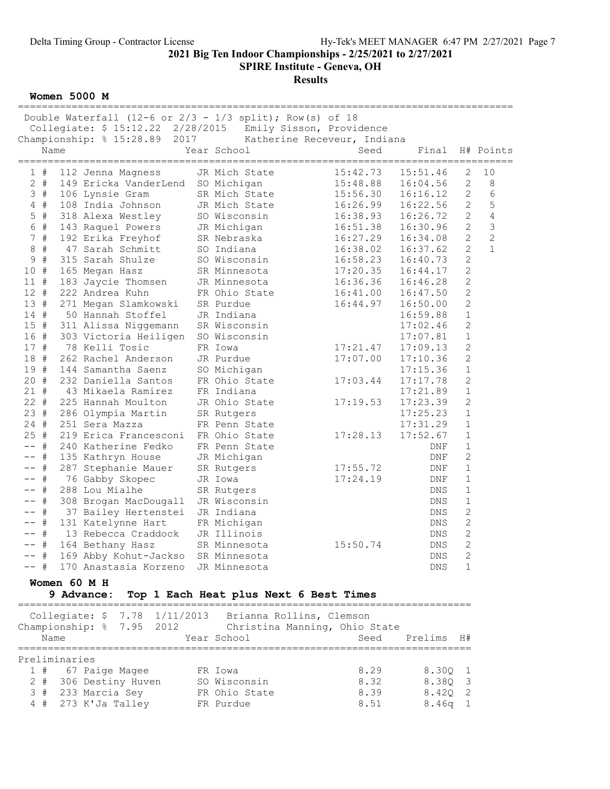SPIRE Institute - Geneva, OH

Results

Women 5000 M

|                  | Double Waterfall (12-6 or $2/3$ - $1/3$ split); Row(s) of 18 |                                        |                   |             |                |                |
|------------------|--------------------------------------------------------------|----------------------------------------|-------------------|-------------|----------------|----------------|
|                  | Collegiate: \$ 15:12.22 2/28/2015                            | Emily Sisson, Providence               |                   |             |                |                |
|                  | 2017<br>Championship: % 15:28.89                             | Katherine Receveur, Indiana            |                   |             |                |                |
|                  | Name                                                         | Year School                            | Seed              | Final       |                | H# Points      |
|                  |                                                              |                                        | ================= | =========== |                |                |
| 1#               | 112 Jenna Magness                                            | JR Mich State                          | 15:42.73          | 15:51.46    | 2              | 10             |
| $2 +$            | 149 Ericka VanderLend                                        | SO Michigan                            | 15:48.88          | 16:04.56    | 2              | 8              |
| 3#               | 106 Lynsie Gram                                              | SR Mich State                          | 15:56.30          | 16:16.12    | 2              | 6              |
| $4$ #            | 108 India Johnson                                            | JR Mich State                          | 16:26.99          | 16:22.56    | 2              | 5              |
| #<br>5           | 318 Alexa Westley                                            | SO Wisconsin                           | 16:38.93          | 16:26.72    | $\mathbf{2}$   | $\overline{4}$ |
| 6 #              | 143 Raquel Powers                                            | JR Michigan                            | 16:51.38          | 16:30.96    | $\sqrt{2}$     | $\mathsf 3$    |
| 7#               | 192 Erika Freyhof                                            | SR Nebraska                            | 16:27.29          | 16:34.08    | $\mathbf{2}$   | $\mathbf{2}$   |
| #<br>$\,8\,$     | 47 Sarah Schmitt                                             | SO Indiana                             | 16:38.02          | 16:37.62    | $\overline{2}$ | $\mathbf{1}$   |
| $\mathsf 9$<br># | 315 Sarah Shulze                                             | SO Wisconsin                           | 16:58.23          | 16:40.73    | $\mathbf{2}$   |                |
| #<br>10          | 165 Megan Hasz                                               | SR Minnesota                           | 17:20.35          | 16:44.17    | 2              |                |
| $11$ #           | 183 Jaycie Thomsen                                           | JR Minnesota                           | 16:36.36          | 16:46.28    | $\overline{c}$ |                |
| 12#              | 222 Andrea Kuhn                                              | FR Ohio State                          | 16:41.00          | 16:47.50    | $\overline{c}$ |                |
| 13 #             | 271 Megan Slamkowski                                         | SR Purdue                              | 16:44.97          | 16:50.00    | $\overline{c}$ |                |
| 14#              | 50 Hannah Stoffel                                            | JR Indiana                             |                   | 16:59.88    | $1\,$          |                |
| 15 #             | 311 Alissa Niggemann                                         | SR Wisconsin                           |                   | 17:02.46    | $\mathbf{2}$   |                |
| 16 #             | 303 Victoria Heiligen                                        | SO Wisconsin                           |                   | 17:07.81    | $1\,$          |                |
| 17 #             | 78 Kelli Tosic                                               | FR Iowa                                | 17:21.47          | 17:09.13    | $\overline{c}$ |                |
| 18 #             | 262 Rachel Anderson                                          | JR Purdue                              | 17:07.00          | 17:10.36    | $\overline{c}$ |                |
| 19 #             | 144 Samantha Saenz                                           | SO Michigan                            |                   | 17:15.36    | $\mathbf 1$    |                |
| 20 #             | 232 Daniella Santos                                          | FR Ohio State                          | 17:03.44          | 17:17.78    | $\mathbf{2}$   |                |
| $21 +$           | 43 Mikaela Ramirez                                           | FR Indiana                             |                   | 17:21.89    | $1\,$          |                |
| $22 +$           | 225 Hannah Moulton                                           | JR Ohio State                          | 17:19.53          | 17:23.39    | $\overline{c}$ |                |
| 23#              | 286 Olympia Martin                                           | SR Rutgers                             |                   | 17:25.23    | $\mathbf 1$    |                |
| $24 +$           | 251 Sera Mazza                                               | FR Penn State                          |                   | 17:31.29    | $1\,$          |                |
| 25#              | 219 Erica Francesconi                                        | FR Ohio State                          | 17:28.13          | 17:52.67    | $1\,$          |                |
| $--$ #           | 240 Katherine Fedko                                          | FR Penn State                          |                   | DNF         | $1\,$          |                |
| -- #             | 135 Kathryn House                                            | JR Michigan                            |                   | DNF         | $\mathbf{2}$   |                |
| $--$ #           | 287 Stephanie Mauer                                          | SR Rutgers                             | 17:55.72          | DNF         | $1\,$          |                |
| -- #             | 76 Gabby Skopec                                              | JR Iowa                                | 17:24.19          | DNF         | $\mathbf 1$    |                |
| $--$ #           | 288 Lou Mialhe                                               | SR Rutgers                             |                   | DNS         | $\mathbf 1$    |                |
| -- #             | 308 Brogan MacDougall                                        | JR Wisconsin                           |                   | DNS         | $1\,$          |                |
| #<br>$- -$       | 37 Bailey Hertenstei                                         | JR Indiana                             |                   | DNS         | $\mathbf{2}$   |                |
| $--$ #           | 131 Katelynne Hart                                           | FR Michigan                            |                   | DNS         | $\mathbf{2}$   |                |
| -- #             | 13 Rebecca Craddock                                          | JR Illinois                            |                   | DNS         | $\overline{c}$ |                |
| -- #             | 164 Bethany Hasz                                             | SR Minnesota                           | 15:50.74          | DNS         | $\overline{2}$ |                |
|                  | -- # 169 Abby Kohut-Jackso SR Minnesota                      |                                        |                   | DNS         | 2              |                |
| -- #             | 170 Anastasia Korzeno JR Minnesota                           |                                        |                   | DNS         | $\mathbf{1}$   |                |
|                  | Women 60 M H                                                 |                                        |                   |             |                |                |
|                  |                                                              |                                        |                   |             |                |                |
| ===========      | 9 Advance:                                                   | Top 1 Each Heat plus Next 6 Best Times |                   |             |                |                |
|                  | Collegiate: \$ 7.78 1/11/2013                                | Brianna Rollins, Clemson               |                   |             |                |                |
|                  | Championship: % 7.95 2012                                    | Christina Manning, Ohio State          |                   |             |                |                |
|                  | Name                                                         | Year School                            | Seed              | Prelims     | H#             |                |
|                  |                                                              |                                        |                   |             |                |                |
|                  |                                                              |                                        |                   |             |                |                |

| Preliminaries         |               |      |           |
|-----------------------|---------------|------|-----------|
| 1 # 67 Paige Magee    | FR Iowa       | 8.29 | 8.300 1   |
| 2 # 306 Destiny Huven | SO Wisconsin  | 8.32 | 8.380 3   |
| 3 # 233 Marcia Sev    | FR Ohio State | 8.39 | 8.420 2   |
| $4$ # 273 K'Ja Talley | FR Purdue     | 8.51 | $8.46q$ 1 |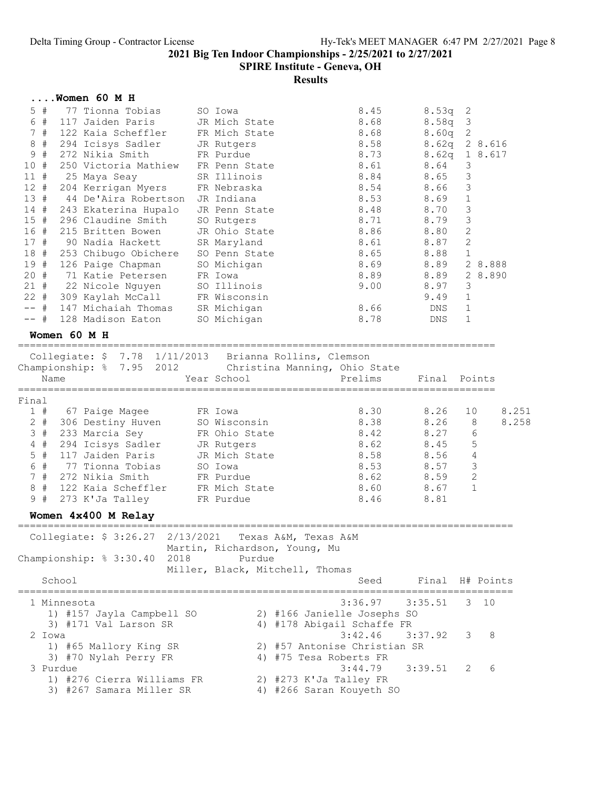### SPIRE Institute - Geneva, OH

#### Results

| $\ldots$ Women 60 M H |  |  |  |
|-----------------------|--|--|--|
|-----------------------|--|--|--|

| $5$ #      | 77 Tionna Tobias     | SO Iowa       | 8.45 | $8.53q$ 2         |                         |
|------------|----------------------|---------------|------|-------------------|-------------------------|
| #<br>6     | 117 Jaiden Paris     | JR Mich State | 8.68 | 8.58q             | $\overline{\mathbf{3}}$ |
| 7#         | 122 Kaia Scheffler   | FR Mich State | 8.68 | 8.60q             | 2                       |
| 8#         | 294 Icisys Sadler    | JR Rutgers    | 8.58 | 8.62 <sub>q</sub> | 2 8.616                 |
| 9<br>#     | 272 Nikia Smith      | FR Purdue     | 8.73 | 8.62q             | 1 8.617                 |
| 10#        | 250 Victoria Mathiew | FR Penn State | 8.61 | 8.64              | 3                       |
| 11#        | 25 Maya Seay         | SR Illinois   | 8.84 | 8.65              | 3                       |
| $12 +$     | 204 Kerrigan Myers   | FR Nebraska   | 8.54 | 8.66              | 3                       |
| 13#        | 44 De'Aira Robertson | JR Indiana    | 8.53 | 8.69              | 1                       |
| 14#        | 243 Ekaterina Hupalo | JR Penn State | 8.48 | 8.70              | 3                       |
| 15#        | 296 Claudine Smith   | SO Rutgers    | 8.71 | 8.79              | 3                       |
| 16 #       | 215 Britten Bowen    | JR Ohio State | 8.86 | 8.80              | 2                       |
| 17#        | 90 Nadia Hackett     | SR Maryland   | 8.61 | 8.87              | $\overline{2}$          |
| 18<br>#    | 253 Chibugo Obichere | SO Penn State | 8.65 | 8.88              | 1                       |
| 19<br>#    | 126 Paige Chapman    | SO Michigan   | 8.69 | 8.89              | 2 8.888                 |
| 20 #       | 71 Katie Petersen    | FR Iowa       | 8.89 | 8.89              | 2 8.890                 |
| 21 #       | 22 Nicole Nguyen     | SO Illinois   | 9.00 | 8.97              | 3                       |
| $22 \pm 1$ | 309 Kaylah McCall    | FR Wisconsin  |      | 9.49              | 1                       |
| $+$        | 147 Michaiah Thomas  | SR Michigan   | 8.66 | DNS.              | 1                       |
| -- #       | 128 Madison Eaton    | SO Michigan   | 8.78 | DNS               |                         |

#### Women 60 M H

================================================================================ Collegiate: \$ 7.78 1/11/2013 Brianna Rollins, Clemson

|       | Championship: % 7.95 2012<br>Name | COTTOGTAGO, A 1,10 TVITIZOTO DITANNIA MOTTINO, ATOMOQNI<br>Christina Manning, Ohio State<br>Year School | Prelims | Final | Points |       |
|-------|-----------------------------------|---------------------------------------------------------------------------------------------------------|---------|-------|--------|-------|
| Final |                                   |                                                                                                         |         |       |        |       |
| 1#    | 67 Paige Magee                    | FR Iowa                                                                                                 | 8.30    | 8.26  | 10     | 8.251 |
| 2 #   | 306 Destiny Huven                 | SO Wisconsin                                                                                            | 8.38    | 8.26  | 8      | 8.258 |
| 3#    | 233 Marcia Sey                    | FR Ohio State                                                                                           | 8.42    | 8.27  | 6      |       |
| 4#    | 294 Icisys Sadler                 | JR Rutgers                                                                                              | 8.62    | 8.45  | 5      |       |
| 5#    | 117 Jaiden Paris                  | JR Mich State                                                                                           | 8.58    | 8.56  | 4      |       |
| 6#    | 77 Tionna Tobias                  | SO Iowa                                                                                                 | 8.53    | 8.57  | 3      |       |
| 7#    | 272 Nikia Smith                   | FR Purdue                                                                                               | 8.62    | 8.59  | 2      |       |
| 8#    | 122 Kaia Scheffler                | FR Mich State                                                                                           | 8.60    | 8.67  |        |       |
| 9#    | 273 K'Ja Talley                   | FR Purdue                                                                                               | 8.46    | 8.81  |        |       |
|       |                                   |                                                                                                         |         |       |        |       |

#### Women 4x400 M Relay

=================================================================================== Collegiate: \$ 3:26.27 2/13/2021 Texas A&M, Texas A&M Martin, Richardson, Young, Mu Championship: % 3:30.40 2018 Purdue Miller, Black, Mitchell, Thomas School School Seed Final H# Points =================================================================================== 1 Minnesota 3:36.97 3:35.51 3 10 1) #157 Jayla Campbell SO 2) #166 Janielle Josephs SO 3) #171 Val Larson SR 4) #178 Abigail Schaffe FR 2 Iowa 3:42.46 3:37.92 3 8 1) #65 Mallory King SR 2) #57 Antonise Christian SR 3) #70 Nylah Perry FR 4) #75 Tesa Roberts FR 3 Purdue 3:44.79 3:39.51 2 6

- 1) #276 Cierra Williams FR 2) #273 K'Ja Talley FR 3) #267 Samara Miller SR 4) #266 Saran Kouyeth SO
-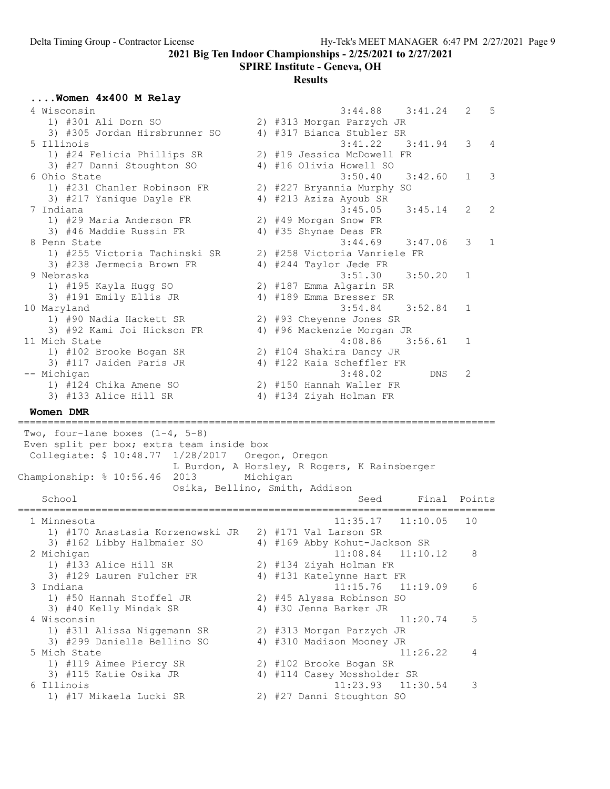SPIRE Institute - Geneva, OH

## Results

## ....Women 4x400 M Relay

| 4 Wisconsin<br>1) #301 Ali Dorn SO                                    |                                                                                                                                                                                                                                                                                                                                                                      | 3:44.88<br>3:41.24<br>2<br>2) #313 Morgan Parzych JR                        | 5                                                                                                                                                                                                                                                                                                                                                                                                                                                                                                                                                                                                                                                                    |
|-----------------------------------------------------------------------|----------------------------------------------------------------------------------------------------------------------------------------------------------------------------------------------------------------------------------------------------------------------------------------------------------------------------------------------------------------------|-----------------------------------------------------------------------------|----------------------------------------------------------------------------------------------------------------------------------------------------------------------------------------------------------------------------------------------------------------------------------------------------------------------------------------------------------------------------------------------------------------------------------------------------------------------------------------------------------------------------------------------------------------------------------------------------------------------------------------------------------------------|
| 5 Illinois                                                            |                                                                                                                                                                                                                                                                                                                                                                      | 3:41.22<br>3:41.94<br>3                                                     | 4                                                                                                                                                                                                                                                                                                                                                                                                                                                                                                                                                                                                                                                                    |
| 3) #27 Danni Stoughton SO                                             |                                                                                                                                                                                                                                                                                                                                                                      |                                                                             |                                                                                                                                                                                                                                                                                                                                                                                                                                                                                                                                                                                                                                                                      |
| 6 Ohio State<br>1) #231 Chanler Robinson FR                           |                                                                                                                                                                                                                                                                                                                                                                      | 3:42.60<br>1                                                                | 3                                                                                                                                                                                                                                                                                                                                                                                                                                                                                                                                                                                                                                                                    |
| 3) #217 Yanique Dayle FR                                              |                                                                                                                                                                                                                                                                                                                                                                      |                                                                             | 2                                                                                                                                                                                                                                                                                                                                                                                                                                                                                                                                                                                                                                                                    |
| 1) #29 Maria Anderson FR                                              |                                                                                                                                                                                                                                                                                                                                                                      |                                                                             |                                                                                                                                                                                                                                                                                                                                                                                                                                                                                                                                                                                                                                                                      |
| 8 Penn State                                                          |                                                                                                                                                                                                                                                                                                                                                                      | 3:44.69<br>3:47.06<br>3                                                     | $\mathbf{1}$                                                                                                                                                                                                                                                                                                                                                                                                                                                                                                                                                                                                                                                         |
| 1) #255 Victoria Tachinski SR                                         |                                                                                                                                                                                                                                                                                                                                                                      |                                                                             |                                                                                                                                                                                                                                                                                                                                                                                                                                                                                                                                                                                                                                                                      |
| 9 Nebraska                                                            |                                                                                                                                                                                                                                                                                                                                                                      | 3:51.30<br>3:50.20<br>1                                                     |                                                                                                                                                                                                                                                                                                                                                                                                                                                                                                                                                                                                                                                                      |
|                                                                       |                                                                                                                                                                                                                                                                                                                                                                      |                                                                             |                                                                                                                                                                                                                                                                                                                                                                                                                                                                                                                                                                                                                                                                      |
| 10 Maryland                                                           |                                                                                                                                                                                                                                                                                                                                                                      | 3:54.84<br>3:52.84<br>1                                                     |                                                                                                                                                                                                                                                                                                                                                                                                                                                                                                                                                                                                                                                                      |
|                                                                       |                                                                                                                                                                                                                                                                                                                                                                      |                                                                             |                                                                                                                                                                                                                                                                                                                                                                                                                                                                                                                                                                                                                                                                      |
| 11 Mich State                                                         |                                                                                                                                                                                                                                                                                                                                                                      | 4:08.86<br>3:56.61<br>1                                                     |                                                                                                                                                                                                                                                                                                                                                                                                                                                                                                                                                                                                                                                                      |
|                                                                       |                                                                                                                                                                                                                                                                                                                                                                      |                                                                             |                                                                                                                                                                                                                                                                                                                                                                                                                                                                                                                                                                                                                                                                      |
|                                                                       |                                                                                                                                                                                                                                                                                                                                                                      |                                                                             |                                                                                                                                                                                                                                                                                                                                                                                                                                                                                                                                                                                                                                                                      |
|                                                                       |                                                                                                                                                                                                                                                                                                                                                                      |                                                                             |                                                                                                                                                                                                                                                                                                                                                                                                                                                                                                                                                                                                                                                                      |
| 3) #133 Alice Hill SR                                                 |                                                                                                                                                                                                                                                                                                                                                                      |                                                                             |                                                                                                                                                                                                                                                                                                                                                                                                                                                                                                                                                                                                                                                                      |
| Women DMR                                                             |                                                                                                                                                                                                                                                                                                                                                                      |                                                                             |                                                                                                                                                                                                                                                                                                                                                                                                                                                                                                                                                                                                                                                                      |
| Two, four-lane boxes $(1-4, 5-8)$                                     |                                                                                                                                                                                                                                                                                                                                                                      |                                                                             |                                                                                                                                                                                                                                                                                                                                                                                                                                                                                                                                                                                                                                                                      |
| Championship: % 10:56.46<br>2013                                      |                                                                                                                                                                                                                                                                                                                                                                      |                                                                             |                                                                                                                                                                                                                                                                                                                                                                                                                                                                                                                                                                                                                                                                      |
| School                                                                |                                                                                                                                                                                                                                                                                                                                                                      |                                                                             |                                                                                                                                                                                                                                                                                                                                                                                                                                                                                                                                                                                                                                                                      |
|                                                                       |                                                                                                                                                                                                                                                                                                                                                                      | Final<br>Seed                                                               | Points                                                                                                                                                                                                                                                                                                                                                                                                                                                                                                                                                                                                                                                               |
|                                                                       |                                                                                                                                                                                                                                                                                                                                                                      | =============================                                               |                                                                                                                                                                                                                                                                                                                                                                                                                                                                                                                                                                                                                                                                      |
| 1 Minnesota<br>1) #170 Anastasia Korzenowski JR 2) #171 Val Larson SR |                                                                                                                                                                                                                                                                                                                                                                      | 11:35.17<br>11:10.05<br>10                                                  |                                                                                                                                                                                                                                                                                                                                                                                                                                                                                                                                                                                                                                                                      |
| 3) #162 Libby Halbmaier SO                                            |                                                                                                                                                                                                                                                                                                                                                                      | 4) #169 Abby Kohut-Jackson SR                                               |                                                                                                                                                                                                                                                                                                                                                                                                                                                                                                                                                                                                                                                                      |
| 2 Michigan                                                            |                                                                                                                                                                                                                                                                                                                                                                      | 11:10.12<br>11:08.84<br>$\,8\,$                                             |                                                                                                                                                                                                                                                                                                                                                                                                                                                                                                                                                                                                                                                                      |
| 1) #133 Alice Hill SR                                                 |                                                                                                                                                                                                                                                                                                                                                                      | 2) #134 Ziyah Holman FR                                                     |                                                                                                                                                                                                                                                                                                                                                                                                                                                                                                                                                                                                                                                                      |
| 3) #129 Lauren Fulcher FR<br>3 Indiana                                |                                                                                                                                                                                                                                                                                                                                                                      | 4) #131 Katelynne Hart FR<br>11:15.76<br>11:19.09<br>6                      |                                                                                                                                                                                                                                                                                                                                                                                                                                                                                                                                                                                                                                                                      |
| 1) #50 Hannah Stoffel JR                                              |                                                                                                                                                                                                                                                                                                                                                                      | 2) #45 Alyssa Robinson SO                                                   |                                                                                                                                                                                                                                                                                                                                                                                                                                                                                                                                                                                                                                                                      |
| 3) #40 Kelly Mindak SR<br>4 Wisconsin                                 |                                                                                                                                                                                                                                                                                                                                                                      | 4) #30 Jenna Barker JR<br>11:20.74<br>5                                     |                                                                                                                                                                                                                                                                                                                                                                                                                                                                                                                                                                                                                                                                      |
| 1) #311 Alissa Niggemann SR                                           |                                                                                                                                                                                                                                                                                                                                                                      | 2) #313 Morgan Parzych JR                                                   |                                                                                                                                                                                                                                                                                                                                                                                                                                                                                                                                                                                                                                                                      |
| 3) #299 Danielle Bellino SO                                           |                                                                                                                                                                                                                                                                                                                                                                      | 4) #310 Madison Mooney JR                                                   |                                                                                                                                                                                                                                                                                                                                                                                                                                                                                                                                                                                                                                                                      |
| 5 Mich State                                                          |                                                                                                                                                                                                                                                                                                                                                                      | 11:26.22<br>4                                                               |                                                                                                                                                                                                                                                                                                                                                                                                                                                                                                                                                                                                                                                                      |
| 1) #119 Aimee Piercy SR<br>3) #115 Katie Osika JR                     |                                                                                                                                                                                                                                                                                                                                                                      | 2) #102 Brooke Bogan SR<br>4) #114 Casey Mossholder SR                      |                                                                                                                                                                                                                                                                                                                                                                                                                                                                                                                                                                                                                                                                      |
|                                                                       | 3) #305 Jordan Hirsbrunner SO<br>1) #24 Felicia Phillips SR<br>7 Indiana<br>3) #46 Maddie Russin FR<br>3) #238 Jermecia Brown FR<br>1) #195 Kayla Hugg SO<br>3) #191 Emily Ellis JR<br>1) #90 Nadia Hackett SR<br>3) #92 Kami Joi Hickson FR<br>1) #102 Brooke Bogan SR<br>3) #117 Jaiden Paris JR<br>-- Michigan<br>1) #124 Chika Amene SO<br>===================== | Even split per box; extra team inside box<br>Osika, Bellino, Smith, Addison | 4) #317 Bianca Stubler SR<br>2) #19 Jessica McDowell FR<br>4) #16 Olivia Howell SO<br>3:50.40<br>2) #227 Bryannia Murphy SO<br>4) #213 Aziza Ayoub SR<br>3:45.05<br>2<br>3:45.14<br>2) #49 Morgan Snow FR<br>4) #35 Shynae Deas FR<br>2) #258 Victoria Vanriele FR<br>4) #244 Taylor Jede FR<br>2) #187 Emma Algarin SR<br>4) #189 Emma Bresser SR<br>2) #93 Cheyenne Jones SR<br>4) #96 Mackenzie Morgan JR<br>2) #104 Shakira Dancy JR<br>4) #122 Kaia Scheffler FR<br>3:48.02<br>DNS.<br>2<br>2) #150 Hannah Waller FR<br>4) #134 Ziyah Holman FR<br>Collegiate: \$ 10:48.77 1/28/2017 Oregon, Oregon<br>L Burdon, A Horsley, R Rogers, K Rainsberger<br>Michigan |

1) #17 Mikaela Lucki SR 2) #27 Danni Stoughton SO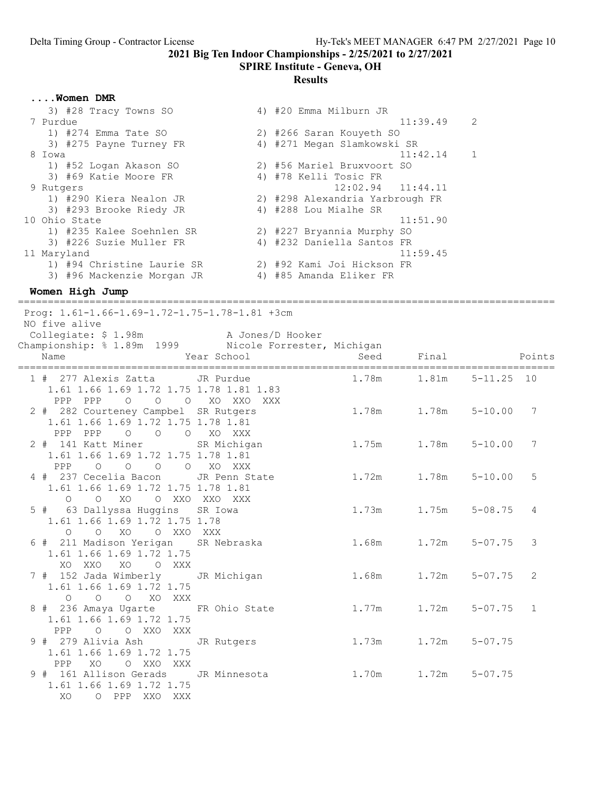#### SPIRE Institute - Geneva, OH

#### Results

....Women DMR

| 3) #28 Tracy Towns SO      | 4) #20 Emma Milburn JR          |                            |  |
|----------------------------|---------------------------------|----------------------------|--|
| 7 Purdue                   |                                 | 11:39.49<br>-2             |  |
| 1) #274 Emma Tate SO       | 2) #266 Saran Kouyeth SO        |                            |  |
| 3) #275 Payne Turney FR    | 4) #271 Megan Slamkowski SR     |                            |  |
| 8 Iowa                     |                                 | 11:42.14<br>$\overline{1}$ |  |
| 1) #52 Logan Akason SO     | 2) #56 Mariel Bruxvoort SO      |                            |  |
| 3) #69 Katie Moore FR      | 4) #78 Kelli Tosic FR           |                            |  |
| 9 Rutgers                  | $12:02.94$ $11:44.11$           |                            |  |
| 1) #290 Kiera Nealon JR    | 2) #298 Alexandria Yarbrough FR |                            |  |
| 3) #293 Brooke Riedy JR    | 4) #288 Lou Mialhe SR           |                            |  |
| 10 Ohio State              |                                 | 11:51.90                   |  |
| 1) #235 Kalee Soehnlen SR  | 2) #227 Bryannia Murphy SO      |                            |  |
| 3) #226 Suzie Muller FR    | 4) #232 Daniella Santos FR      |                            |  |
| 11 Maryland                |                                 | 11:59.45                   |  |
| 1) #94 Christine Laurie SR | 2) #92 Kami Joi Hickson FR      |                            |  |
| 3) #96 Mackenzie Morgan JR | 4) #85 Amanda Eliker FR         |                            |  |
|                            |                                 |                            |  |

Women High Jump

========================================================================================== Prog: 1.61-1.66-1.69-1.72-1.75-1.78-1.81 +3cm NO five alive Collegiate: \$ 1.98m A Jones/D Hooker Championship: % 1.89m 1999 Nicole Forrester, Michigan n<br>Name Near School Seed Final Points ========================================================================================== 1 # 277 Alexis Zatta JR Purdue<br>1.61 1.66 1.69 1.72 1.75 1.78 1.81 1.83 1.61 1.66 1.69 1.72 1.75 1.78 1.81 1.83 PPP PPP O O O XO XXO XXX 2 # 282 Courteney Campbel SR Rutgers 1.78m 1.78m 5-10.00 7 1.61 1.66 1.69 1.72 1.75 1.78 1.81 PPP PPP O O O XO XXX<br>2 # 141 Katt Miner SR Michigan 1.75m 1.78m 5-10.00 7 1.61 1.66 1.69 1.72 1.75 1.78 1.81 PPP O O O O XO XXX 4 # 237 Cecelia Bacon JR Penn State 1.72m 1.78m 5-10.00 5 1.61 1.66 1.69 1.72 1.75 1.78 1.81 O O XO O XXO XXO XXX<br>5 # 63 Dallyssa Huggins SR Iowa  $1.73m$   $1.75m$   $5-08.75$  4 1.61 1.66 1.69 1.72 1.75 1.78 O O XO O XXO XXX 6 # 211 Madison Yerigan SR Nebraska 1.68m 1.72m 5-07.75 3 1.61 1.66 1.69 1.72 1.75 XO XXO XO O XXX 7 # 152 Jada Wimberly JR Michigan 1.68m 1.72m 5-07.75 2 1.61 1.66 1.69 1.72 1.75 O O O XO XXX 8 # 236 Amaya Ugarte FR Ohio State 1.77m 1.72m 5-07.75 1 1.61 1.66 1.69 1.72 1.75 PPP O O XXO XXX 9 # 279 Alivia Ash JR Rutgers 1.73m 1.72m 5-07.75 1.61 1.66 1.69 1.72 1.75 PPP XO O XXO XXX 9 # 161 Allison Gerads JR Minnesota 1.70m 1.72m 5-07.75 1.61 1.66 1.69 1.72 1.75 XO O PPP XXO XXX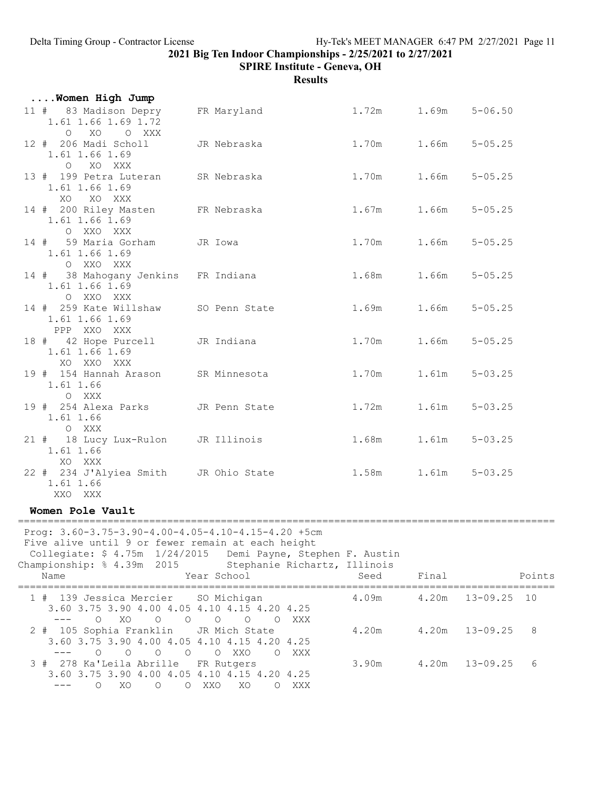SPIRE Institute - Geneva, OH

| Women High Jump                                                                                                                                                                                               |                                                                  |                           |       |                   |        |
|---------------------------------------------------------------------------------------------------------------------------------------------------------------------------------------------------------------|------------------------------------------------------------------|---------------------------|-------|-------------------|--------|
| 11 # 83 Madison Depry FR Maryland<br>1.61 1.66 1.69 1.72<br>O XO O XXX                                                                                                                                        |                                                                  | $1.72m$ $1.69m$ $5-06.50$ |       |                   |        |
| 12 # 206 Madi Scholl<br>1.61 1.66 1.69<br>O XO XXX                                                                                                                                                            | JR Nebraska                                                      | 1.70m 1.66m 5-05.25       |       |                   |        |
| 13 # 199 Petra Luteran SR Nebraska<br>1.61 1.66 1.69<br>XO XO XXX                                                                                                                                             |                                                                  | 1.70m                     |       | $1.66m$ $5-05.25$ |        |
| 14 # 200 Riley Masten FR Nebraska<br>1.61 1.66 1.69<br>O XXO XXX                                                                                                                                              |                                                                  | 1.67m 1.66m 5-05.25       |       |                   |        |
| 14 # 59 Maria Gorham JR Iowa<br>1.61 1.66 1.69<br>O XXO XXX                                                                                                                                                   |                                                                  | 1.70m 1.66m 5-05.25       |       |                   |        |
| 14 # 38 Mahogany Jenkins FR Indiana<br>1.61 1.66 1.69<br>O XXO XXX                                                                                                                                            |                                                                  | 1.68m 1.66m 5-05.25       |       |                   |        |
| 14 # 259 Kate Willshaw SO Penn State<br>1.61 1.66 1.69<br>PPP XXO XXX                                                                                                                                         |                                                                  | 1.69m 1.66m 5-05.25       |       |                   |        |
| 18 # 42 Hope Purcell JR Indiana<br>1.61 1.66 1.69<br>XO XXO XXX                                                                                                                                               |                                                                  | 1.70m 1.66m 5-05.25       |       |                   |        |
| 19 # 154 Hannah Arason SR Minnesota<br>1.61 1.66<br>O XXX                                                                                                                                                     |                                                                  | 1.70m                     |       | $1.61m$ $5-03.25$ |        |
| 19 # 254 Alexa Parks JR Penn State<br>1.61 1.66<br>O XXX                                                                                                                                                      |                                                                  | 1.72m                     |       | $1.61m$ $5-03.25$ |        |
| 21 # 18 Lucy Lux-Rulon JR Illinois<br>1.61 1.66<br>XO XXX                                                                                                                                                     |                                                                  | 1.68m 1.61m 5-03.25       |       |                   |        |
| 22 # 234 J'Alyiea Smith JR Ohio State<br>1.61 1.66<br>XXO XXX                                                                                                                                                 |                                                                  | 1.58m 1.61m 5-03.25       |       |                   |        |
| Women Pole Vault                                                                                                                                                                                              |                                                                  |                           |       |                   |        |
| Prog: 3.60-3.75-3.90-4.00-4.05-4.10-4.15-4.20 +5cm<br>Five alive until 9 or fewer remain at each height<br>Collegiate: \$ 4.75m 1/24/2015 Demi Payne, Stephen F. Austin<br>Championship: % 4.39m 2015<br>Name | Stephanie Richartz, Illinois<br>Year School                      | Seed                      | Final |                   | Points |
| 1 # 139 Jessica Mercier SO Michigan<br>3.60 3.75 3.90 4.00 4.05 4.10 4.15 4.20 4.25                                                                                                                           |                                                                  | 4.09m                     | 4.20m | $13 - 09.25$      | 10     |
| $\circ$<br>$\circ$<br>XO<br>$---$<br>$\circ$<br>105 Sophia Franklin<br>2 #<br>3.60 3.75 3.90 4.00 4.05 4.10 4.15 4.20 4.25<br>$0\qquad 0\qquad 0$<br>$\circ$                                                  | O XXX<br>$\circ$<br>$\circ$<br>JR Mich State<br>O XXO<br>$\circ$ | 4.20m                     | 4.20m | $13 - 09.25$      | 8      |
| 278 Ka'Leila Abrille<br>3 #<br>3.60 3.75 3.90 4.00 4.05 4.10 4.15 4.20 4.25<br>$\circ$<br>XO<br>$---$<br>$\circ$                                                                                              | XXX<br>FR Rutgers<br>O XXO<br>XO<br>O XXX                        | 3.90m                     | 4.20m | $13 - 09.25$      | 6      |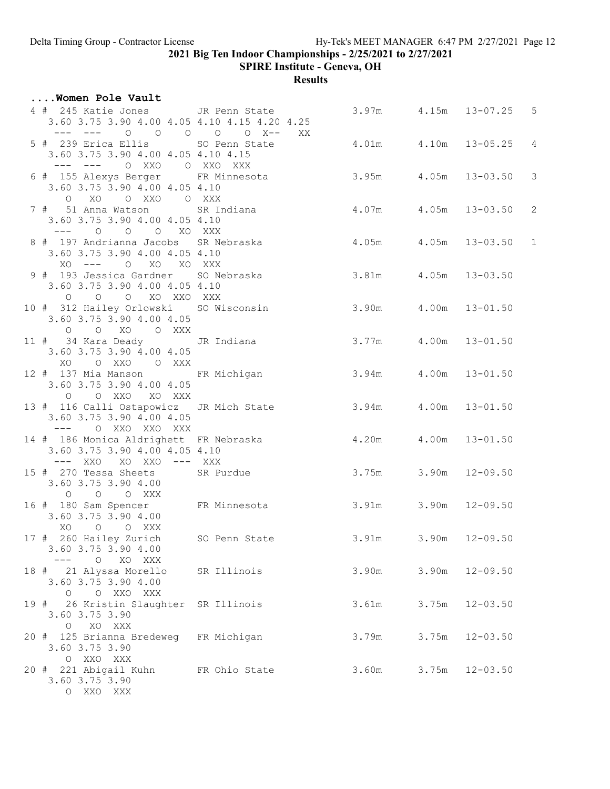SPIRE Institute - Geneva, OH

| Women Pole Vault                                                                                                                  |             |                           |       |                    |  |
|-----------------------------------------------------------------------------------------------------------------------------------|-------------|---------------------------|-------|--------------------|--|
| 4 # 245 Katie Jones JR Penn State<br>3.60 3.75 3.90 4.00 4.05 4.10 4.15 4.20 4.25<br>--- --- 0 0 0 0 0 X-- XX                     |             | 3.97m 4.15m 13-07.25 5    |       |                    |  |
| 5 # 239 Erica Ellis SO Penn State<br>3.60 3.75 3.90 4.00 4.05 4.10 4.15<br>--- --- 0 XXO 0 XXO XXX                                |             | 4.01m  4.10m  13-05.25  4 |       |                    |  |
| 6 # 155 Alexys Berger FR Minnesota 3.95m 4.05m 13-03.50 3<br>3.60 3.75 3.90 4.00 4.05 4.10<br>O XO O XXO O XXX                    |             |                           |       |                    |  |
| 7 # 51 Anna Watson SR Indiana $4.07$ m 4.05m 13-03.50 2<br>3.60 3.75 3.90 4.00 4.05 4.10<br>--- 0 0 0 XO XXX                      |             |                           |       |                    |  |
| 8 # 197 Andrianna Jacobs SR Nebraska $4.05$ m $4.05$ m $4.05$ m 13-03.50 1<br>3.60 3.75 3.90 4.00 4.05 4.10<br>XO --- O XO XO XXX |             |                           |       |                    |  |
| 9 # 193 Jessica Gardner SO Nebraska $3.81$ m $4.05$ m 13-03.50<br>3.60 3.75 3.90 4.00 4.05 4.10<br>O O O XO XXO XXX               |             |                           |       |                    |  |
| 10 # 312 Hailey Orlowski SO Wisconsin 3.90m 4.00m 13-01.50<br>3.60 3.75 3.90 4.00 4.05<br>O O XO O XXX                            |             |                           |       |                    |  |
| 11 # 34 Kara Deady JR Indiana<br>3.60 3.75 3.90 4.00 4.05<br>XO OXXO OXXX                                                         |             | 3.77m 4.00m 13-01.50      |       |                    |  |
| 12 # 137 Mia Manson FR Michigan 3.94m 4.00m 13-01.50<br>3.60 3.75 3.90 4.00 4.05<br>O OXXO XOXXX                                  |             |                           |       |                    |  |
| 13 # 116 Calli Ostapowicz JR Mich State 3.94m 4.00m 13-01.50<br>3.60 3.75 3.90 4.00 4.05<br>--- 0 XXO XXO XXX                     |             |                           |       |                    |  |
| 14 # 186 Monica Aldrighett FR Nebraska   4.20m   4.00m   13-01.50<br>3.60 3.75 3.90 4.00 4.05 4.10<br>--- XXO XO XXO --- XXX      |             |                           |       |                    |  |
| 15 # 270 Tessa Sheets SR Purdue<br>3.60 3.75 3.90 4.00<br>$O$ $O$ $O$ $XXX$                                                       |             | 3.75m 3.90m 12-09.50      |       |                    |  |
| 16 # 180 Sam Spencer FR Minnesota 3.91m 3.90m 12-09.50<br>3.60 3.75 3.90 4.00<br>XO O O XXX                                       |             |                           |       |                    |  |
| 17 # 260 Hailey Zurich SO Penn State<br>3.60 3.75 3.90 4.00<br>$\circ$<br>XO XXX<br>$\frac{1}{2}$                                 |             | 3.91m                     |       | $3.90m$ $12-09.50$ |  |
| 18 # 21 Alyssa Morello<br>3.60 3.75 3.90 4.00<br>O O XXO XXX                                                                      | SR Illinois | 3.90m                     | 3.90m | $12 - 09.50$       |  |
| 19 # 26 Kristin Slaughter SR Illinois<br>3.60 3.75 3.90<br>O XO XXX                                                               |             | 3.61m                     |       | $3.75m$ $12-03.50$ |  |
| 20 # 125 Brianna Bredeweg FR Michigan<br>3.60 3.75 3.90<br>O XXO XXX                                                              |             | 3.79m                     | 3.75m | $12 - 03.50$       |  |
| 20 # 221 Abigail Kuhn FR Ohio State<br>3.60 3.75 3.90<br>O XXO XXX                                                                |             | 3.60m                     |       | $3.75m$ $12-03.50$ |  |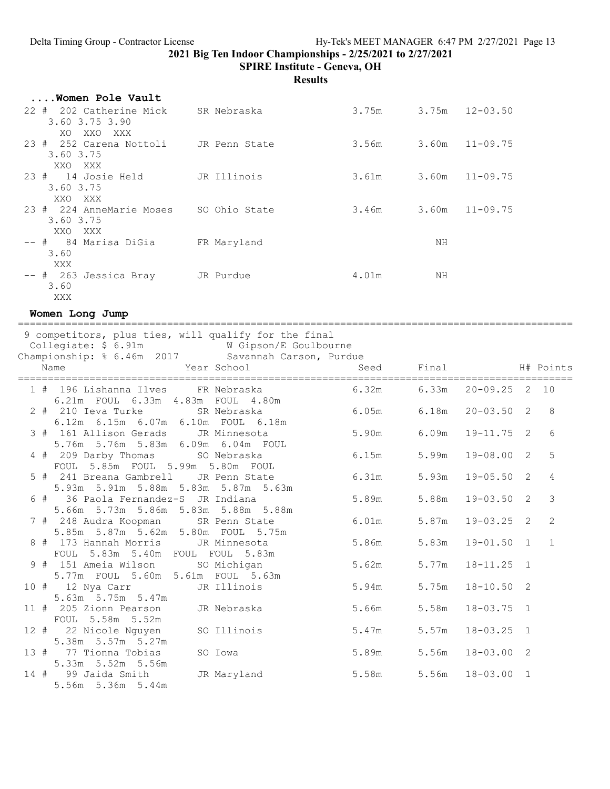SPIRE Institute - Geneva, OH

Results

| Women Pole Vault                                   |               |       |    |                    |
|----------------------------------------------------|---------------|-------|----|--------------------|
| 22 # 202 Catherine Mick<br>3.60 3.75 3.90          | SR Nebraska   | 3.75m |    | $3.75m$ $12-03.50$ |
| XXO XXX<br>XO                                      |               |       |    |                    |
| 23 # 252 Carena Nottoli JR Penn State<br>3.60 3.75 |               | 3.56m |    | $3.60m$ $11-09.75$ |
| XXO XXX                                            |               |       |    |                    |
| $23 * 14$ Josie Held<br>3.60 3.75<br>XXO XXX       | JR Illinois   | 3.61m |    | $3.60m$ $11-09.75$ |
| 23 # 224 AnneMarie Moses<br>3.60 3.75<br>XXO XXX   | SO Ohio State | 3.46m |    | $3.60m$ $11-09.75$ |
| -- #   84 Marisa DiGia<br>3.60<br>XXX              | FR Maryland   |       | ΝH |                    |
| -- # 263 Jessica Bray<br>3.60<br>XXX               | JR Purdue     | 4.01m | ΝH |                    |

Women Long Jump

============================================================================================= 9 competitors, plus ties, will qualify for the final Collegiate: \$ 6.91m W Gipson/E Goulbourne Championship: % 6.46m 2017 Savannah Carson, Purdue Name 1 1999 Manuel Seed Final H# Points ============================================================================================= 1 # 196 Lishanna Ilves FR Nebraska 6.21m FOUL 6.33m 4.83m FOUL 4.80m 2 # 210 Ieva Turke SR Nebraska 6.05m 6.18m 20-03.50 2 8 6.12m 6.15m 6.07m 6.10m FOUL 6.18m 3 # 161 Allison Gerads JR Minnesota 5.90m 6.09m 19-11.75 2 6 5.76m 5.76m 5.83m 6.09m 6.04m FOUL 6.15m 5.99m 19-08.00 2 5 FOUL 5.85m FOUL 5.99m 5.80m FOUL 5 # 241 Breana Gambrell JR Penn State 6.31m 5.93m 19-05.50 2 4 5.93m 5.91m 5.88m 5.83m 5.87m 5.63m 6 # 36 Paola Fernandez-S JR Indiana 5.89m 5.88m 19-03.50 2 3 5.66m 5.73m 5.86m 5.83m 5.88m 5.88m 7 # 248 Audra Koopman SR Penn State 6.01m 5.87m 19-03.25 2 2 5.85m 5.87m 5.62m 5.80m FOUL 5.75m 8 # 173 Hannah Morris JR Minnesota 5.86m 5.83m 19-01.50 1 1 FOUL 5.83m 5.40m FOUL FOUL 5.83m 9 # 151 Ameia Wilson SO Michigan 5.62m 5.77m 18-11.25 1 5.77m FOUL 5.60m 5.61m FOUL 5.63m 10 # 12 Nya Carr JR Illinois 5.94m 5.75m 18-10.50 2 5.63m 5.75m 5.47m 11 # 205 Zionn Pearson JR Nebraska 5.66m 5.58m 18-03.75 1 FOUL 5.58m 5.52m 12 # 22 Nicole Nguyen SO Illinois 5.47m 5.57m 18-03.25 1 5.38m 5.57m 5.27m 13 # 77 Tionna Tobias SO Iowa 5.89m 5.56m 18-03.00 2 5.33m 5.52m 5.56m 14 # 99 Jaida Smith JR Maryland 5.58m 5.56m 18-03.00 1 5.56m 5.36m 5.44m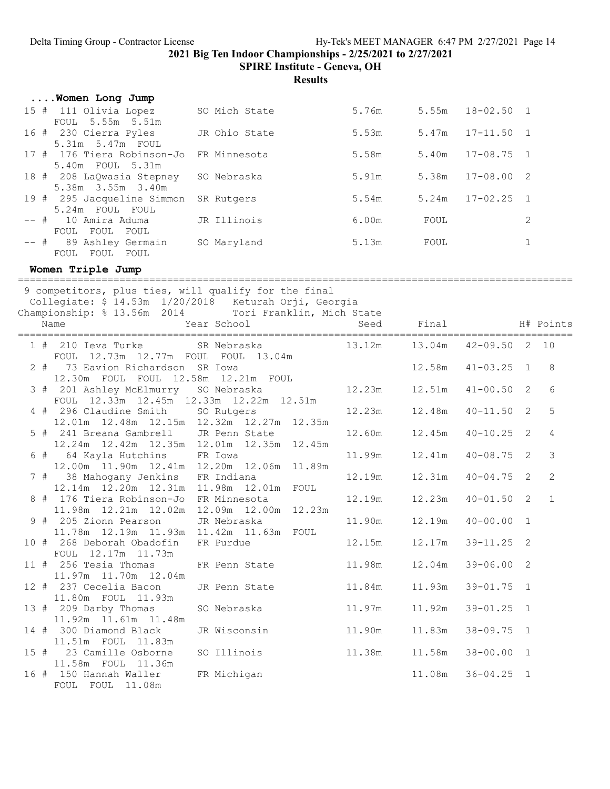SPIRE Institute - Geneva, OH

Results

| Women Long Jump                                |               |       |       |                      |                |
|------------------------------------------------|---------------|-------|-------|----------------------|----------------|
| 15 # 111 Olivia Lopez<br>FOUL 5.55m 5.51m      | SO Mich State | 5.76m |       | $5.55m$ $18-02.50$ 1 |                |
| 16 # 230 Cierra Pyles<br>5.31m 5.47m FOUL      | JR Ohio State | 5.53m |       | $5.47m$ $17-11.50$   |                |
| 17 # 176 Tiera Robinson-Jo<br>5.40m FOUL 5.31m | FR Minnesota  | 5.58m |       | $5.40m$ $17-08.75$ 1 |                |
| 18 # 208 LaQwasia Stepney<br>5.38m 3.55m 3.40m | SO Nebraska   | 5.91m | 5.38m | $17 - 08.00$         | - 2            |
| 19 # 295 Jacqueline Simmon<br>5.24m FOUL FOUL  | SR Rutgers    | 5.54m | 5.24m | $17 - 02.25$         | $\overline{1}$ |
| -- # 10 Amira Aduma<br>FOUL FOUL FOUL          | JR Illinois   | 6.00m | FOUL  |                      | 2              |
| -- # 89 Ashley Germain<br>FOUL FOUL<br>FOUL    | SO Maryland   | 5.13m | FOUL  |                      |                |

## Women Triple Jump

| 9 competitors, plus ties, will qualify for the final<br>Collegiate: \$ 14.53m 1/20/2018 Keturah Orji, Georgia<br>Championship: % 13.56m 2014 Tori Franklin, Mich State |                                        | Seed   |        |                   |                |                |
|------------------------------------------------------------------------------------------------------------------------------------------------------------------------|----------------------------------------|--------|--------|-------------------|----------------|----------------|
| Year School<br>Name                                                                                                                                                    |                                        |        | Final  | H# Points         |                |                |
| 1 # 210 Ieva Turke SR Nebraska<br>FOUL 12.73m 12.77m FOUL FOUL 13.04m                                                                                                  |                                        | 13.12m | 13.04m | $42 - 09.50$ 2 10 |                |                |
| 2 # 73 Eavion Richardson SR Iowa<br>12.30m FOUL FOUL 12.58m 12.21m FOUL                                                                                                |                                        |        | 12.58m | $41 - 03.25$ 1    |                | 8              |
| 3 # 201 Ashley McElmurry SO Nebraska<br>FOUL 12.33m 12.45m 12.33m 12.22m 12.51m                                                                                        |                                        | 12.23m | 12.51m | $41 - 00.50$ 2    |                | 6              |
| 4 # 296 Claudine Smith SO Rutgers<br>12.01m  12.48m  12.15m  12.32m  12.27m  12.35m                                                                                    |                                        | 12.23m | 12.48m | $40 - 11.50$ 2    |                | 5              |
| 5 # 241 Breana Gambrell JR Penn State<br>12.24m  12.42m  12.35m  12.01m  12.35m  12.45m                                                                                |                                        | 12.60m | 12.45m | $40 - 10.25$ 2    |                | $\overline{4}$ |
| 6 # 64 Kayla Hutchins FR Iowa<br>12.00m  11.90m  12.41m  12.20m  12.06m  11.89m                                                                                        |                                        | 11.99m | 12.41m | $40 - 08.75$ 2    |                | $\mathcal{E}$  |
| 7 # 38 Mahogany Jenkins<br>12.14m  12.20m  12.31m                                                                                                                      | FR Indiana<br>11.98m  12.01m  FOUL     | 12.19m | 12.31m | $40 - 04.75$ 2    |                | 2              |
| 8 # 176 Tiera Robinson-Jo<br>11.98m  12.21m  12.02m                                                                                                                    | FR Minnesota<br>12.09m  12.00m  12.23m | 12.19m | 12.23m | $40 - 01.50$ 2    |                | $\overline{1}$ |
| 9 # 205 Zionn Pearson<br>11.78m  12.19m  11.93m                                                                                                                        | JR Nebraska<br>11.42m 11.63m FOUL      | 11.90m | 12.19m | $40 - 00.00$      | $\overline{1}$ |                |
| 10 # 268 Deborah Obadofin<br>FOUL 12.17m 11.73m                                                                                                                        | FR Purdue                              | 12.15m | 12.17m | $39 - 11.25$ 2    |                |                |
| 11 # 256 Tesia Thomas<br>11.97m 11.70m 12.04m                                                                                                                          | FR Penn State                          | 11.98m | 12.04m | $39 - 06.00$ 2    |                |                |
| 12 # 237 Cecelia Bacon<br>11.80m FOUL 11.93m                                                                                                                           | JR Penn State                          | 11.84m | 11.93m | $39 - 01.75$ 1    |                |                |
| 13 # 209 Darby Thomas<br>11.92m 11.61m 11.48m                                                                                                                          | SO Nebraska                            | 11.97m | 11.92m | $39 - 01.25$ 1    |                |                |
| 14 # 300 Diamond Black<br>11.51m FOUL 11.83m                                                                                                                           | JR Wisconsin                           | 11.90m | 11.83m | $38 - 09.75$ 1    |                |                |
| 15 # 23 Camille Osborne<br>11.58m FOUL 11.36m                                                                                                                          | SO Illinois                            | 11.38m | 11.58m | $38 - 00.00$ 1    |                |                |
| 16 # 150 Hannah Waller<br>FOUL FOUL 11.08m                                                                                                                             | FR Michigan                            |        | 11.08m | $36 - 04.25$ 1    |                |                |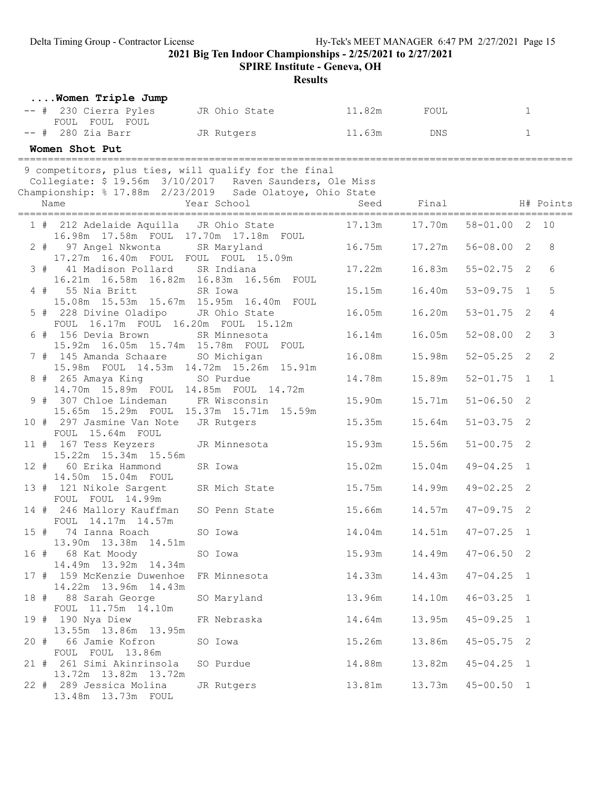SPIRE Institute - Geneva, OH

| Women Triple Jump<br>-- # 230 Cierra Pyles<br>11.82m FOUL<br>$\mathbf{1}$<br>JR Ohio State<br>FOUL FOUL FOUL<br>$--$ # 280 Zia Barr<br>11.63m<br>$\mathbf{1}$<br>JR Rutgers Theory<br>DNS<br>Women Shot Put<br>9 competitors, plus ties, will qualify for the final<br>Collegiate: \$ 19.56m 3/10/2017 Raven Saunders, Ole Miss<br>Championship: % 17.88m 2/23/2019 Sade Olatoye, Ohio State<br>Name<br>Final<br>H# Points<br>Year School<br>Seed<br>10<br>1 # 212 Adelaide Aquilla JR Ohio State<br>17.13m<br>17.70m<br>$58 - 01.00$<br>2<br>16.98m  17.58m  FOUL  17.70m  17.18m  FOUL<br>$56 - 08.00$ 2<br>8<br>16.75m<br>17.27m<br>2 # 97 Angel Nkwonta SR Maryland<br>17.27m 16.40m FOUL FOUL FOUL 15.09m<br>17.22m<br>16.83m<br>$55 - 02.75$<br>6<br>3 # 41 Madison Pollard SR Indiana<br>2<br>16.21m  16.58m  16.82m  16.83m  16.56m  FOUL<br>$4$ # 55 Nia Britt<br>$53 - 09.75$<br>5<br>SR Iowa<br>15.15m<br>16.40m<br>$\overline{1}$<br>15.08m  15.53m  15.67m  15.95m  16.40m  FOUL<br>16.20m<br>$53 - 01.75$ 2<br>4<br>5 # 228 Divine Oladipo<br>JR Ohio State<br>16.05m<br>FOUL 16.17m FOUL 16.20m FOUL 15.12m<br>3<br>6 # 156 Devia Brown<br>16.05m<br>$52 - 08.00$<br>SR Minnesota<br>16.14m<br>2<br>15.92m  16.05m  15.74m  15.78m  FOUL  FOUL<br>2<br>7 # 145 Amanda Schaare<br>16.08m<br>15.98m<br>$52 - 05.25$<br>SO Michigan<br>2<br>15.98m FOUL 14.53m 14.72m 15.26m 15.91m<br>14.78m<br>15.89m<br>$52 - 01.75$<br>$\overline{1}$<br>$\mathbf{1}$<br>8 # 265 Amaya King<br>SO Purdue<br>14.70m  15.89m  FOUL<br>14.85m FOUL 14.72m<br>$51 - 06.50$ 2<br>9 # 307 Chloe Lindeman FR Wisconsin<br>15.90m<br>15.71m<br>15.65m  15.29m  FOUL  15.37m  15.71m  15.59m<br>15.64m<br>$51 - 03.75$ 2<br>10 # 297 Jasmine Van Note<br>JR Rutgers<br>15.35m<br>FOUL 15.64m FOUL<br>15.56m<br>$51 - 00.75$ 2<br>11 # 167 Tess Keyzers<br>JR Minnesota<br>15.93m<br>15.22m 15.34m 15.56m<br>60 Erika Hammond<br>$12$ #<br>15.02m<br>15.04m<br>$49 - 04.25$<br>SR Iowa<br>$\overline{1}$<br>14.50m  15.04m  FOUL<br>14.99m<br>13 # 121 Nikole Sargent<br>SR Mich State<br>15.75m<br>$49 - 02.25$ 2<br>FOUL FOUL 14.99m<br>14.57m<br>$47 - 09.75$ 2<br>14 # 246 Mallory Kauffman<br>15.66m<br>SO Penn State<br>FOUL 14.17m 14.57m |  |
|----------------------------------------------------------------------------------------------------------------------------------------------------------------------------------------------------------------------------------------------------------------------------------------------------------------------------------------------------------------------------------------------------------------------------------------------------------------------------------------------------------------------------------------------------------------------------------------------------------------------------------------------------------------------------------------------------------------------------------------------------------------------------------------------------------------------------------------------------------------------------------------------------------------------------------------------------------------------------------------------------------------------------------------------------------------------------------------------------------------------------------------------------------------------------------------------------------------------------------------------------------------------------------------------------------------------------------------------------------------------------------------------------------------------------------------------------------------------------------------------------------------------------------------------------------------------------------------------------------------------------------------------------------------------------------------------------------------------------------------------------------------------------------------------------------------------------------------------------------------------------------------------------------------------------------------------------------------------------------------------------------------------------------------------------------------------------------------------------------------------------------------------------------------------------------------------------------------------------------------|--|
|                                                                                                                                                                                                                                                                                                                                                                                                                                                                                                                                                                                                                                                                                                                                                                                                                                                                                                                                                                                                                                                                                                                                                                                                                                                                                                                                                                                                                                                                                                                                                                                                                                                                                                                                                                                                                                                                                                                                                                                                                                                                                                                                                                                                                                        |  |
|                                                                                                                                                                                                                                                                                                                                                                                                                                                                                                                                                                                                                                                                                                                                                                                                                                                                                                                                                                                                                                                                                                                                                                                                                                                                                                                                                                                                                                                                                                                                                                                                                                                                                                                                                                                                                                                                                                                                                                                                                                                                                                                                                                                                                                        |  |
|                                                                                                                                                                                                                                                                                                                                                                                                                                                                                                                                                                                                                                                                                                                                                                                                                                                                                                                                                                                                                                                                                                                                                                                                                                                                                                                                                                                                                                                                                                                                                                                                                                                                                                                                                                                                                                                                                                                                                                                                                                                                                                                                                                                                                                        |  |
|                                                                                                                                                                                                                                                                                                                                                                                                                                                                                                                                                                                                                                                                                                                                                                                                                                                                                                                                                                                                                                                                                                                                                                                                                                                                                                                                                                                                                                                                                                                                                                                                                                                                                                                                                                                                                                                                                                                                                                                                                                                                                                                                                                                                                                        |  |
|                                                                                                                                                                                                                                                                                                                                                                                                                                                                                                                                                                                                                                                                                                                                                                                                                                                                                                                                                                                                                                                                                                                                                                                                                                                                                                                                                                                                                                                                                                                                                                                                                                                                                                                                                                                                                                                                                                                                                                                                                                                                                                                                                                                                                                        |  |
|                                                                                                                                                                                                                                                                                                                                                                                                                                                                                                                                                                                                                                                                                                                                                                                                                                                                                                                                                                                                                                                                                                                                                                                                                                                                                                                                                                                                                                                                                                                                                                                                                                                                                                                                                                                                                                                                                                                                                                                                                                                                                                                                                                                                                                        |  |
|                                                                                                                                                                                                                                                                                                                                                                                                                                                                                                                                                                                                                                                                                                                                                                                                                                                                                                                                                                                                                                                                                                                                                                                                                                                                                                                                                                                                                                                                                                                                                                                                                                                                                                                                                                                                                                                                                                                                                                                                                                                                                                                                                                                                                                        |  |
|                                                                                                                                                                                                                                                                                                                                                                                                                                                                                                                                                                                                                                                                                                                                                                                                                                                                                                                                                                                                                                                                                                                                                                                                                                                                                                                                                                                                                                                                                                                                                                                                                                                                                                                                                                                                                                                                                                                                                                                                                                                                                                                                                                                                                                        |  |
|                                                                                                                                                                                                                                                                                                                                                                                                                                                                                                                                                                                                                                                                                                                                                                                                                                                                                                                                                                                                                                                                                                                                                                                                                                                                                                                                                                                                                                                                                                                                                                                                                                                                                                                                                                                                                                                                                                                                                                                                                                                                                                                                                                                                                                        |  |
|                                                                                                                                                                                                                                                                                                                                                                                                                                                                                                                                                                                                                                                                                                                                                                                                                                                                                                                                                                                                                                                                                                                                                                                                                                                                                                                                                                                                                                                                                                                                                                                                                                                                                                                                                                                                                                                                                                                                                                                                                                                                                                                                                                                                                                        |  |
|                                                                                                                                                                                                                                                                                                                                                                                                                                                                                                                                                                                                                                                                                                                                                                                                                                                                                                                                                                                                                                                                                                                                                                                                                                                                                                                                                                                                                                                                                                                                                                                                                                                                                                                                                                                                                                                                                                                                                                                                                                                                                                                                                                                                                                        |  |
|                                                                                                                                                                                                                                                                                                                                                                                                                                                                                                                                                                                                                                                                                                                                                                                                                                                                                                                                                                                                                                                                                                                                                                                                                                                                                                                                                                                                                                                                                                                                                                                                                                                                                                                                                                                                                                                                                                                                                                                                                                                                                                                                                                                                                                        |  |
|                                                                                                                                                                                                                                                                                                                                                                                                                                                                                                                                                                                                                                                                                                                                                                                                                                                                                                                                                                                                                                                                                                                                                                                                                                                                                                                                                                                                                                                                                                                                                                                                                                                                                                                                                                                                                                                                                                                                                                                                                                                                                                                                                                                                                                        |  |
|                                                                                                                                                                                                                                                                                                                                                                                                                                                                                                                                                                                                                                                                                                                                                                                                                                                                                                                                                                                                                                                                                                                                                                                                                                                                                                                                                                                                                                                                                                                                                                                                                                                                                                                                                                                                                                                                                                                                                                                                                                                                                                                                                                                                                                        |  |
|                                                                                                                                                                                                                                                                                                                                                                                                                                                                                                                                                                                                                                                                                                                                                                                                                                                                                                                                                                                                                                                                                                                                                                                                                                                                                                                                                                                                                                                                                                                                                                                                                                                                                                                                                                                                                                                                                                                                                                                                                                                                                                                                                                                                                                        |  |
|                                                                                                                                                                                                                                                                                                                                                                                                                                                                                                                                                                                                                                                                                                                                                                                                                                                                                                                                                                                                                                                                                                                                                                                                                                                                                                                                                                                                                                                                                                                                                                                                                                                                                                                                                                                                                                                                                                                                                                                                                                                                                                                                                                                                                                        |  |
|                                                                                                                                                                                                                                                                                                                                                                                                                                                                                                                                                                                                                                                                                                                                                                                                                                                                                                                                                                                                                                                                                                                                                                                                                                                                                                                                                                                                                                                                                                                                                                                                                                                                                                                                                                                                                                                                                                                                                                                                                                                                                                                                                                                                                                        |  |
|                                                                                                                                                                                                                                                                                                                                                                                                                                                                                                                                                                                                                                                                                                                                                                                                                                                                                                                                                                                                                                                                                                                                                                                                                                                                                                                                                                                                                                                                                                                                                                                                                                                                                                                                                                                                                                                                                                                                                                                                                                                                                                                                                                                                                                        |  |
|                                                                                                                                                                                                                                                                                                                                                                                                                                                                                                                                                                                                                                                                                                                                                                                                                                                                                                                                                                                                                                                                                                                                                                                                                                                                                                                                                                                                                                                                                                                                                                                                                                                                                                                                                                                                                                                                                                                                                                                                                                                                                                                                                                                                                                        |  |
|                                                                                                                                                                                                                                                                                                                                                                                                                                                                                                                                                                                                                                                                                                                                                                                                                                                                                                                                                                                                                                                                                                                                                                                                                                                                                                                                                                                                                                                                                                                                                                                                                                                                                                                                                                                                                                                                                                                                                                                                                                                                                                                                                                                                                                        |  |
|                                                                                                                                                                                                                                                                                                                                                                                                                                                                                                                                                                                                                                                                                                                                                                                                                                                                                                                                                                                                                                                                                                                                                                                                                                                                                                                                                                                                                                                                                                                                                                                                                                                                                                                                                                                                                                                                                                                                                                                                                                                                                                                                                                                                                                        |  |
|                                                                                                                                                                                                                                                                                                                                                                                                                                                                                                                                                                                                                                                                                                                                                                                                                                                                                                                                                                                                                                                                                                                                                                                                                                                                                                                                                                                                                                                                                                                                                                                                                                                                                                                                                                                                                                                                                                                                                                                                                                                                                                                                                                                                                                        |  |
| 15 # 74 Ianna Roach<br>SO Iowa<br>14.04m<br>14.51m<br>$47 - 07.25$<br>- 1                                                                                                                                                                                                                                                                                                                                                                                                                                                                                                                                                                                                                                                                                                                                                                                                                                                                                                                                                                                                                                                                                                                                                                                                                                                                                                                                                                                                                                                                                                                                                                                                                                                                                                                                                                                                                                                                                                                                                                                                                                                                                                                                                              |  |
| 13.90m  13.38m  14.51m<br>68 Kat Moody<br>16 #<br>$47 - 06.50$ 2<br>SO Iowa                                                                                                                                                                                                                                                                                                                                                                                                                                                                                                                                                                                                                                                                                                                                                                                                                                                                                                                                                                                                                                                                                                                                                                                                                                                                                                                                                                                                                                                                                                                                                                                                                                                                                                                                                                                                                                                                                                                                                                                                                                                                                                                                                            |  |
| 14.49m  13.92m  14.34m<br>17 # 159 McKenzie Duwenhoe<br>$47 - 04.25$ 1<br>FR Minnesota<br>14.33m<br>14.43m                                                                                                                                                                                                                                                                                                                                                                                                                                                                                                                                                                                                                                                                                                                                                                                                                                                                                                                                                                                                                                                                                                                                                                                                                                                                                                                                                                                                                                                                                                                                                                                                                                                                                                                                                                                                                                                                                                                                                                                                                                                                                                                             |  |
| 14.22m 13.96m 14.43m<br>SO Maryland<br>$46 - 03.25$ 1<br>18 # 88 Sarah George<br>13.96m<br>14.10m                                                                                                                                                                                                                                                                                                                                                                                                                                                                                                                                                                                                                                                                                                                                                                                                                                                                                                                                                                                                                                                                                                                                                                                                                                                                                                                                                                                                                                                                                                                                                                                                                                                                                                                                                                                                                                                                                                                                                                                                                                                                                                                                      |  |
| FOUL 11.75m 14.10m<br>19 # 190 Nya Diew<br>FR Nebraska<br>14.64m<br>13.95m<br>$45 - 09.25$ 1                                                                                                                                                                                                                                                                                                                                                                                                                                                                                                                                                                                                                                                                                                                                                                                                                                                                                                                                                                                                                                                                                                                                                                                                                                                                                                                                                                                                                                                                                                                                                                                                                                                                                                                                                                                                                                                                                                                                                                                                                                                                                                                                           |  |
| 13.55m  13.86m  13.95m<br>15.26m<br>13.86m<br>$45 - 05.75$ 2<br>66 Jamie Kofron<br>SO Iowa<br>20 #                                                                                                                                                                                                                                                                                                                                                                                                                                                                                                                                                                                                                                                                                                                                                                                                                                                                                                                                                                                                                                                                                                                                                                                                                                                                                                                                                                                                                                                                                                                                                                                                                                                                                                                                                                                                                                                                                                                                                                                                                                                                                                                                     |  |
| FOUL FOUL 13.86m<br>21 # 261 Simi Akinrinsola<br>SO Purdue<br>14.88m<br>13.82m<br>$45 - 04.25$ 1                                                                                                                                                                                                                                                                                                                                                                                                                                                                                                                                                                                                                                                                                                                                                                                                                                                                                                                                                                                                                                                                                                                                                                                                                                                                                                                                                                                                                                                                                                                                                                                                                                                                                                                                                                                                                                                                                                                                                                                                                                                                                                                                       |  |
| 13.72m  13.82m  13.72m<br>22 # 289 Jessica Molina<br>JR Rutgers<br>13.81m<br>13.73m<br>$45 - 00.50$ 1<br>13.48m 13.73m FOUL                                                                                                                                                                                                                                                                                                                                                                                                                                                                                                                                                                                                                                                                                                                                                                                                                                                                                                                                                                                                                                                                                                                                                                                                                                                                                                                                                                                                                                                                                                                                                                                                                                                                                                                                                                                                                                                                                                                                                                                                                                                                                                            |  |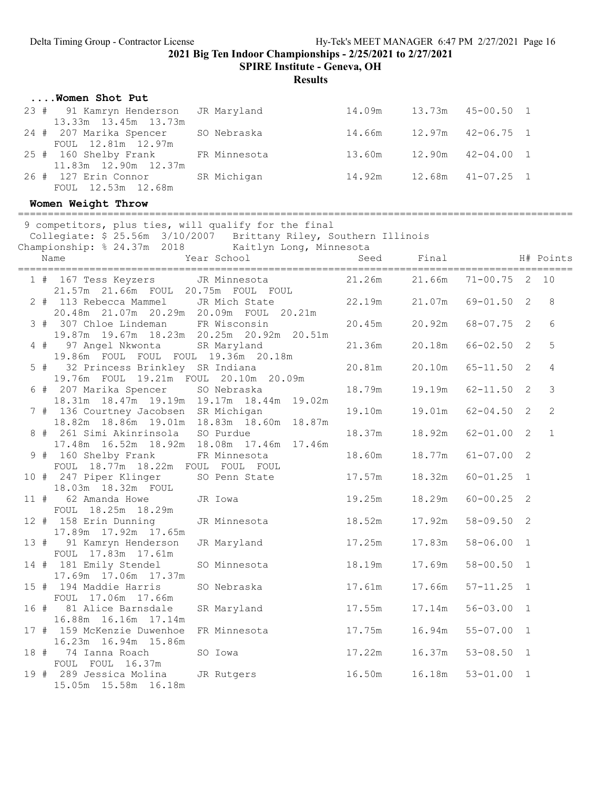SPIRE Institute - Geneva, OH

Results

| Women Shot Put                                               |             |        |                       |  |
|--------------------------------------------------------------|-------------|--------|-----------------------|--|
| 23 # 91 Kamryn Henderson JR Maryland<br>13.33m 13.45m 13.73m |             | 14.09m | $13.73m$ $45-00.50$ 1 |  |
| 24 # 207 Marika Spencer<br>FOUL 12.81m 12.97m                | SO Nebraska | 14.66m | 12.97m  42-06.75  1   |  |
| 25 # 160 Shelby Frank FR Minnesota<br>11.83m 12.90m 12.37m   |             | 13.60m | $12.90m$ $42-04.00$ 1 |  |
| 26 # 127 Erin Connor SR Michigan<br>FOUL 12.53m 12.68m       |             | 14.92m | $12.68m$ $41-07.25$ 1 |  |

#### Women Weight Throw

============================================================================================= 9 competitors, plus ties, will qualify for the final Collegiate: \$ 25.56m 3/10/2007 Brittany Riley, Southern Illinois Championship: % 24.37m 2018 Kaitlyn Long, Minnesota Name Year School Seed Final H# Points ============================================================================================= 1 # 167 Tess Keyzers JR Minnesota 167 Tess Reyzers<br>21.57m 21.66m FOUL 20.75m FOUL FOUL<br>The Michael Chata 2 # 113 Rebecca Mammel JR Mich State 22.19m 21.07m 69-01.50 2 8 20.48m 21.07m 20.29m 20.09m FOUL 20.21m 3 # 307 Chloe Lindeman FR Wisconsin 20.45m 20.92m 68-07.75 2 6 19.87m 19.67m 18.23m 20.25m 20.92m 20.51m 4 # 97 Angel Nkwonta SR Maryland 21.36m 20.18m 66-02.50 2 5 19.86m FOUL FOUL FOUL 19.36m 20.18m 19.86m FOUL FOUL FOUL 19.36m 20.18m<br>
5 # 32 Princess Brinkley SR Indiana<br>
19.76m FOUL 19.21m FOUL 20.10m 20.09m<br>
6 # 207 Marika Spencer SO Nebraska<br>
18.31m 18.47m 19.19m 19.17m 18.44m 19.02m<br>
18.31m 18.47m 19.19m 19.17m 18 19.76m FOUL 19.21m FOUL 20.10m 20.09m 6 # 207 Marika Spencer SO Nebraska 18.79m 19.19m 62-11.50 2 3 18.31m 18.47m 19.19m 19.17m 18.44m 19.02m 7 # 136 Courtney Jacobsen SR Michigan 19.10m 19.01m 62-04.50 2 2 18.82m 18.86m 19.01m 18.83m 18.60m 18.87m 8 # 261 Simi Akinrinsola SO Purdue 18.37m 18.92m 62-01.00 2 1 17.48m 16.52m 18.92m 18.08m 17.46m 17.46m 9 # 160 Shelby Frank FR Minnesota 18.60m 18.77m 61-07.00 2 FOUL 18.77m 18.22m FOUL FOUL FOUL 10 # 247 Piper Klinger SO Penn State 17.57m 18.32m 60-01.25 1 18.03m 18.32m FOUL 11 # 62 Amanda Howe JR Iowa 19.25m 18.29m 60-00.25 2 FOUL 18.25m 18.29m 12 # 158 Erin Dunning JR Minnesota 18.52m 17.92m 58-09.50 2 17.89m 17.92m 17.65m 13 # 91 Kamryn Henderson JR Maryland 17.25m 17.83m 58-06.00 1 FOUL 17.83m 17.61m 14 # 181 Emily Stendel SO Minnesota 18.19m 17.69m 58-00.50 1 17.69m 17.06m 17.37m<br>15 # 194 Maddie Harris so Nebraska 17.61m 17.66m 57-11.25 1 FOUL 17.06m 17.66m<br>16 # 81 Alice Barnsdale SR Maryland 17.55m 17.14m 56-03.00 1 16.88m 16.16m 17.14m 17 # 159 McKenzie Duwenhoe FR Minnesota 17.75m 16.94m 55-07.00 1 16.23m 16.94m 15.86m<br>18 # 74 Ianna Roach SO Iowa 17.22m 16.37m 53-08.50 1 FOUL FOUL 16.37m<br>19 # 289 Jessica Molina JR Rutgers 16.50m 16.18m 53-01.00 1 15.05m 15.58m 16.18m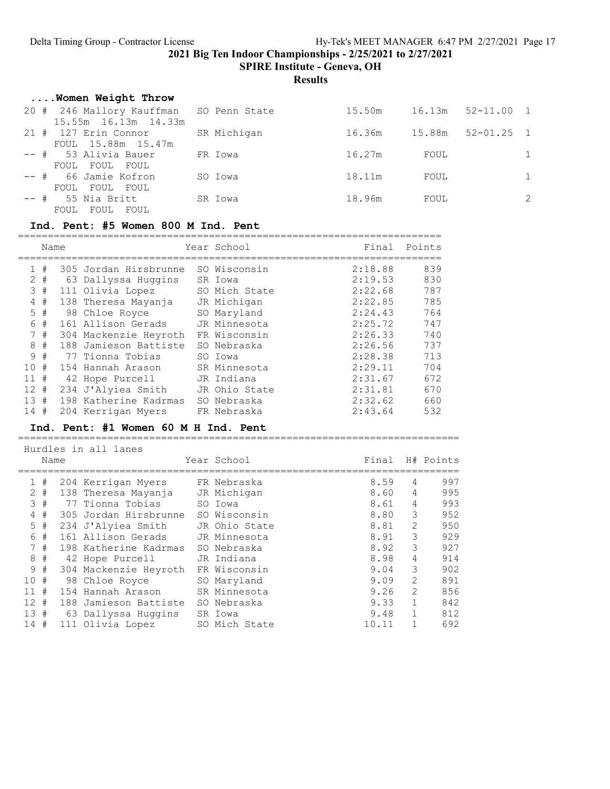SPIRE Institute - Geneva, OH

**Results** 

| Women Weight Throw                                              |             |        |      |                       |               |
|-----------------------------------------------------------------|-------------|--------|------|-----------------------|---------------|
| 20 # 246 Mallory Kauffman SO Penn State<br>15.55m 16.13m 14.33m |             | 15.50m |      | $16.13m$ $52-11.00$ 1 |               |
| $21$ # $127$ Erin Connor<br>FOUL 15.88m 15.47m                  | SR Michigan | 16.36m |      | 15.88m 52-01.25 1     |               |
| $--$ # 53 Alivia Bauer<br>FOUL FOUL FOUL                        | FR Iowa     | 16.27m | FOUL |                       | $\mathbf{1}$  |
| $--$ # 66 Jamie Kofron<br>FOUL FOUL FOUL                        | SO Iowa     | 18.11m | FOUL |                       | $\mathbf{1}$  |
| $--$ # 55 Nia Britt<br>FOUL FOUL FOUL                           | SR Iowa     | 18.96m | FOUL |                       | $\mathcal{L}$ |

### Ind. Pent: #5 Women 800 M Ind. Pent

|     | Name |                       | Year School   | Final   | Points |
|-----|------|-----------------------|---------------|---------|--------|
|     | #    | 305 Jordan Hirsbrunne | SO Wisconsin  | 2:18.88 | 839    |
| 2   | #    | 63 Dallyssa Huqqins   | SR Iowa       | 2:19.53 | 830    |
| 3   | #    | 111 Olivia Lopez      | SO Mich State | 2:22.68 | 787    |
| 4   | #    | 138 Theresa Mayanja   | JR Michigan   | 2:22.85 | 785    |
| 5   | #    | 98 Chloe Royce        | SO Maryland   | 2:24.43 | 764    |
| 6   | #    | 161 Allison Gerads    | JR Minnesota  | 2:25.72 | 747    |
| 7   | #    | 304 Mackenzie Heyroth | FR Wisconsin  | 2:26.33 | 740    |
| 8   | #    | 188 Jamieson Battiste | SO Nebraska   | 2:26.56 | 737    |
| 9   | #    | 77 Tionna Tobias      | SO Iowa       | 2:28.38 | 713    |
| 10  | #    | 154 Hannah Arason     | SR Minnesota  | 2:29.11 | 704    |
| 11  | #    | 42 Hope Purcell       | JR Indiana    | 2:31.67 | 672    |
| 12  | #    | 234 J'Alyiea Smith    | JR Ohio State | 2:31.81 | 670    |
| 1.3 | #    | 198 Katherine Kadrmas | SO Nebraska   | 2:32.62 | 660    |
| 14  | #    | 204 Kerrigan Myers    | FR Nebraska   | 2:43.64 | 532    |

#### Ind. Pent: #1 Women 60 M H Ind. Pent

==========================================================================

| Hurdles in all lanes |       |  |                       |  |               |       |                |           |  |
|----------------------|-------|--|-----------------------|--|---------------|-------|----------------|-----------|--|
|                      | Name  |  |                       |  | Year School   | Final |                | H# Points |  |
|                      |       |  |                       |  |               |       |                |           |  |
|                      | #     |  | 204 Kerrigan Myers    |  | FR Nebraska   | 8.59  | 4              | 997       |  |
|                      | $2 +$ |  | 138 Theresa Mayanja   |  | JR Michigan   | 8.60  | 4              | 995       |  |
| 3                    | #     |  | 77 Tionna Tobias      |  | SO Iowa       | 8.61  | 4              | 993       |  |
| 4                    | #     |  | 305 Jordan Hirsbrunne |  | SO Wisconsin  | 8.80  | 3              | 952       |  |
|                      | 5#    |  | 234 J'Alyiea Smith    |  | JR Ohio State | 8.81  | $\overline{2}$ | 950       |  |
| 6                    | #     |  | 161 Allison Gerads    |  | JR Minnesota  | 8.91  | 3              | 929       |  |
|                      | 7#    |  | 198 Katherine Kadrmas |  | SO Nebraska   | 8.92  | 3              | 927       |  |
|                      | 8#    |  | 42 Hope Purcell       |  | JR Indiana    | 8.98  | 4              | 914       |  |
|                      | 9#    |  | 304 Mackenzie Heyroth |  | FR Wisconsin  | 9.04  | 3              | 902       |  |
| 10#                  |       |  | 98 Chloe Royce        |  | SO Maryland   | 9.09  | $\overline{2}$ | 891       |  |
| 11                   | #     |  | 154 Hannah Arason     |  | SR Minnesota  | 9.26  | $\overline{2}$ | 856       |  |
| $12 \pm$             |       |  | 188 Jamieson Battiste |  | SO Nebraska   | 9.33  |                | 842       |  |
| 13#                  |       |  | 63 Dallyssa Huggins   |  | SR Iowa       | 9.48  |                | 812       |  |
| 14                   | #     |  | 111 Olivia Lopez      |  | SO Mich State | 10.11 |                | 692       |  |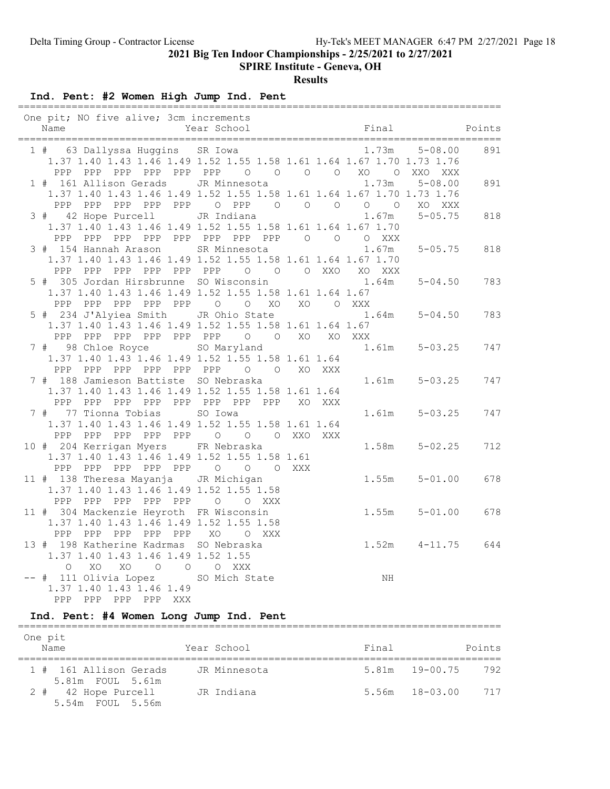SPIRE Institute - Geneva, OH

Results

Ind. Pent: #2 Women High Jump Ind. Pent

| One pit; NO five alive; 3cm increments<br>Name                                                                                                | ============================<br>Year School | Final                                                                                                    | Points |
|-----------------------------------------------------------------------------------------------------------------------------------------------|---------------------------------------------|----------------------------------------------------------------------------------------------------------|--------|
| 1 # 63 Dallyssa Huggins SR Iowa<br>PPP PPP PPP PPP PPP PPP 0 0 0 0 XO 0                                                                       |                                             | 1.73m<br>$5 - 08.00$<br>1.37 1.40 1.43 1.46 1.49 1.52 1.55 1.58 1.61 1.64 1.67 1.70 1.73 1.76<br>XXO XXX | 891    |
| 1 # 161 Allison Gerads JR Minnesota 1.73m<br>PPP PPP PPP PPP OPPP 0 0 0 0 0 0                                                                 |                                             | $5 - 08.00$<br>1.37 1.40 1.43 1.46 1.49 1.52 1.55 1.58 1.61 1.64 1.67 1.70 1.73 1.76<br>XO XXX           | 891    |
| 3 # 42 Hope Purcell JR Indiana<br>1.37 1.40 1.43 1.46 1.49 1.52 1.55 1.58 1.61 1.64 1.67 1.70<br>PPP PPP PPP PPP PPP PPP PPP PPP 0 0 0 XXX    |                                             | 1.67m<br>$5 - 05.75$                                                                                     | 818    |
| 3 # 154 Hannah Arason SR Minnesota<br>1.37 1.40 1.43 1.46 1.49 1.52 1.55 1.58 1.61 1.64 1.67 1.70<br>PPP PPP PPP PPP PPP PPP 0 0 0 XXO XO XXX |                                             | 1.67m<br>$5 - 05.75$                                                                                     | 818    |
| 5 # 305 Jordan Hirsbrunne SO Wisconsin<br>1.37 1.40 1.43 1.46 1.49 1.52 1.55 1.58 1.61 1.64 1.67<br>PPP PPP PPP PPP PPP 0 0 XO XO 0 XXX       |                                             | 1.64m<br>$5 - 04.50$                                                                                     | 783    |
| 5 # 234 J'Alyiea Smith JR Ohio State<br>1.37 1.40 1.43 1.46 1.49 1.52 1.55 1.58 1.61 1.64 1.67<br>PPP PPP PPP PPP PPP PPP 0 0 XO XO XXX       |                                             | $1.64m$ $5-04.50$                                                                                        | 783    |
| 7 # 98 Chloe Royce SO Maryland 5-03.25<br>1.37 1.40 1.43 1.46 1.49 1.52 1.55 1.58 1.61 1.64<br>PPP PPP PPP PPP PPP PPP 0 0 XO XXX             |                                             |                                                                                                          | 747    |
| 7 # 188 Jamieson Battiste SO Nebraska<br>1.37 1.40 1.43 1.46 1.49 1.52 1.55 1.58 1.61 1.64<br>PPP                                             | PPP PPP PPP PPP PPP PPP PPP XO XXX          | $1.61m$ $5-03.25$                                                                                        | 747    |
| 7 # 77 Tionna Tobias<br>1.37 1.40 1.43 1.46 1.49 1.52 1.55 1.58 1.61 1.64<br>PPP PPP PPP PPP PPP 0 0 0 XXO XXX                                | SO Iowa                                     | $1.61m$ $5-03.25$                                                                                        | 747    |
| 10 # 204 Kerrigan Myers FR Nebraska<br>1.37 1.40 1.43 1.46 1.49 1.52 1.55 1.58 1.61<br>PPP PPP PPP PPP PPP 0 0 0 XXX                          |                                             | $1.58m$ $5-02.25$                                                                                        | 712    |
| 11 # 138 Theresa Mayanja JR Michigan<br>1.37 1.40 1.43 1.46 1.49 1.52 1.55 1.58<br>PPP PPP PPP PPP PPP O                                      | O XXX                                       | $1.55m$ $5-01.00$                                                                                        | 678    |
| 11 # 304 Mackenzie Heyroth FR Wisconsin<br>1.37 1.40 1.43 1.46 1.49 1.52 1.55 1.58<br>PPP PPP PPP PPP PPP XO O XXX                            |                                             | $1.55m$ $5-01.00$                                                                                        | 678    |
| 13 # 198 Katherine Kadrmas SO Nebraska<br>1.37 1.40 1.43 1.46 1.49 1.52 1.55<br>$\circ$<br>XO<br>XO O O O XXX                                 |                                             | $1.52m$ $4-11.75$ 644                                                                                    |        |
| -- # 111 Olivia Lopez SO Mich State<br>1.37 1.40 1.43 1.46 1.49<br>PPP PPP PPP PPP XXX                                                        |                                             | ΝH                                                                                                       |        |

#### Ind. Pent: #4 Women Long Jump Ind. Pent =================================================================================

| One pit<br>Name                            | Year School  | Final              | Points             |
|--------------------------------------------|--------------|--------------------|--------------------|
| 1 # 161 Allison Gerads<br>5.81m FOUL 5.61m | JR Minnesota |                    | 5.81m 19-00.75 792 |
| 2 # 42 Hope Purcell<br>5.54m FOUL 5.56m    | JR Indiana   | $5.56m$ $18-03.00$ | 717                |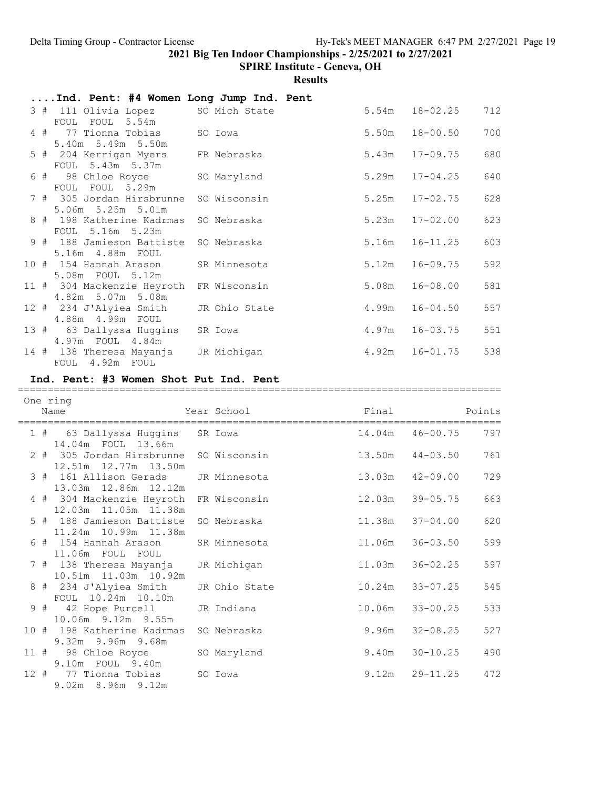SPIRE Institute - Geneva, OH

|      |     | Ind. Pent: #4 Women Long Jump Ind. Pent                      |               |        |              |        |
|------|-----|--------------------------------------------------------------|---------------|--------|--------------|--------|
|      |     | 3 # 111 Olivia Lopez<br>FOUL<br>FOUL 5.54m                   | SO Mich State | 5.54m  | $18 - 02.25$ | 712    |
|      | 4#  | 77 Tionna Tobias<br>5.40m 5.49m 5.50m                        | SO Iowa       | 5.50m  | $18 - 00.50$ | 700    |
|      |     | 5 # 204 Kerrigan Myers<br>FOUL 5.43m 5.37m                   | FR Nebraska   | 5.43m  | $17 - 09.75$ | 680    |
|      | 6 # | 98 Chloe Royce<br>FOUL FOUL 5.29m                            | SO Maryland   | 5.29m  | $17 - 04.25$ | 640    |
|      |     | 7 # 305 Jordan Hirsbrunne<br>5.06m 5.25m 5.01m               | SO Wisconsin  | 5.25m  | $17 - 02.75$ | 628    |
|      |     | 8 # 198 Katherine Kadrmas<br>FOUL 5.16m 5.23m                | SO Nebraska   | 5.23m  | $17 - 02.00$ | 623    |
|      |     | 9 # 188 Jamieson Battiste<br>5.16m  4.88m  FOUL              | SO Nebraska   | 5.16m  | $16 - 11.25$ | 603    |
|      |     | 10 # 154 Hannah Arason<br>5.08m FOUL 5.12m                   | SR Minnesota  | 5.12m  | $16 - 09.75$ | 592    |
|      |     | 11 # 304 Mackenzie Heyroth FR Wisconsin<br>4.82m 5.07m 5.08m |               | 5.08m  | $16 - 08.00$ | 581    |
|      |     | 12 # 234 J'Alyiea Smith<br>4.88m  4.99m  FOUL                | JR Ohio State | 4.99m  | $16 - 04.50$ | 557    |
|      |     | 13 # 63 Dallyssa Huggins<br>4.97m FOUL 4.84m                 | SR Iowa       | 4.97m  | $16 - 03.75$ | 551    |
|      |     | 14 # 138 Theresa Mayanja JR Michigan<br>FOUL 4.92m FOUL      |               | 4.92m  | $16 - 01.75$ | 538    |
|      |     | Ind. Pent: #3 Women Shot Put Ind. Pent                       |               |        |              |        |
|      |     |                                                              |               |        |              |        |
|      |     |                                                              |               |        |              |        |
|      |     | One ring<br>Name                                             | Year School   | Final  |              | Points |
|      |     | 1 # 63 Dallyssa Huggins                                      | SR Iowa       | 14.04m | $46 - 00.75$ | 797    |
|      |     | 14.04m FOUL 13.66m<br>2 # 305 Jordan Hirsbrunne              | SO Wisconsin  | 13.50m | $44 - 03.50$ | 761    |
|      |     | 12.51m  12.77m  13.50m<br>3 # 161 Allison Gerads             | JR Minnesota  | 13.03m | $42 - 09.00$ | 729    |
|      |     | 13.03m  12.86m  12.12m<br>4 # 304 Mackenzie Heyroth          | FR Wisconsin  | 12.03m | $39 - 05.75$ | 663    |
|      |     | 12.03m  11.05m  11.38m<br>5 # 188 Jamieson Battiste          | SO Nebraska   | 11.38m | $37 - 04.00$ | 620    |
|      |     | 11.24m  10.99m  11.38m<br>6 # 154 Hannah Arason              | SR Minnesota  | 11.06m | $36 - 03.50$ | 599    |
|      |     | 11.06m FOUL FOUL<br>7 # 138 Theresa Mayanja                  | JR Michigan   | 11.03m | $36 - 02.25$ | 597    |
|      |     | 10.51m  11.03m  10.92m<br>8 # 234 J'Alyiea Smith             | JR Ohio State | 10.24m | $33 - 07.25$ | 545    |
|      | 9#  | FOUL 10.24m 10.10m<br>42 Hope Purcell                        | JR Indiana    | 10.06m | $33 - 00.25$ | 533    |
|      |     | 10.06m 9.12m 9.55m<br>10 # 198 Katherine Kadrmas             | SO Nebraska   | 9.96m  | $32 - 08.25$ | 527    |
| 11 # |     | 9.32m 9.96m 9.68m<br>98 Chloe Royce<br>9.10m FOUL 9.40m      | SO Maryland   | 9.40m  | $30 - 10.25$ | 490    |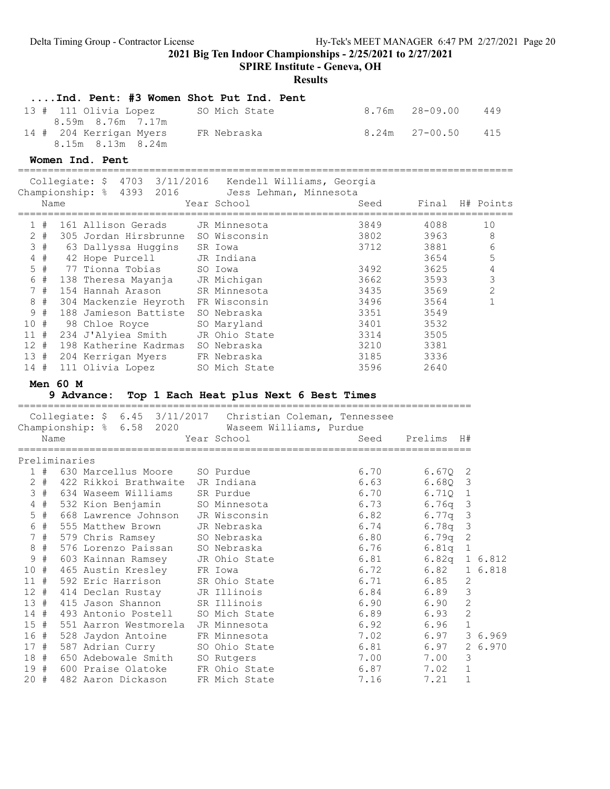SPIRE Institute - Geneva, OH

|             |             | Ind. Pent: #3 Women Shot Put Ind. Pent                            |                                |                      |                  |                  |
|-------------|-------------|-------------------------------------------------------------------|--------------------------------|----------------------|------------------|------------------|
|             |             | 13 # 111 Olivia Lopez<br>8.59m 8.76m 7.17m                        | SO Mich State                  | 8.76m                | $28 - 09.00$     | 449              |
|             |             | 14 # 204 Kerrigan Myers                                           | FR Nebraska                    | 8.24m                | $27 - 00.50$     | 415              |
|             |             | 8.15m 8.13m 8.24m<br>Women Ind. Pent                              |                                |                      |                  |                  |
|             |             | Collegiate: \$ 4703 3/11/2016 Kendell Williams, Georgia           |                                |                      |                  |                  |
|             |             | Championship: % 4393 2016 Jess Lehman, Minnesota                  |                                |                      |                  |                  |
|             | Name        |                                                                   | Year School                    | Seed                 |                  | Final H# Points  |
|             | 1#          | 161 Allison Gerads     JR Minnesota                               |                                | 3849                 | 4088             | 10               |
|             | $2 +$       | 305 Jordan Hirsbrunne SO Wisconsin                                |                                | 3802                 | 3963             | 8                |
|             |             | 3 # 63 Dallyssa Huggins SR Iowa                                   |                                | 3712                 | 3881             | 6                |
|             |             | 4 # 42 Hope Purcell JR Indiana                                    |                                |                      | 3654             | 5                |
|             | $5$ #       | 77 Tionna Tobias                                                  | SO Iowa                        | 3492                 | 3625             | $\sqrt{4}$       |
|             | 6 #         | 138 Theresa Mayanja JR Michigan<br>154 Hannah Arason SR Minnesota |                                | 3662                 | 3593             | $\mathfrak{Z}$   |
|             | 7#          |                                                                   |                                | 3435                 | 3569             | $\overline{c}$   |
|             | $8 +$       | 304 Mackenzie Heyroth FR Wisconsin                                |                                | 3496                 | 3564             | $\mathbf{1}$     |
|             | 9#          | 188 Jamieson Battiste SO Nebraska                                 |                                | 3351                 | 3549             |                  |
| 10#         |             | 98 Chloe Royce                                                    | SO Maryland                    | 3401                 | 3532             |                  |
|             |             | 11 # 234 J'Alyiea Smith JR Ohio State                             |                                | 3314                 | 3505             |                  |
| 12#         |             | 198 Katherine Kadrmas SO Nebraska                                 |                                | 3210                 | 3381             |                  |
| 13#         |             | 204 Kerrigan Myers FR Nebraska                                    |                                | 3185                 | 3336             |                  |
| 14#         |             | 111 Olivia Lopez SO Mich State                                    |                                | 3596                 | 2640             |                  |
|             |             | Men $60$ M                                                        |                                |                      |                  |                  |
|             |             | 9 Advance: Top 1 Each Heat plus Next 6 Best Times                 |                                |                      |                  |                  |
|             |             | Collegiate: \$ 6.45 3/11/2017 Christian Coleman, Tennessee        |                                |                      |                  |                  |
|             | Name        | Championship: % 6.58 2020 Waseem Williams, Purdue                 | Year School                    | Seed                 | Prelims          | H#               |
|             |             | ==================                                                |                                |                      |                  |                  |
|             |             | Preliminaries                                                     |                                |                      |                  |                  |
|             |             | 1 # 630 Marcellus Moore                                           | SO Purdue                      | 6.70                 | $6.67Q$ 2        |                  |
|             | $2 +$       | 422 Rikkoi Brathwaite JR Indiana                                  |                                | 6.63                 | 6.68Q<br>6.710 1 | 3                |
|             | 3#<br>$4$ # | 634 Waseem Williams SR Purdue                                     | SO Minnesota                   | 6.70                 |                  |                  |
|             | $5$ #       | 532 Kion Benjamin<br>668 Lawrence Johnson JR Wisconsin            |                                | 6.73 6.76q 3<br>6.82 | 6.77q            | 3                |
|             | 6 #         | 555 Matthew Brown                                                 | JR Nebraska                    | 6.74                 | 6.78q            | 3                |
|             |             | 7 # 579 Chris Ramsey                                              | SO Nebraska                    | 6.80                 | 6.79q            | $\mathbf{2}$     |
| 8           | - #         | 576 Lorenzo Paissan                                               | SO Nebraska                    | 6.76                 | 6.81q            | $\mathbf 1$      |
|             | 9#          | 603 Kainnan Ramsey                                                | JR Ohio State                  | 6.81                 | 6.82q            | 1 6.812          |
| 10#         |             | 465 Austin Kresley                                                | FR Iowa                        | 6.72                 | 6.82             | 1 6.818          |
| 11#         |             | 592 Eric Harrison                                                 | SR Ohio State                  | 6.71                 | 6.85             | 2                |
| $12$ #      |             | 414 Declan Rustay                                                 | JR Illinois                    | 6.84                 | 6.89             | 3                |
| 13#         |             | 415 Jason Shannon                                                 | SR Illinois                    | 6.90                 | 6.90             | $\mathbf{2}$     |
| $14 +$      |             | 493 Antonio Postell                                               | SO Mich State                  | 6.89                 | 6.93             | $\mathbf{2}$     |
| 15#         |             | 551 Aarron Westmorela                                             | JR Minnesota                   | 6.92                 | 6.96             | $\mathbf 1$      |
| 16 #        |             | 528 Jaydon Antoine                                                | FR Minnesota                   | 7.02                 | 6.97             | 3 6.969          |
| 17#         |             | 587 Adrian Curry                                                  | SO Ohio State                  | 6.81                 | 6.97             | 2<br>6.970       |
| 18 #        |             | 650 Adebowale Smith                                               | SO Rutgers                     | 7.00                 | 7.00             | 3                |
| 19 #<br>20# |             | 600 Praise Olatoke<br>482 Aaron Dickason                          | FR Ohio State<br>FR Mich State | 6.87<br>7.16         | 7.02<br>7.21     | $\mathbf 1$<br>1 |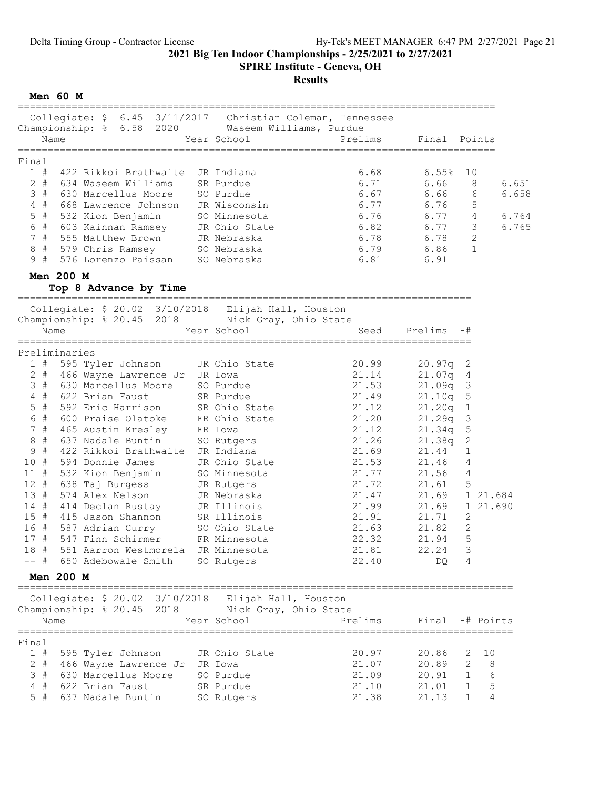SPIRE Institute - Geneva, OH

# Results

Men 60 M

| Collegiate: \$ 6.45 3/11/2017 Christian Coleman, Tennessee<br>Championship: % 6.58 2020 Waseem Williams, Purdue<br>Name<br>Year School |                         | Prelims Final Points           |                 |                 |          |
|----------------------------------------------------------------------------------------------------------------------------------------|-------------------------|--------------------------------|-----------------|-----------------|----------|
|                                                                                                                                        |                         |                                |                 |                 |          |
| Final                                                                                                                                  |                         |                                |                 |                 |          |
| 422 Rikkoi Brathwaite JR Indiana<br>1#                                                                                                 |                         | 6.68                           | 6.55%           | 10              |          |
| $2 +$<br>634 Waseem Williams SR Purdue                                                                                                 |                         | 6.71                           | 6.66            | 8               | 6.651    |
| 3#<br>630 Marcellus Moore                                                                                                              | SO Purdue               | 6.67                           | 6.66            | 6               | 6.658    |
| $4$ #<br>668 Lawrence Johnson                                                                                                          | JR Wisconsin            | 6.77                           | 6.76            | 5               |          |
| $5$ #<br>532 Kion Benjamin                                                                                                             | SO Minnesota            | 6.76                           |                 | $4\overline{ }$ | 6.764    |
| 603 Kainnan Ramsey<br>6 #                                                                                                              | JR Ohio State           | $6.76$ $6.77$<br>$6.82$ $6.77$ |                 | 3               | 6.765    |
| 555 Matthew Brown<br>7#                                                                                                                | JR Nebraska             | 6.78 6.78                      |                 | 2               |          |
| 8 #<br>579 Chris Ramsey         SO Nebraska                                                                                            |                         | $6.79$ $6.86$                  |                 | $\mathbf{1}$    |          |
| 9#<br>576 Lorenzo Paissan SO Nebraska                                                                                                  |                         | 6.81 6.91                      |                 |                 |          |
|                                                                                                                                        |                         |                                |                 |                 |          |
| Men 200 M<br>Top 8 Advance by Time                                                                                                     |                         |                                |                 |                 |          |
|                                                                                                                                        |                         |                                |                 |                 |          |
| Collegiate: \$ 20.02 3/10/2018 Elijah Hall, Houston                                                                                    |                         |                                |                 |                 |          |
| Championship: % 20.45 2018 Nick Gray, Ohio State                                                                                       |                         |                                |                 |                 |          |
| Name                                                                                                                                   | Year School             |                                | Seed Prelims H# |                 |          |
| Preliminaries                                                                                                                          |                         |                                |                 |                 |          |
| 595 Tyler Johnson<br>1#                                                                                                                | JR Ohio State           | 20.99                          | $20.97q$ 2      |                 |          |
| 466 Wayne Lawrence Jr JR Iowa<br>$2$ #                                                                                                 |                         | 21.14                          | 21.07q          | 4               |          |
| 3#<br>630 Marcellus Moore SO Purdue                                                                                                    |                         | 21.53                          | 21.09q          | 3               |          |
| $4$ #                                                                                                                                  |                         | 21.49                          | 21.10q          | 5               |          |
| 622 Brian Faust SR Purdue<br>592 Eric Harrison SR Ohio State<br>600 Praise Olatoke FR Ohio State<br>$5$ #                              |                         | 21.12                          | 21.20q          | 1               |          |
| 6 #                                                                                                                                    |                         | 21.20                          | 21.29q          | 3               |          |
| 465 Austin Kresley FR Iowa<br>7#                                                                                                       |                         | 21.12                          | 21.34q          | 5               |          |
| 637 Nadale Buntin<br>$8 +$                                                                                                             | SO Rutgers              | 21.26                          | 21.38q          | 2               |          |
| 9#<br>422 Rikkoi Brathwaite JR Indiana                                                                                                 |                         | 21.69                          | 21.44           | 1               |          |
| 10#<br>594 Donnie James                                                                                                                | JR Ohio State           | 21.53                          | 21.46           | 4               |          |
| 11#                                                                                                                                    | SO Minnesota            | 21.77                          | 21.56           | 4               |          |
| 532 Kion Benjamin<br>638 Taj Burgess<br>12#                                                                                            | JR Rutgers              | 21.72                          | 21.61           | -5              |          |
| 574 Alex Nelson<br>13#                                                                                                                 | JR Nebraska             | 21.47                          | 21.69 1 21.684  |                 |          |
| 14#<br>414 Declan Rustay                                                                                                               | JR Illinois             | 21.99                          | 21.69           |                 | 1 21.690 |
| 15#<br>415 Jason Shannon                                                                                                               | SR Illinois             | 21.91                          | 21.71           | 2               |          |
| 16 # 587 Adrian Curry                                                                                                                  |                         | 21.63                          | 21.82           | $\mathbf{2}$    |          |
| 17#<br>547 Finn Schirmer                                                                                                               | SO Ohio State<br>FR Mic | 22.32                          | 21.94           | 5               |          |
| 551 Aarron Westmorela JR Minnesota<br>18 #                                                                                             |                         | 21.81                          | 22.24           | 3               |          |
| -- # 650 Adebowale Smith                                                                                                               | SO Rutgers              | 22.40                          | DO.             | 4               |          |
| <b>Men 200 M</b>                                                                                                                       |                         |                                |                 |                 |          |
|                                                                                                                                        |                         |                                |                 |                 |          |
| Collegiate: \$ 20.02 3/10/2018 Elijah Hall, Houston                                                                                    |                         |                                |                 |                 |          |
| Championship: % 20.45 2018 Nick Gray, Ohio State                                                                                       |                         |                                |                 |                 |          |
| Name                                                                                                                                   | Year School             | Prelims                        | Final H# Points |                 |          |
| Final                                                                                                                                  |                         |                                |                 |                 |          |
| 1#<br>595 Tyler Johnson                                                                                                                | JR Ohio State           | 20.97                          | 20.86           | 2               | 10       |
| $2$ #<br>466 Wayne Lawrence Jr JR Iowa                                                                                                 |                         | 21.07                          | 20.89           | 2               | 8        |
| 3#<br>630 Marcellus Moore                                                                                                              | SO Purdue               | 21.09                          | 20.91           | 1               | 6        |
| 4#<br>622 Brian Faust                                                                                                                  | SR Purdue               | 21.10                          | 21.01           | 1               | -5       |
| $5$ #<br>637 Nadale Buntin                                                                                                             | SO Rutgers              | 21.38                          | 21.13           | $\mathbf{1}$    | 4        |
|                                                                                                                                        |                         |                                |                 |                 |          |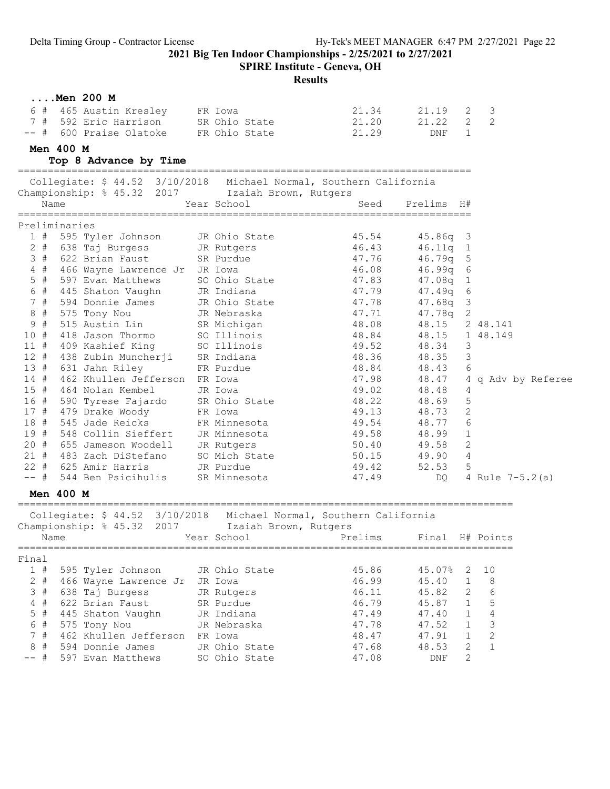SPIRE Institute - Geneva, OH

| $\ldots$ Men 200 M                                                              |                           |                |                  |                |                          |
|---------------------------------------------------------------------------------|---------------------------|----------------|------------------|----------------|--------------------------|
| 6 # 465 Austin Kresley                                                          | FR Iowa                   | 21.34          | 21.19            | 2              | $\overline{3}$           |
| 7 # 592 Eric Harrison SR Ohio State                                             |                           | 21.20          | 21.22            | $\overline{2}$ | 2                        |
| -- # 600 Praise Olatoke                                                         | FR Ohio State             | 21.29          | DNF              | $\mathbf{1}$   |                          |
| Men 400 M                                                                       |                           |                |                  |                |                          |
| Top 8 Advance by Time                                                           |                           |                |                  |                |                          |
| Collegiate: \$44.52 3/10/2018 Michael Normal, Southern California               |                           |                |                  |                |                          |
| Championship: % 45.32 2017 Izaiah Brown, Rutgers                                |                           |                |                  |                |                          |
| Name                                                                            | Year School               | Seed           | Prelims H#       |                |                          |
|                                                                                 |                           |                |                  |                |                          |
| Preliminaries                                                                   |                           |                |                  |                |                          |
| $1$ #<br>595 Tyler Johnson                                                      | JR Ohio State             | 45.54          | $45.86q$ 3       |                |                          |
| $2 +$<br>638 Taj Burgess                                                        | JR Rutgers<br>SR Purduc   | 46.43          | $46.11q$ 1       |                |                          |
| 3#<br>622 Brian Faust                                                           | SR Purdue                 | 47.76          | $46.79q$ 5       |                |                          |
| $4$ #<br>466 Wayne Lawrence Jr JR Iowa                                          |                           | 46.08          | $46.99q$ 6       |                |                          |
| $5$ #<br>597 Evan Matthews                                                      | SO Ohio State 47.83       |                | $47.08q$ 1       |                |                          |
| 6 # 445 Shaton Vaughn                                                           | JR Indiana                | 47.79          | $47.49q$ 6       |                |                          |
| 7 # 594 Donnie James                                                            | JR Ohio State             | 47.78          | 47.68q 3         |                |                          |
| 8 # 575 Tony Nou                                                                | JR Nebraska               | 47.71          | 47.78q 2         |                |                          |
| 9#<br>515 Austin Lin                                                            | SR Michigan               | 48.08          | 48.15 2 48.141   |                |                          |
| 418 Jason Thormo<br>10#                                                         | SO Illinois               | 48.84          | 48.15 1 48.149   |                |                          |
| 11 # 409 Kashief King                                                           | SO Illinois               | 49.52          | 48.34            | 3              |                          |
| 12 #<br>438 Zubin Muncherji SR Indiana                                          |                           | 48.36          | 48.35            | $\mathcal{E}$  |                          |
| 13 # 631 Jahn Riley                                                             | FR Purdue                 | 48.84          | 48.43 6          |                |                          |
| 14#<br>462 Khullen Jefferson FR Iowa                                            |                           | 47.98          |                  |                | 48.47 4 q Adv by Referee |
| 15#<br>464 Nolan Kembel                                                         | JR Iowa                   | 49.02          | 48.48            | 4              |                          |
| 590 Tyrese Fajardo<br>16 #                                                      | SR Ohio State             | 48.22          | 48.69            | 5              |                          |
| 17 #<br>479 Drake Woody                                                         | FR Iowa                   | 49.13          | 48.73            | 2              |                          |
| 18 # 545 Jade Reicks                                                            | FR Minnesota              | 49.54          | 48.77            | 6              |                          |
| 19 # 548 Collin Sieffert<br>20 # 655 Jameson Woodell<br>21 # 483 Zach DiStefano | JR Minnesota              | 49.58          | 48.99 1          |                |                          |
|                                                                                 | JR Rutgers                | 50.40<br>50.15 | 49.58<br>49.90 4 | 2              |                          |
| 22 # 625 Amir Harris                                                            | SO Mich State             | 49.42          |                  |                |                          |
| -- # 544 Ben Psicihulis                                                         | JR Purdue<br>SR Minnesota | 47.49          | 52.53            | - 5            |                          |
|                                                                                 |                           |                | DQ.              |                | 4 Rule $7-5.2(a)$        |
| <b>Men 400 M</b>                                                                |                           |                |                  |                |                          |
| Collegiate: \$ 44.52 3/10/2018 Michael Normal, Southern California              |                           |                |                  |                |                          |
| Championship: % 45.32 2017 Izaiah Brown, Rutgers                                |                           |                |                  |                |                          |
| Name                                                                            | Year School Near School   | Prelims        | Final H# Points  |                |                          |
|                                                                                 |                           |                |                  |                |                          |
| Final<br>1#<br>595 Tyler Johnson                                                | JR Ohio State             | 45.86          | 45.07%           | 2              | 10                       |
| $2$ #<br>466 Wayne Lawrence Jr                                                  | JR Iowa                   | 46.99          | 45.40            | $\mathbf{1}$   | $\,8\,$                  |
| 3#<br>638 Taj Burgess                                                           | JR Rutgers                | 46.11          | 45.82            | $\mathbf{2}$   | $\epsilon$               |
| 4#<br>622 Brian Faust                                                           | SR Purdue                 | 46.79          | 45.87            | $\mathbf{1}$   | 5                        |
| 5<br>#<br>445 Shaton Vaughn                                                     | JR Indiana                | 47.49          | 47.40            | $\mathbf{1}$   | $\sqrt{4}$               |
| 6 #<br>575 Tony Nou                                                             | JR Nebraska               | 47.78          | 47.52            | $\mathbf{1}$   | 3                        |
| 7#<br>462 Khullen Jefferson                                                     | FR Iowa                   | 48.47          | 47.91            | $\mathbf{1}$   | $\overline{c}$           |
| 8<br>#<br>594 Donnie James                                                      | JR Ohio State             | 47.68          | 48.53            | $\overline{2}$ | $\mathbf{1}$             |
| 597 Evan Matthews<br>-- #                                                       | SO Ohio State             | 47.08          | DNF              | $\overline{2}$ |                          |
|                                                                                 |                           |                |                  |                |                          |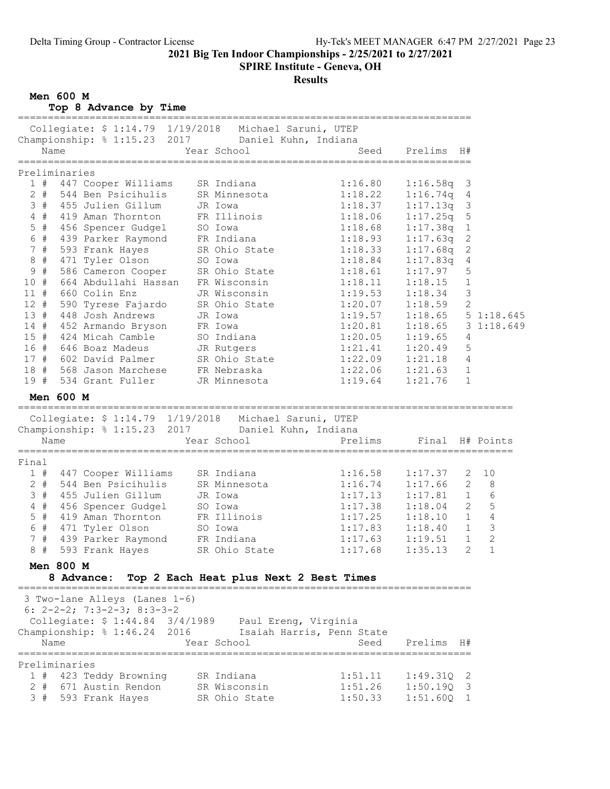SPIRE Institute - Geneva, OH

# Results

Men 600 M

Top 8 Advance by Time

| Collegiate: \$ 1:14.79 1/19/2018 Michael Saruni, UTEP<br>Championship: % 1:15.23 2017 Daniel Kuhn, Indiana<br>Year School<br>Name<br>Seed<br>Prelims<br>H#<br>Preliminaries<br>1#<br>447 Cooper Williams<br>SR Indiana<br>1:16.80<br>1:16.58q<br>3<br>$2 +$<br>$1:18.22$<br>$1:18.37$<br>$\overline{4}$<br>544 Ben Psicihulis SR Minnesota<br>455 Julien Gillum JR Iowa<br>1:16.74q<br>3 # 455 Julien Gillum<br>$\mathfrak{Z}$<br>1:17.13q<br>FR Illinois<br>1:18.06<br>$4$ #<br>$\mathsf S$<br>419 Aman Thornton<br>1:17.25q<br>456 Spencer Gudgel<br>$5$ #<br>$1\,$<br>1:18.68<br>1:17.38q<br>SO Iowa<br>6 #<br>FR Indiana<br>$\mathbf{2}$<br>439 Parker Raymond<br>1:18.93<br>1:17.63q<br>7#<br>$\mathbf{2}$<br>593 Frank Hayes<br>SR Ohio State<br>1:18.33<br>1:17.68q<br>$8 +$<br>$\sqrt{4}$<br>1:18.84<br>471 Tyler Olson SO Iowa<br>586 Cameron Cooper SR Ohio State<br>664 Abdullahi Hassan FR Wisconsin<br>1:17.83q<br>9#<br>1:17.97<br>5<br>1:18.61<br>1:18.11<br>10 #<br>1<br>1:18.15<br>3<br>11#<br>660 Colin Enz<br>JR Wisconsin<br>1:19.53<br>1:18.34<br>2<br>12#<br>590 Tyrese Fajardo SR Ohio State<br>1:20.07<br>1:18.59<br>13#<br>51:18.645<br>448 Josh Andrews<br>1:19.57<br>1:18.65<br>JR Iowa<br>14 # 452 Armando Bryson FR Iowa<br>15 # 424 Micah Camble SO Indiana<br>16 # 646 Boaz Madeus JR Rutgers<br>$1:20.81$<br>$1:20.05$<br>1:18.65<br>31:18.649<br>4<br>1:19.65<br>1:21.41<br>5<br>1:20.49<br>1:22.09<br>17 # 602 David Palmer<br>SR Ohio State<br>4<br>1:21.18<br>18 # 568 Jason Marchese<br>1<br>FR Nebraska<br>1:22.06<br>1:21.63<br>19#<br>534 Grant Fuller<br>JR Minnesota<br>1:19.64<br>$\mathbf 1$<br>1:21.76<br>Men 600 M<br>Collegiate: \$ 1:14.79 1/19/2018 Michael Saruni, UTEP<br>Championship: % 1:15.23 2017 Daniel Kuhn, Indiana<br>Prelims<br>Name<br>Year School<br>Final H# Points<br>Final<br>447 Cooper Williams SR Indiana<br>1:16.58<br>10<br>1#<br>1:17.37<br>2<br>544 Ben Psicihulis SR Minnesota<br>1:16.74<br>$\mathbf{2}$<br>$\,8\,$<br>$2 +$<br>1:17.66<br>3 # 455 Julien Gillum<br>6<br>1:17.13<br>1:17.81<br>$\mathbf{1}$<br>JR Iowa<br>5<br>$\overline{2}$<br>$4$ #<br>456 Spencer Gudgel SO Iowa<br>1:17.38<br>1:18.04<br>$\mathbf 1$<br>$\sqrt{4}$<br>$5$ #<br>419 Aman Thornton<br>FR Illinois<br>$1:17.25$<br>$1:17.83$<br>1:18.10<br>$\mathsf 3$<br>$\mathbf{1}$<br>6 #<br>471 Tyler Olson<br>1:18.40<br>SO Iowa<br>439 Parker Raymond FR Indiana<br>1:17.63<br>$\mathbf{2}$<br>7#<br>$\mathbf{1}$<br>1:19.51<br>SR Ohio State<br>$\mathbf{1}$<br>8#<br>$\overline{2}$<br>593 Frank Hayes<br>1:35.13<br>1:17.68<br>Men 800 M<br>8 Advance:<br>Top 2 Each Heat plus Next 2 Best Times<br>===============================<br>3 Two-lane Alleys (Lanes 1-6)<br>6: $2-2-2$ ; 7:3-2-3; 8:3-3-2<br>Collegiate: \$ 1:44.84 3/4/1989  Paul Ereng, Virginia<br>Championship: % 1:46.24 2016<br>Isaiah Harris, Penn State<br>Prelims<br>Name<br>Year School<br>Seed<br>H#<br>=======================<br>Preliminaries<br>SR Indiana<br>1 # 423 Teddy Browning<br>1:51.11<br>1:49.31Q<br>2<br>671 Austin Rendon<br>SR Wisconsin |    |   |  |  |         |          |   |  |
|-----------------------------------------------------------------------------------------------------------------------------------------------------------------------------------------------------------------------------------------------------------------------------------------------------------------------------------------------------------------------------------------------------------------------------------------------------------------------------------------------------------------------------------------------------------------------------------------------------------------------------------------------------------------------------------------------------------------------------------------------------------------------------------------------------------------------------------------------------------------------------------------------------------------------------------------------------------------------------------------------------------------------------------------------------------------------------------------------------------------------------------------------------------------------------------------------------------------------------------------------------------------------------------------------------------------------------------------------------------------------------------------------------------------------------------------------------------------------------------------------------------------------------------------------------------------------------------------------------------------------------------------------------------------------------------------------------------------------------------------------------------------------------------------------------------------------------------------------------------------------------------------------------------------------------------------------------------------------------------------------------------------------------------------------------------------------------------------------------------------------------------------------------------------------------------------------------------------------------------------------------------------------------------------------------------------------------------------------------------------------------------------------------------------------------------------------------------------------------------------------------------------------------------------------------------------------------------------------------------------------------------------------------------------------------------------------------------------------------------------------------------------------------------------------------------------------------------------------------------------------------------------------------------------------------------------------------------------------------------------------------------------------------------------------------------------------------------------|----|---|--|--|---------|----------|---|--|
|                                                                                                                                                                                                                                                                                                                                                                                                                                                                                                                                                                                                                                                                                                                                                                                                                                                                                                                                                                                                                                                                                                                                                                                                                                                                                                                                                                                                                                                                                                                                                                                                                                                                                                                                                                                                                                                                                                                                                                                                                                                                                                                                                                                                                                                                                                                                                                                                                                                                                                                                                                                                                                                                                                                                                                                                                                                                                                                                                                                                                                                                                         |    |   |  |  |         |          |   |  |
|                                                                                                                                                                                                                                                                                                                                                                                                                                                                                                                                                                                                                                                                                                                                                                                                                                                                                                                                                                                                                                                                                                                                                                                                                                                                                                                                                                                                                                                                                                                                                                                                                                                                                                                                                                                                                                                                                                                                                                                                                                                                                                                                                                                                                                                                                                                                                                                                                                                                                                                                                                                                                                                                                                                                                                                                                                                                                                                                                                                                                                                                                         |    |   |  |  |         |          |   |  |
|                                                                                                                                                                                                                                                                                                                                                                                                                                                                                                                                                                                                                                                                                                                                                                                                                                                                                                                                                                                                                                                                                                                                                                                                                                                                                                                                                                                                                                                                                                                                                                                                                                                                                                                                                                                                                                                                                                                                                                                                                                                                                                                                                                                                                                                                                                                                                                                                                                                                                                                                                                                                                                                                                                                                                                                                                                                                                                                                                                                                                                                                                         |    |   |  |  |         |          |   |  |
|                                                                                                                                                                                                                                                                                                                                                                                                                                                                                                                                                                                                                                                                                                                                                                                                                                                                                                                                                                                                                                                                                                                                                                                                                                                                                                                                                                                                                                                                                                                                                                                                                                                                                                                                                                                                                                                                                                                                                                                                                                                                                                                                                                                                                                                                                                                                                                                                                                                                                                                                                                                                                                                                                                                                                                                                                                                                                                                                                                                                                                                                                         |    |   |  |  |         |          |   |  |
|                                                                                                                                                                                                                                                                                                                                                                                                                                                                                                                                                                                                                                                                                                                                                                                                                                                                                                                                                                                                                                                                                                                                                                                                                                                                                                                                                                                                                                                                                                                                                                                                                                                                                                                                                                                                                                                                                                                                                                                                                                                                                                                                                                                                                                                                                                                                                                                                                                                                                                                                                                                                                                                                                                                                                                                                                                                                                                                                                                                                                                                                                         |    |   |  |  |         |          |   |  |
|                                                                                                                                                                                                                                                                                                                                                                                                                                                                                                                                                                                                                                                                                                                                                                                                                                                                                                                                                                                                                                                                                                                                                                                                                                                                                                                                                                                                                                                                                                                                                                                                                                                                                                                                                                                                                                                                                                                                                                                                                                                                                                                                                                                                                                                                                                                                                                                                                                                                                                                                                                                                                                                                                                                                                                                                                                                                                                                                                                                                                                                                                         |    |   |  |  |         |          |   |  |
|                                                                                                                                                                                                                                                                                                                                                                                                                                                                                                                                                                                                                                                                                                                                                                                                                                                                                                                                                                                                                                                                                                                                                                                                                                                                                                                                                                                                                                                                                                                                                                                                                                                                                                                                                                                                                                                                                                                                                                                                                                                                                                                                                                                                                                                                                                                                                                                                                                                                                                                                                                                                                                                                                                                                                                                                                                                                                                                                                                                                                                                                                         |    |   |  |  |         |          |   |  |
|                                                                                                                                                                                                                                                                                                                                                                                                                                                                                                                                                                                                                                                                                                                                                                                                                                                                                                                                                                                                                                                                                                                                                                                                                                                                                                                                                                                                                                                                                                                                                                                                                                                                                                                                                                                                                                                                                                                                                                                                                                                                                                                                                                                                                                                                                                                                                                                                                                                                                                                                                                                                                                                                                                                                                                                                                                                                                                                                                                                                                                                                                         |    |   |  |  |         |          |   |  |
|                                                                                                                                                                                                                                                                                                                                                                                                                                                                                                                                                                                                                                                                                                                                                                                                                                                                                                                                                                                                                                                                                                                                                                                                                                                                                                                                                                                                                                                                                                                                                                                                                                                                                                                                                                                                                                                                                                                                                                                                                                                                                                                                                                                                                                                                                                                                                                                                                                                                                                                                                                                                                                                                                                                                                                                                                                                                                                                                                                                                                                                                                         |    |   |  |  |         |          |   |  |
|                                                                                                                                                                                                                                                                                                                                                                                                                                                                                                                                                                                                                                                                                                                                                                                                                                                                                                                                                                                                                                                                                                                                                                                                                                                                                                                                                                                                                                                                                                                                                                                                                                                                                                                                                                                                                                                                                                                                                                                                                                                                                                                                                                                                                                                                                                                                                                                                                                                                                                                                                                                                                                                                                                                                                                                                                                                                                                                                                                                                                                                                                         |    |   |  |  |         |          |   |  |
|                                                                                                                                                                                                                                                                                                                                                                                                                                                                                                                                                                                                                                                                                                                                                                                                                                                                                                                                                                                                                                                                                                                                                                                                                                                                                                                                                                                                                                                                                                                                                                                                                                                                                                                                                                                                                                                                                                                                                                                                                                                                                                                                                                                                                                                                                                                                                                                                                                                                                                                                                                                                                                                                                                                                                                                                                                                                                                                                                                                                                                                                                         |    |   |  |  |         |          |   |  |
|                                                                                                                                                                                                                                                                                                                                                                                                                                                                                                                                                                                                                                                                                                                                                                                                                                                                                                                                                                                                                                                                                                                                                                                                                                                                                                                                                                                                                                                                                                                                                                                                                                                                                                                                                                                                                                                                                                                                                                                                                                                                                                                                                                                                                                                                                                                                                                                                                                                                                                                                                                                                                                                                                                                                                                                                                                                                                                                                                                                                                                                                                         |    |   |  |  |         |          |   |  |
|                                                                                                                                                                                                                                                                                                                                                                                                                                                                                                                                                                                                                                                                                                                                                                                                                                                                                                                                                                                                                                                                                                                                                                                                                                                                                                                                                                                                                                                                                                                                                                                                                                                                                                                                                                                                                                                                                                                                                                                                                                                                                                                                                                                                                                                                                                                                                                                                                                                                                                                                                                                                                                                                                                                                                                                                                                                                                                                                                                                                                                                                                         |    |   |  |  |         |          |   |  |
|                                                                                                                                                                                                                                                                                                                                                                                                                                                                                                                                                                                                                                                                                                                                                                                                                                                                                                                                                                                                                                                                                                                                                                                                                                                                                                                                                                                                                                                                                                                                                                                                                                                                                                                                                                                                                                                                                                                                                                                                                                                                                                                                                                                                                                                                                                                                                                                                                                                                                                                                                                                                                                                                                                                                                                                                                                                                                                                                                                                                                                                                                         |    |   |  |  |         |          |   |  |
|                                                                                                                                                                                                                                                                                                                                                                                                                                                                                                                                                                                                                                                                                                                                                                                                                                                                                                                                                                                                                                                                                                                                                                                                                                                                                                                                                                                                                                                                                                                                                                                                                                                                                                                                                                                                                                                                                                                                                                                                                                                                                                                                                                                                                                                                                                                                                                                                                                                                                                                                                                                                                                                                                                                                                                                                                                                                                                                                                                                                                                                                                         |    |   |  |  |         |          |   |  |
|                                                                                                                                                                                                                                                                                                                                                                                                                                                                                                                                                                                                                                                                                                                                                                                                                                                                                                                                                                                                                                                                                                                                                                                                                                                                                                                                                                                                                                                                                                                                                                                                                                                                                                                                                                                                                                                                                                                                                                                                                                                                                                                                                                                                                                                                                                                                                                                                                                                                                                                                                                                                                                                                                                                                                                                                                                                                                                                                                                                                                                                                                         |    |   |  |  |         |          |   |  |
|                                                                                                                                                                                                                                                                                                                                                                                                                                                                                                                                                                                                                                                                                                                                                                                                                                                                                                                                                                                                                                                                                                                                                                                                                                                                                                                                                                                                                                                                                                                                                                                                                                                                                                                                                                                                                                                                                                                                                                                                                                                                                                                                                                                                                                                                                                                                                                                                                                                                                                                                                                                                                                                                                                                                                                                                                                                                                                                                                                                                                                                                                         |    |   |  |  |         |          |   |  |
|                                                                                                                                                                                                                                                                                                                                                                                                                                                                                                                                                                                                                                                                                                                                                                                                                                                                                                                                                                                                                                                                                                                                                                                                                                                                                                                                                                                                                                                                                                                                                                                                                                                                                                                                                                                                                                                                                                                                                                                                                                                                                                                                                                                                                                                                                                                                                                                                                                                                                                                                                                                                                                                                                                                                                                                                                                                                                                                                                                                                                                                                                         |    |   |  |  |         |          |   |  |
|                                                                                                                                                                                                                                                                                                                                                                                                                                                                                                                                                                                                                                                                                                                                                                                                                                                                                                                                                                                                                                                                                                                                                                                                                                                                                                                                                                                                                                                                                                                                                                                                                                                                                                                                                                                                                                                                                                                                                                                                                                                                                                                                                                                                                                                                                                                                                                                                                                                                                                                                                                                                                                                                                                                                                                                                                                                                                                                                                                                                                                                                                         |    |   |  |  |         |          |   |  |
|                                                                                                                                                                                                                                                                                                                                                                                                                                                                                                                                                                                                                                                                                                                                                                                                                                                                                                                                                                                                                                                                                                                                                                                                                                                                                                                                                                                                                                                                                                                                                                                                                                                                                                                                                                                                                                                                                                                                                                                                                                                                                                                                                                                                                                                                                                                                                                                                                                                                                                                                                                                                                                                                                                                                                                                                                                                                                                                                                                                                                                                                                         |    |   |  |  |         |          |   |  |
|                                                                                                                                                                                                                                                                                                                                                                                                                                                                                                                                                                                                                                                                                                                                                                                                                                                                                                                                                                                                                                                                                                                                                                                                                                                                                                                                                                                                                                                                                                                                                                                                                                                                                                                                                                                                                                                                                                                                                                                                                                                                                                                                                                                                                                                                                                                                                                                                                                                                                                                                                                                                                                                                                                                                                                                                                                                                                                                                                                                                                                                                                         |    |   |  |  |         |          |   |  |
|                                                                                                                                                                                                                                                                                                                                                                                                                                                                                                                                                                                                                                                                                                                                                                                                                                                                                                                                                                                                                                                                                                                                                                                                                                                                                                                                                                                                                                                                                                                                                                                                                                                                                                                                                                                                                                                                                                                                                                                                                                                                                                                                                                                                                                                                                                                                                                                                                                                                                                                                                                                                                                                                                                                                                                                                                                                                                                                                                                                                                                                                                         |    |   |  |  |         |          |   |  |
|                                                                                                                                                                                                                                                                                                                                                                                                                                                                                                                                                                                                                                                                                                                                                                                                                                                                                                                                                                                                                                                                                                                                                                                                                                                                                                                                                                                                                                                                                                                                                                                                                                                                                                                                                                                                                                                                                                                                                                                                                                                                                                                                                                                                                                                                                                                                                                                                                                                                                                                                                                                                                                                                                                                                                                                                                                                                                                                                                                                                                                                                                         |    |   |  |  |         |          |   |  |
|                                                                                                                                                                                                                                                                                                                                                                                                                                                                                                                                                                                                                                                                                                                                                                                                                                                                                                                                                                                                                                                                                                                                                                                                                                                                                                                                                                                                                                                                                                                                                                                                                                                                                                                                                                                                                                                                                                                                                                                                                                                                                                                                                                                                                                                                                                                                                                                                                                                                                                                                                                                                                                                                                                                                                                                                                                                                                                                                                                                                                                                                                         |    |   |  |  |         |          |   |  |
|                                                                                                                                                                                                                                                                                                                                                                                                                                                                                                                                                                                                                                                                                                                                                                                                                                                                                                                                                                                                                                                                                                                                                                                                                                                                                                                                                                                                                                                                                                                                                                                                                                                                                                                                                                                                                                                                                                                                                                                                                                                                                                                                                                                                                                                                                                                                                                                                                                                                                                                                                                                                                                                                                                                                                                                                                                                                                                                                                                                                                                                                                         |    |   |  |  |         |          |   |  |
|                                                                                                                                                                                                                                                                                                                                                                                                                                                                                                                                                                                                                                                                                                                                                                                                                                                                                                                                                                                                                                                                                                                                                                                                                                                                                                                                                                                                                                                                                                                                                                                                                                                                                                                                                                                                                                                                                                                                                                                                                                                                                                                                                                                                                                                                                                                                                                                                                                                                                                                                                                                                                                                                                                                                                                                                                                                                                                                                                                                                                                                                                         |    |   |  |  |         |          |   |  |
|                                                                                                                                                                                                                                                                                                                                                                                                                                                                                                                                                                                                                                                                                                                                                                                                                                                                                                                                                                                                                                                                                                                                                                                                                                                                                                                                                                                                                                                                                                                                                                                                                                                                                                                                                                                                                                                                                                                                                                                                                                                                                                                                                                                                                                                                                                                                                                                                                                                                                                                                                                                                                                                                                                                                                                                                                                                                                                                                                                                                                                                                                         |    |   |  |  |         |          |   |  |
|                                                                                                                                                                                                                                                                                                                                                                                                                                                                                                                                                                                                                                                                                                                                                                                                                                                                                                                                                                                                                                                                                                                                                                                                                                                                                                                                                                                                                                                                                                                                                                                                                                                                                                                                                                                                                                                                                                                                                                                                                                                                                                                                                                                                                                                                                                                                                                                                                                                                                                                                                                                                                                                                                                                                                                                                                                                                                                                                                                                                                                                                                         |    |   |  |  |         |          |   |  |
|                                                                                                                                                                                                                                                                                                                                                                                                                                                                                                                                                                                                                                                                                                                                                                                                                                                                                                                                                                                                                                                                                                                                                                                                                                                                                                                                                                                                                                                                                                                                                                                                                                                                                                                                                                                                                                                                                                                                                                                                                                                                                                                                                                                                                                                                                                                                                                                                                                                                                                                                                                                                                                                                                                                                                                                                                                                                                                                                                                                                                                                                                         |    |   |  |  |         |          |   |  |
|                                                                                                                                                                                                                                                                                                                                                                                                                                                                                                                                                                                                                                                                                                                                                                                                                                                                                                                                                                                                                                                                                                                                                                                                                                                                                                                                                                                                                                                                                                                                                                                                                                                                                                                                                                                                                                                                                                                                                                                                                                                                                                                                                                                                                                                                                                                                                                                                                                                                                                                                                                                                                                                                                                                                                                                                                                                                                                                                                                                                                                                                                         |    |   |  |  |         |          |   |  |
|                                                                                                                                                                                                                                                                                                                                                                                                                                                                                                                                                                                                                                                                                                                                                                                                                                                                                                                                                                                                                                                                                                                                                                                                                                                                                                                                                                                                                                                                                                                                                                                                                                                                                                                                                                                                                                                                                                                                                                                                                                                                                                                                                                                                                                                                                                                                                                                                                                                                                                                                                                                                                                                                                                                                                                                                                                                                                                                                                                                                                                                                                         |    |   |  |  |         |          |   |  |
|                                                                                                                                                                                                                                                                                                                                                                                                                                                                                                                                                                                                                                                                                                                                                                                                                                                                                                                                                                                                                                                                                                                                                                                                                                                                                                                                                                                                                                                                                                                                                                                                                                                                                                                                                                                                                                                                                                                                                                                                                                                                                                                                                                                                                                                                                                                                                                                                                                                                                                                                                                                                                                                                                                                                                                                                                                                                                                                                                                                                                                                                                         |    |   |  |  |         |          |   |  |
|                                                                                                                                                                                                                                                                                                                                                                                                                                                                                                                                                                                                                                                                                                                                                                                                                                                                                                                                                                                                                                                                                                                                                                                                                                                                                                                                                                                                                                                                                                                                                                                                                                                                                                                                                                                                                                                                                                                                                                                                                                                                                                                                                                                                                                                                                                                                                                                                                                                                                                                                                                                                                                                                                                                                                                                                                                                                                                                                                                                                                                                                                         |    |   |  |  |         |          |   |  |
|                                                                                                                                                                                                                                                                                                                                                                                                                                                                                                                                                                                                                                                                                                                                                                                                                                                                                                                                                                                                                                                                                                                                                                                                                                                                                                                                                                                                                                                                                                                                                                                                                                                                                                                                                                                                                                                                                                                                                                                                                                                                                                                                                                                                                                                                                                                                                                                                                                                                                                                                                                                                                                                                                                                                                                                                                                                                                                                                                                                                                                                                                         |    |   |  |  |         |          |   |  |
|                                                                                                                                                                                                                                                                                                                                                                                                                                                                                                                                                                                                                                                                                                                                                                                                                                                                                                                                                                                                                                                                                                                                                                                                                                                                                                                                                                                                                                                                                                                                                                                                                                                                                                                                                                                                                                                                                                                                                                                                                                                                                                                                                                                                                                                                                                                                                                                                                                                                                                                                                                                                                                                                                                                                                                                                                                                                                                                                                                                                                                                                                         |    |   |  |  |         |          |   |  |
|                                                                                                                                                                                                                                                                                                                                                                                                                                                                                                                                                                                                                                                                                                                                                                                                                                                                                                                                                                                                                                                                                                                                                                                                                                                                                                                                                                                                                                                                                                                                                                                                                                                                                                                                                                                                                                                                                                                                                                                                                                                                                                                                                                                                                                                                                                                                                                                                                                                                                                                                                                                                                                                                                                                                                                                                                                                                                                                                                                                                                                                                                         |    |   |  |  |         |          |   |  |
|                                                                                                                                                                                                                                                                                                                                                                                                                                                                                                                                                                                                                                                                                                                                                                                                                                                                                                                                                                                                                                                                                                                                                                                                                                                                                                                                                                                                                                                                                                                                                                                                                                                                                                                                                                                                                                                                                                                                                                                                                                                                                                                                                                                                                                                                                                                                                                                                                                                                                                                                                                                                                                                                                                                                                                                                                                                                                                                                                                                                                                                                                         |    |   |  |  |         |          |   |  |
|                                                                                                                                                                                                                                                                                                                                                                                                                                                                                                                                                                                                                                                                                                                                                                                                                                                                                                                                                                                                                                                                                                                                                                                                                                                                                                                                                                                                                                                                                                                                                                                                                                                                                                                                                                                                                                                                                                                                                                                                                                                                                                                                                                                                                                                                                                                                                                                                                                                                                                                                                                                                                                                                                                                                                                                                                                                                                                                                                                                                                                                                                         |    |   |  |  |         |          |   |  |
|                                                                                                                                                                                                                                                                                                                                                                                                                                                                                                                                                                                                                                                                                                                                                                                                                                                                                                                                                                                                                                                                                                                                                                                                                                                                                                                                                                                                                                                                                                                                                                                                                                                                                                                                                                                                                                                                                                                                                                                                                                                                                                                                                                                                                                                                                                                                                                                                                                                                                                                                                                                                                                                                                                                                                                                                                                                                                                                                                                                                                                                                                         |    |   |  |  |         |          |   |  |
|                                                                                                                                                                                                                                                                                                                                                                                                                                                                                                                                                                                                                                                                                                                                                                                                                                                                                                                                                                                                                                                                                                                                                                                                                                                                                                                                                                                                                                                                                                                                                                                                                                                                                                                                                                                                                                                                                                                                                                                                                                                                                                                                                                                                                                                                                                                                                                                                                                                                                                                                                                                                                                                                                                                                                                                                                                                                                                                                                                                                                                                                                         |    |   |  |  |         |          |   |  |
|                                                                                                                                                                                                                                                                                                                                                                                                                                                                                                                                                                                                                                                                                                                                                                                                                                                                                                                                                                                                                                                                                                                                                                                                                                                                                                                                                                                                                                                                                                                                                                                                                                                                                                                                                                                                                                                                                                                                                                                                                                                                                                                                                                                                                                                                                                                                                                                                                                                                                                                                                                                                                                                                                                                                                                                                                                                                                                                                                                                                                                                                                         |    |   |  |  |         |          |   |  |
|                                                                                                                                                                                                                                                                                                                                                                                                                                                                                                                                                                                                                                                                                                                                                                                                                                                                                                                                                                                                                                                                                                                                                                                                                                                                                                                                                                                                                                                                                                                                                                                                                                                                                                                                                                                                                                                                                                                                                                                                                                                                                                                                                                                                                                                                                                                                                                                                                                                                                                                                                                                                                                                                                                                                                                                                                                                                                                                                                                                                                                                                                         |    |   |  |  |         |          |   |  |
|                                                                                                                                                                                                                                                                                                                                                                                                                                                                                                                                                                                                                                                                                                                                                                                                                                                                                                                                                                                                                                                                                                                                                                                                                                                                                                                                                                                                                                                                                                                                                                                                                                                                                                                                                                                                                                                                                                                                                                                                                                                                                                                                                                                                                                                                                                                                                                                                                                                                                                                                                                                                                                                                                                                                                                                                                                                                                                                                                                                                                                                                                         |    |   |  |  |         |          |   |  |
|                                                                                                                                                                                                                                                                                                                                                                                                                                                                                                                                                                                                                                                                                                                                                                                                                                                                                                                                                                                                                                                                                                                                                                                                                                                                                                                                                                                                                                                                                                                                                                                                                                                                                                                                                                                                                                                                                                                                                                                                                                                                                                                                                                                                                                                                                                                                                                                                                                                                                                                                                                                                                                                                                                                                                                                                                                                                                                                                                                                                                                                                                         |    |   |  |  |         |          |   |  |
|                                                                                                                                                                                                                                                                                                                                                                                                                                                                                                                                                                                                                                                                                                                                                                                                                                                                                                                                                                                                                                                                                                                                                                                                                                                                                                                                                                                                                                                                                                                                                                                                                                                                                                                                                                                                                                                                                                                                                                                                                                                                                                                                                                                                                                                                                                                                                                                                                                                                                                                                                                                                                                                                                                                                                                                                                                                                                                                                                                                                                                                                                         |    |   |  |  |         |          |   |  |
|                                                                                                                                                                                                                                                                                                                                                                                                                                                                                                                                                                                                                                                                                                                                                                                                                                                                                                                                                                                                                                                                                                                                                                                                                                                                                                                                                                                                                                                                                                                                                                                                                                                                                                                                                                                                                                                                                                                                                                                                                                                                                                                                                                                                                                                                                                                                                                                                                                                                                                                                                                                                                                                                                                                                                                                                                                                                                                                                                                                                                                                                                         |    |   |  |  |         |          |   |  |
|                                                                                                                                                                                                                                                                                                                                                                                                                                                                                                                                                                                                                                                                                                                                                                                                                                                                                                                                                                                                                                                                                                                                                                                                                                                                                                                                                                                                                                                                                                                                                                                                                                                                                                                                                                                                                                                                                                                                                                                                                                                                                                                                                                                                                                                                                                                                                                                                                                                                                                                                                                                                                                                                                                                                                                                                                                                                                                                                                                                                                                                                                         | 2. | # |  |  | 1:51.26 | 1:50.19Q | 3 |  |
| 3#<br>1:50.33<br>593 Frank Hayes<br>SR Ohio State<br>$1:51.60Q$ 1                                                                                                                                                                                                                                                                                                                                                                                                                                                                                                                                                                                                                                                                                                                                                                                                                                                                                                                                                                                                                                                                                                                                                                                                                                                                                                                                                                                                                                                                                                                                                                                                                                                                                                                                                                                                                                                                                                                                                                                                                                                                                                                                                                                                                                                                                                                                                                                                                                                                                                                                                                                                                                                                                                                                                                                                                                                                                                                                                                                                                       |    |   |  |  |         |          |   |  |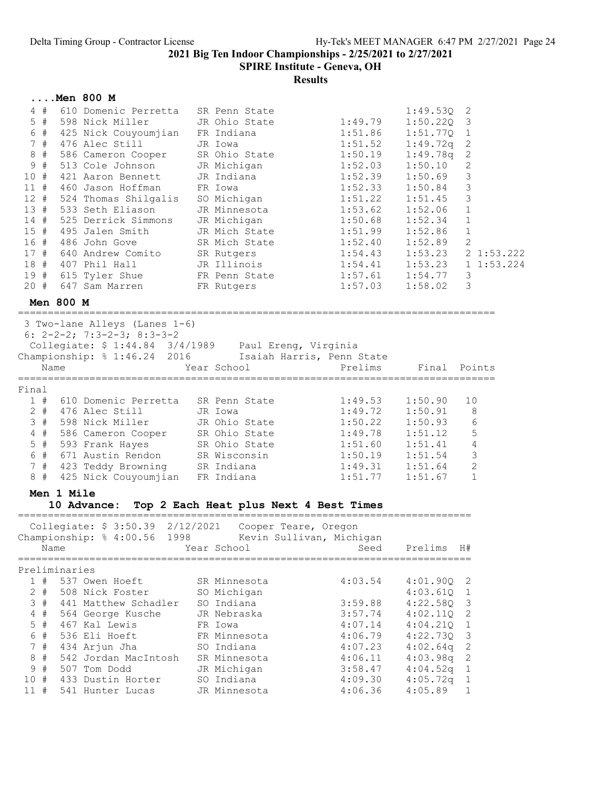SPIRE Institute - Geneva, OH

|                                                                                                           |               | Men 800 M                                                                                                                                                                                                                                                                                         |                                                                                                                                                                                                                |                                                                                                                                             |                                                                                                                                                                 |                                                                                                                                                      |
|-----------------------------------------------------------------------------------------------------------|---------------|---------------------------------------------------------------------------------------------------------------------------------------------------------------------------------------------------------------------------------------------------------------------------------------------------|----------------------------------------------------------------------------------------------------------------------------------------------------------------------------------------------------------------|---------------------------------------------------------------------------------------------------------------------------------------------|-----------------------------------------------------------------------------------------------------------------------------------------------------------------|------------------------------------------------------------------------------------------------------------------------------------------------------|
| 4#<br>$5$ #<br>6 #<br>7#<br>8#<br>#<br>9<br>10#<br>11#<br>12#<br>13#<br>$14$ #<br>15#<br>16 #<br>17#      |               | 610 Domenic Perretta<br>598 Nick Miller<br>425 Nick Couyoumjian<br>476 Alec Still<br>586 Cameron Cooper<br>513 Cole Johnson<br>421 Aaron Bennett<br>460 Jason Hoffman<br>524 Thomas Shilgalis<br>533 Seth Eliason<br>525 Derrick Simmons<br>495 Jalen Smith<br>486 John Gove<br>640 Andrew Comito | SR Penn State<br>JR Ohio State<br>FR Indiana<br>JR Iowa<br>SR Ohio State<br>JR Michigan<br>JR Indiana<br>FR Iowa<br>SO Michigan<br>JR Minnesota<br>JR Michigan<br>JR Mich State<br>SR Mich State<br>SR Rutgers | 1:49.79<br>1:51.86<br>1:51.52<br>1:50.19<br>1:52.03<br>1:52.39<br>1:52.33<br>1:51.22<br>1:53.62<br>1:50.68<br>1:51.99<br>1:52.40<br>1:54.43 | 1:49.53Q<br>$1:50.22Q$ 3<br>1:51.77Q<br>1:49.72q<br>1:49.78q<br>1:50.10<br>1:50.69<br>1:50.84<br>1:51.45<br>1:52.06<br>1:52.34<br>1:52.86<br>1:52.89<br>1:53.23 | 2<br>$\mathbf{1}$<br>$\mathbf{2}$<br>2<br>$\mathbf{2}$<br>3<br>3<br>3<br>$\mathbf 1$<br>$\mathbf{1}$<br>$\mathbf{1}$<br>$\overline{2}$<br>2 1:53.222 |
| 18 #                                                                                                      |               | 407 Phil Hall                                                                                                                                                                                                                                                                                     | JR Illinois                                                                                                                                                                                                    | 1:54.41                                                                                                                                     | 1:53.23                                                                                                                                                         | 11:53.224                                                                                                                                            |
|                                                                                                           |               | 19 # 615 Tyler Shue<br>20 # 647 Sam Marren                                                                                                                                                                                                                                                        | FR Penn State<br>FR Rutgers                                                                                                                                                                                    | 1:57.61<br>1:57.03                                                                                                                          | 1:54.77<br>1:58.02                                                                                                                                              | 3<br>3                                                                                                                                               |
|                                                                                                           | Men 800 M     |                                                                                                                                                                                                                                                                                                   |                                                                                                                                                                                                                |                                                                                                                                             |                                                                                                                                                                 |                                                                                                                                                      |
|                                                                                                           | Name          | 3 Two-lane Alleys (Lanes 1-6)<br>6: $2-2-2$ ; 7:3-2-3; 8:3-3-2<br>Collegiate: \$ 1:44.84 3/4/1989 Paul Ereng, Virginia<br>Championship: \$ 1:46.24 2016 Isaiah Harris, Penn State                                                                                                                 | Year School<br>=============================                                                                                                                                                                   | Prelims<br>===============================                                                                                                  | Final Points                                                                                                                                                    |                                                                                                                                                      |
| Final<br>1#<br>3#<br>$4$ #<br>$5$ #<br>6 #<br>7#<br>8 #                                                   |               | 610 Domenic Perretta SR Penn State<br>2 # 476 Alec Still<br>598 Nick Miller<br>586 Cameron Cooper<br>593 Frank Hayes<br>671 Austin Rendon<br>423 Teddy Browning<br>425 Nick Couyoumjian FR Indiana                                                                                                | JR Iowa<br>JR Ohio State<br>SR Ohio State<br>SR Ohio State<br>SR Wisconsin<br>SR Indiana                                                                                                                       | 1:49.53<br>1:49.72<br>1:50.22<br>1:49.78<br>1:51.60<br>1:50.19<br>1:49.31<br>1:51.77                                                        | 1:50.90<br>1:50.91<br>1:50.93<br>1:51.12<br>1:51.41<br>1:51.54<br>1:51.64<br>1:51.67                                                                            | 10<br>8<br>$6\phantom{1}6$<br>5<br>4<br>3<br>2<br>$\mathbf{1}$                                                                                       |
|                                                                                                           | Men 1 Mile    | 10 Advance: Top 2 Each Heat plus Next 4 Best Times                                                                                                                                                                                                                                                |                                                                                                                                                                                                                |                                                                                                                                             |                                                                                                                                                                 |                                                                                                                                                      |
|                                                                                                           | Name          | Collegiate: \$ 3:50.39 2/12/2021 Cooper Teare, Oregon<br>Championship: % 4:00.56 1998 Kevin Sullivan, Michigan                                                                                                                                                                                    | Year School                                                                                                                                                                                                    | Seed                                                                                                                                        | Prelims                                                                                                                                                         | H#                                                                                                                                                   |
| 1#<br>$\mathbf{2}$<br>#<br>3#<br>4<br>#<br>5<br>#<br>6<br>#<br>7 <sup>1</sup><br>#<br>8<br>#<br>9<br>$\#$ | Preliminaries | 537 Owen Hoeft<br>508 Nick Foster<br>441 Matthew Schadler<br>564 George Kusche<br>467 Kal Lewis<br>536 Eli Hoeft<br>434 Arjun Jha<br>542 Jordan MacIntosh<br>507 Tom Dodd                                                                                                                         | SR Minnesota<br>SO Michigan<br>SO Indiana<br>JR Nebraska<br>FR Iowa<br>FR Minnesota<br>SO Indiana<br>SR Minnesota<br>JR Michigan                                                                               | 4:03.54<br>3:59.88<br>3:57.74<br>4:07.14<br>4:06.79<br>4:07.23<br>4:06.11<br>3:58.47                                                        | 4:01.90Q<br>4:03.61Q<br>4:22.58Q<br>4:02.11Q<br>4:04.21Q<br>4:22.73Q<br>4:02.64q<br>4:03.98q<br>4:04.52q                                                        | 2<br>1<br>$\mathsf 3$<br>$\mathbf{2}$<br>$\mathbf{1}$<br>$\mathsf 3$<br>$\mathbf{2}$<br>2<br>1                                                       |
| 10#                                                                                                       |               | 433 Dustin Horter                                                                                                                                                                                                                                                                                 | SO Indiana                                                                                                                                                                                                     | 4:09.30                                                                                                                                     | 4:05.72q                                                                                                                                                        | $\mathbf{1}$                                                                                                                                         |
| 11#                                                                                                       |               | 541 Hunter Lucas                                                                                                                                                                                                                                                                                  | JR Minnesota                                                                                                                                                                                                   | 4:06.36                                                                                                                                     | 4:05.89                                                                                                                                                         | 1                                                                                                                                                    |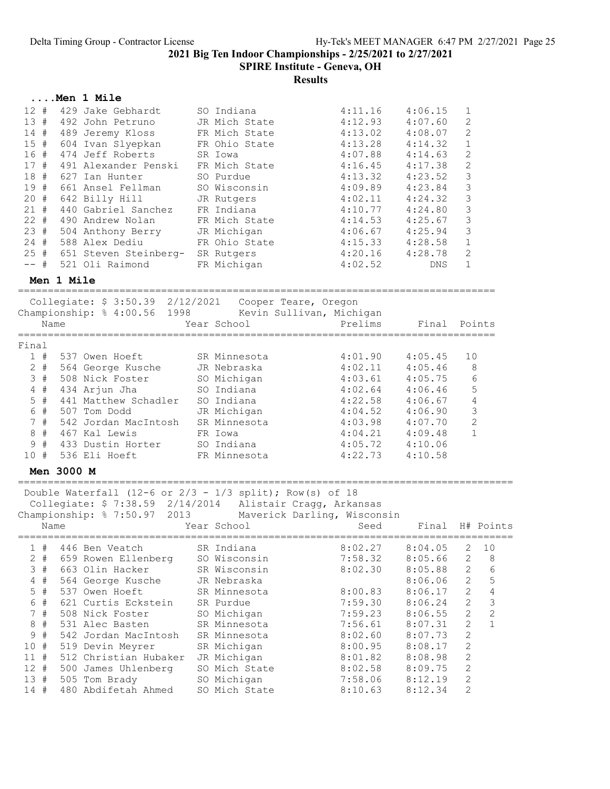SPIRE Institute - Geneva, OH

|                     |            | Men 1 Mile                                                   |                           |                             |                    |              |              |
|---------------------|------------|--------------------------------------------------------------|---------------------------|-----------------------------|--------------------|--------------|--------------|
| 12#                 |            | 429 Jake Gebhardt                                            | SO Indiana                | 4:11.16                     | 4:06.15            | 1            |              |
| 13#                 |            | 492 John Petruno                                             | JR Mich State             | 4:12.93                     | 4:07.60            | 2            |              |
| 14#                 |            | 489 Jeremy Kloss                                             | FR Mich State             | 4:13.02                     | 4:08.07            | 2            |              |
|                     |            | 15 # 604 Ivan Slyepkan                                       | FR Ohio State             | 4:13.28                     | 4:14.32            | $\mathbf 1$  |              |
| 16#                 |            | 474 Jeff Roberts                                             | SR Iowa                   | 4:07.88                     | 4:14.63            | $\mathbf{2}$ |              |
| 17#                 |            | 491 Alexander Penski                                         | FR Mich State             | 4:16.45                     | 4:17.38            | $\mathbf{2}$ |              |
| 18<br>#             |            | 627 Ian Hunter                                               | SO Purdue                 | 4:13.32                     | 4:23.52            | 3            |              |
| 19#                 |            | 661 Ansel Fellman                                            | SO Wisconsin              | 4:09.89                     | 4:23.84            | 3            |              |
| 20<br>#             |            | 642 Billy Hill                                               | JR Rutgers                | 4:02.11                     | 4:24.32            | 3            |              |
| 21#                 |            | 440 Gabriel Sanchez                                          | FR Indiana                | 4:10.77                     | 4:24.80            | 3            |              |
|                     |            | 22 # 490 Andrew Nolan                                        | FR Mich State             | 4:14.53                     | 4:25.67            | 3            |              |
| 23#                 |            | 504 Anthony Berry                                            | JR Michigan               | 4:06.67                     | 4:25.94            | 3            |              |
| 24 #                |            | 588 Alex Dediu                                               | FR Ohio State             | 4:15.33                     | 4:28.58            | 1            |              |
| 25#                 |            | 651 Steven Steinberg- SR Rutgers                             |                           | 4:20.16                     | 4:28.78            | 2            |              |
| -- #                |            | 521 Oli Raimond                                              | FR Michigan               | 4:02.52                     | DNS                | $\mathbf{1}$ |              |
|                     | Men 1 Mile |                                                              |                           |                             |                    |              |              |
|                     |            |                                                              |                           |                             |                    |              |              |
|                     |            | Collegiate: \$ 3:50.39 2/12/2021                             |                           | Cooper Teare, Oregon        |                    |              |              |
|                     |            | Championship: % 4:00.56 1998                                 |                           | Kevin Sullivan, Michigan    |                    |              |              |
|                     | Name       |                                                              | Year School               | Prelims                     | Final              |              | Points       |
| Final               |            |                                                              |                           |                             |                    |              |              |
| 1#                  |            | 537 Owen Hoeft                                               | SR Minnesota              | 4:01.90                     | 4:05.45            | 10           |              |
| $2$ #               |            | 564 George Kusche                                            | JR Nebraska               | 4:02.11                     | 4:05.46            |              | 8            |
| 3#                  |            | 508 Nick Foster                                              |                           | 4:03.61                     | 4:05.75            |              | 6            |
| $4$ #               |            |                                                              | SO Michigan<br>SO Indiana |                             |                    |              | 5            |
| $5$ #               |            | 434 Arjun Jha<br>441 Matthew Schadler                        | SO Indiana                | 4:02.64<br>4:22.58          | 4:06.46<br>4:06.67 |              | 4            |
| 6 #                 |            | 507 Tom Dodd                                                 | JR Michigan               | 4:04.52                     | 4:06.90            |              | 3            |
| 7#                  |            | 542 Jordan MacIntosh                                         | SR Minnesota              | 4:03.98                     |                    |              | 2            |
| 8<br>#              |            | 467 Kal Lewis                                                | FR Iowa                   | 4:04.21                     | 4:07.70<br>4:09.48 |              | $\mathbf{1}$ |
| 9<br>#              |            | 433 Dustin Horter                                            | SO Indiana                | 4:05.72                     | 4:10.06            |              |              |
| 10#                 |            | 536 Eli Hoeft                                                | FR Minnesota              | 4:22.73                     | 4:10.58            |              |              |
|                     |            |                                                              |                           |                             |                    |              |              |
|                     | Men 3000 M |                                                              |                           |                             |                    |              |              |
|                     |            | Double Waterfall (12-6 or $2/3$ - $1/3$ split); Row(s) of 18 |                           |                             |                    |              |              |
|                     |            | Collegiate: \$ 7:38.59 2/14/2014 Alistair Cragg, Arkansas    |                           |                             |                    |              |              |
|                     |            | Championship: % 7:50.97<br>2013                              |                           | Maverick Darling, Wisconsin |                    |              |              |
|                     | Name       |                                                              | Year School               | Seed                        | Final              |              | H# Points    |
|                     |            |                                                              |                           |                             |                    |              |              |
| 1#                  |            | 446 Ben Veatch                                               | SR Indiana                | 8:02.27                     | 8:04.05            | 2            | 10           |
| $2 +$               |            | 659 Rowen Ellenberg                                          | SO Wisconsin              | 7:58.32                     | 8:05.66            | $\mathbf{2}$ | 8            |
| 3#                  |            | 663 Olin Hacker                                              | SR Wisconsin              | 8:02.30                     | 8:05.88            | 2            | 6            |
| #<br>$\overline{4}$ |            | 564 George Kusche                                            | JR Nebraska               |                             | 8:06.06            | $\mathbf{2}$ | 5            |
| $5$ #               |            | 537 Owen Hoeft                                               | SR Minnesota              | 8:00.83                     | 8:06.17            | $\mathbf{2}$ | $\sqrt{4}$   |
| #<br>6              |            | 621 Curtis Eckstein                                          | SR Purdue                 | 7:59.30                     | 8:06.24            | $\mathbf{2}$ | 3            |
| $7\phantom{.}$<br># |            | 508 Nick Foster                                              | SO Michigan               | 7:59.23                     | 8:06.55            | $\mathbf{2}$ | $\mathbf{2}$ |
| 8<br>$_{\rm \#}$    |            | 531 Alec Basten                                              | SR Minnesota              | 7:56.61                     | 8:07.31            | $\mathbf{2}$ | $\mathbf 1$  |
| $\#$<br>9           |            | 542 Jordan MacIntosh                                         | SR Minnesota              | 8:02.60                     | 8:07.73            | 2            |              |
| 10<br>#             |            | 519 Devin Meyrer                                             | SR Michigan               | 8:00.95                     | 8:08.17            | $\mathbf{2}$ |              |
| $11$ #              |            | 512 Christian Hubaker                                        | JR Michigan               | 8:01.82                     | 8:08.98            | 2            |              |
| 12#                 |            | 500 James Uhlenberg                                          | SO Mich State             | 8:02.58                     | 8:09.75            | 2            |              |
| 13#                 |            | 505 Tom Brady                                                | SO Michigan               | 7:58.06                     | 8:12.19            | $\mathbf{2}$ |              |
| 14 #                |            | 480 Abdifetah Ahmed                                          | SO Mich State             | 8:10.63                     | 8:12.34            | 2            |              |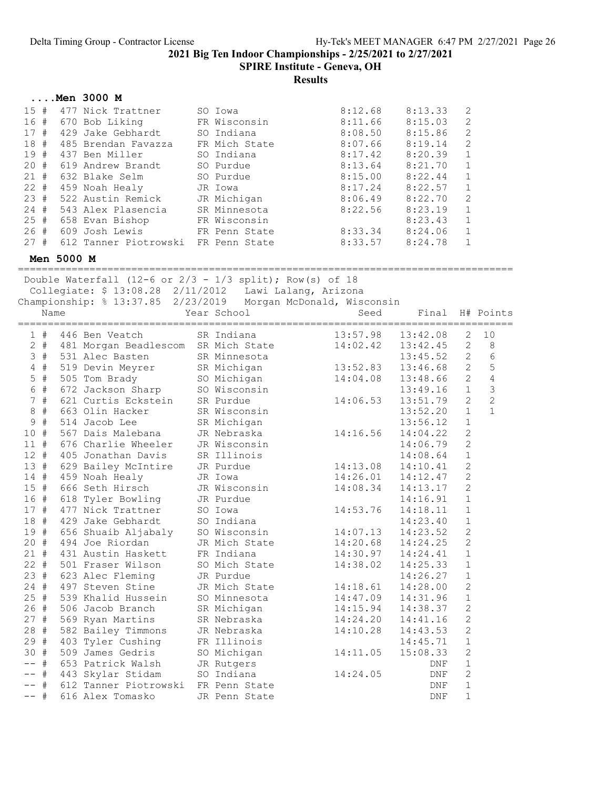SPIRE Institute - Geneva, OH

### Results

|           | Men 3000 M            |               |         |         |               |
|-----------|-----------------------|---------------|---------|---------|---------------|
| 15#       | 477 Nick Trattner     | SO Iowa       | 8:12.68 | 8:13.33 | 2             |
| 16<br>#   | 670 Bob Liking        | FR Wisconsin  | 8:11.66 | 8:15.03 | 2             |
| 17<br>#   | 429 Jake Gebhardt     | SO Indiana    | 8:08.50 | 8:15.86 | 2             |
| 18<br>#   | 485 Brendan Favazza   | FR Mich State | 8:07.66 | 8:19.14 | $\mathcal{L}$ |
| 19<br>#   | 437 Ben Miller        | SO Indiana    | 8:17.42 | 8:20.39 |               |
| 20#       | 619 Andrew Brandt     | SO Purdue     | 8:13.64 | 8:21.70 |               |
| 21#       | 632 Blake Selm        | SO Purdue     | 8:15.00 | 8:22.44 |               |
| $22 +$    | 459 Noah Healy        | JR Iowa       | 8:17.24 | 8:22.57 |               |
| 23#       | 522 Austin Remick     | JR Michigan   | 8:06.49 | 8:22.70 | $\mathcal{L}$ |
| 24#       | 543 Alex Plasencia    | SR Minnesota  | 8:22.56 | 8:23.19 |               |
| 25<br>- # | 658 Evan Bishop       | FR Wisconsin  |         | 8:23.43 |               |
| 26#       | 609 Josh Lewis        | FR Penn State | 8:33.34 | 8:24.06 |               |
| 27#       | 612 Tanner Piotrowski | FR Penn State | 8:33.57 | 8:24.78 |               |

Men 5000 M

=================================================================================== Double Waterfall (12-6 or  $2/3$  -  $1/3$  split); Row(s) of 18

Collegiate: \$ 13:08.28 2/11/2012 Lawi Lalang, Arizona

Championship: % 13:37.85 2/23/2019 Morgan McDonald, Wisconsin

|                 | Name  |                                     | Year School   | Seed     | Final      |                | H# Points      |
|-----------------|-------|-------------------------------------|---------------|----------|------------|----------------|----------------|
|                 | 1#    | 446 Ben Veatch                      | SR Indiana    | 13:57.98 | 13:42.08   | 2              | 10             |
|                 | $2 +$ | 481 Morgan Beadlescom SR Mich State |               | 14:02.42 | 13:42.45   | 2              | 8              |
|                 | 3#    | 531 Alec Basten                     | SR Minnesota  |          | 13:45.52   | 2              | $6\phantom{a}$ |
| 4               | #     | 519 Devin Meyrer                    | SR Michigan   | 13:52.83 | 13:46.68   | $\overline{2}$ | 5              |
| 5               | #     | 505 Tom Brady                       | SO Michigan   | 14:04.08 | 13:48.66   | $\overline{2}$ | $\overline{4}$ |
| $6\phantom{.}$  | #     | 672 Jackson Sharp                   | SO Wisconsin  |          | 13:49.16   | $\mathbf{1}$   | $\overline{3}$ |
| $7\overline{ }$ | #     | 621 Curtis Eckstein                 | SR Purdue     | 14:06.53 | 13:51.79   | 2              | $\overline{c}$ |
| 8               | $\#$  | 663 Olin Hacker                     | SR Wisconsin  |          | 13:52.20   | $\mathbf{1}$   | $\mathbf{1}$   |
| 9               | #     | 514 Jacob Lee                       | SR Michigan   |          | 13:56.12   | $\mathbf 1$    |                |
| 10              | #     | 567 Dais Malebana                   | JR Nebraska   | 14:16.56 | 14:04.22   | $\overline{c}$ |                |
| $11$ #          |       | 676 Charlie Wheeler                 | JR Wisconsin  |          | 14:06.79   | $\overline{c}$ |                |
| $12 +$          |       | 405 Jonathan Davis                  | SR Illinois   |          | 14:08.64   | $\mathbf 1$    |                |
| 13#             |       | 629 Bailey McIntire JR Purdue       |               | 14:13.08 | 14:10.41   | $\overline{c}$ |                |
| $14$ #          |       | 459 Noah Healy                      | JR Iowa       | 14:26.01 | 14:12.47   | $\overline{c}$ |                |
| 15              | #     | 666 Seth Hirsch                     | JR Wisconsin  | 14:08.34 | 14:13.17   | $\overline{c}$ |                |
| 16#             |       | 618 Tyler Bowling                   | JR Purdue     |          | 14:16.91   | $\mathbf 1$    |                |
| 17#             |       | 477 Nick Trattner                   | SO Iowa       | 14:53.76 | 14:18.11   | $\mathbf{1}$   |                |
| 18 #            |       | 429 Jake Gebhardt                   | SO Indiana    |          | 14:23.40   | $\mathbf{1}$   |                |
| 19#             |       | 656 Shuaib Aljabaly                 | SO Wisconsin  | 14:07.13 | 14:23.52   | $\overline{2}$ |                |
| $20 +$          |       | 494 Joe Riordan                     | JR Mich State | 14:20.68 | 14:24.25   | $\overline{c}$ |                |
| $21 +$          |       | 431 Austin Haskett                  | FR Indiana    | 14:30.97 | 14:24.41   | $\mathbf 1$    |                |
| $22 +$          |       | 501 Fraser Wilson                   | SO Mich State | 14:38.02 | 14:25.33   | $\mathbf{1}$   |                |
| 23#             |       | 623 Alec Fleming                    | JR Purdue     |          | 14:26.27   | $1\,$          |                |
| $24 +$          |       | 497 Steven Stine                    | JR Mich State | 14:18.61 | 14:28.00   | $\mathbf{2}$   |                |
| $25 +$          |       | 539 Khalid Hussein                  | SO Minnesota  | 14:47.09 | 14:31.96   | $\mathbf{1}$   |                |
| 26#             |       | 506 Jacob Branch                    | SR Michigan   | 14:15.94 | 14:38.37   | $\mathbf{2}$   |                |
| 27#             |       | 569 Ryan Martins                    | SR Nebraska   | 14:24.20 | 14:41.16   | $\overline{2}$ |                |
| 28#             |       | 582 Bailey Timmons                  | JR Nebraska   | 14:10.28 | 14:43.53   | $\overline{2}$ |                |
| 29#             |       | 403 Tyler Cushing                   | FR Illinois   |          | 14:45.71   | $\mathbf{1}$   |                |
| 30 #            |       | 509 James Gedris                    | SO Michigan   | 14:11.05 | 15:08.33   | $\overline{2}$ |                |
|                 | #     | 653 Patrick Walsh                   | JR Rutgers    |          | <b>DNF</b> | $1\,$          |                |
|                 | #     | 443 Skylar Stidam                   | SO Indiana    | 14:24.05 | <b>DNF</b> | $\overline{c}$ |                |
| $-\,-$          | #     | 612 Tanner Piotrowski FR Penn State |               |          | DNF        | $1\,$          |                |
| $- -$           | #     | 616 Alex Tomasko                    | JR Penn State |          | <b>DNF</b> | $\mathbf{1}$   |                |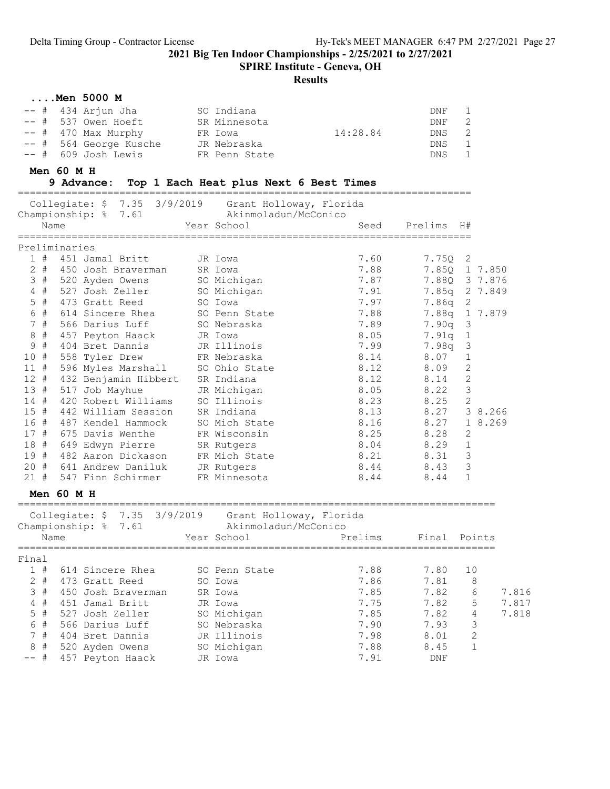SPIRE Institute - Geneva, OH

#### Results

#### ....Men 5000 M

| -- # 434 Arjun Jha     | SO Indiana    |          | DNF   | $\mathbf{1}$   |
|------------------------|---------------|----------|-------|----------------|
| $--$ # 537 Owen Hoeft  | SR Minnesota  |          | DNF   | 2              |
| $--$ # 470 Max Murphy  | FR Iowa       | 14:28.84 | DNS   | $\overline{2}$ |
| -- # 564 George Kusche | JR Nebraska   |          | DNS   | $\overline{1}$ |
| -- # 609 Josh Lewis    | FR Penn State |          | DNS 1 |                |

#### Men 60 M H

#### 9 Advance: Top 1 Each Heat plus Next 6 Best Times ============================================================================

| Collegiate: \$ 7.35 3/9/2019<br>Championship: % 7.61<br>Name                 | Grant Holloway, Florida<br>Akinmoladun/McConico<br>Year School | Seed<br>=============================== | Prelims      | H#             |       |
|------------------------------------------------------------------------------|----------------------------------------------------------------|-----------------------------------------|--------------|----------------|-------|
| Preliminaries                                                                |                                                                |                                         |              |                |       |
| 1#<br>451 Jamal Britt                                                        | JR Iowa                                                        | 7.60                                    | 7.75Q        | 2              |       |
| $2 +$<br>450 Josh Braverman                                                  | SR Iowa                                                        | 7.88                                    |              | 7.850 1 7.850  |       |
| 3#<br>520 Ayden Owens                                                        | SO Michigan                                                    | 7.87                                    |              | 7.880 3 7.876  |       |
| $4$ #<br>527 Josh Zeller                                                     | SO Michigan                                                    | 7.91                                    |              | 7.85q 2 7.849  |       |
| 5<br>#<br>473 Gratt Reed                                                     | SO Iowa                                                        | 7.97                                    | 7.86q        | 2              |       |
| 6 #<br>614 Sincere Rhea                                                      | SO Penn State                                                  | 7.88                                    | 7.88q        | 1 7.879        |       |
| 7#<br>566 Darius Luff                                                        | SO Nebraska                                                    | 7.89                                    | 7.90q        | 3              |       |
| $8 +$<br>457 Peyton Haack                                                    | JR Iowa                                                        | 8.05                                    | 7.91q        | 1              |       |
| #<br>$\mathsf 9$<br>404 Bret Dannis                                          | JR Illinois                                                    | 7.99                                    | 7.98q        | 3              |       |
| 10 #<br>558 Tyler Drew                                                       | FR Nebraska                                                    | 8.14                                    | 8.07         | 1              |       |
| 11#<br>596 Myles Marshall                                                    | SO Ohio State                                                  | 8.12                                    | 8.09         | 2              |       |
| $12 +$<br>432 Benjamin Hibbert                                               | SR Indiana                                                     | 8.12                                    | 8.14         | $\mathbf{2}$   |       |
| 13#<br>517 Job Mayhue                                                        | JR Michigan                                                    | 8.05                                    | 8.22         | 3              |       |
| 14#<br>420 Robert Williams                                                   | SO Illinois                                                    | 8.23                                    | 8.25         | $\mathbf{2}$   |       |
| 15#<br>442 William Session                                                   | SR Indiana                                                     | 8.13                                    | 8.27         | 3 8.266        |       |
| 16#<br>487 Kendel Hammock                                                    | SO Mich State                                                  | 8.16                                    | 8.27         | 1 8.269        |       |
| 17#<br>675 Davis Wenthe                                                      | FR Wisconsin                                                   | 8.25                                    | 8.28         | 2              |       |
| 18 #<br>649 Edwyn Pierre                                                     | SR Rutgers                                                     | 8.04                                    | 8.29         | $\mathbf 1$    |       |
| 19#<br>482 Aaron Dickason                                                    | FR Mich State                                                  | 8.21                                    | 8.31         | 3              |       |
| $20 +$<br>641 Andrew Daniluk                                                 | JR Rutgers                                                     | 8.44                                    | 8.43         | 3              |       |
| 21#<br>547 Finn Schirmer                                                     | FR Minnesota                                                   | 8.44                                    | 8.44         | $\mathbf{1}$   |       |
| $Men$ 60 M H                                                                 |                                                                |                                         |              |                |       |
| Collegiate: \$ 7.35 3/9/2019 Grant Holloway, Florida<br>Championship: % 7.61 | Akinmoladun/McConico                                           |                                         |              |                |       |
| Name                                                                         | Year School                                                    | Prelims                                 | Final Points |                |       |
| Final                                                                        |                                                                |                                         |              |                |       |
| 1#<br>614 Sincere Rhea                                                       | SO Penn State                                                  | 7.88                                    | 7.80         | 10             |       |
| $2 +$<br>473 Gratt Reed                                                      | SO Iowa                                                        | 7.86                                    | 7.81         | 8              |       |
| 3#<br>450 Josh Braverman                                                     | SR Iowa                                                        | 7.85                                    | 7.82         | 6              | 7.816 |
| $4$ #<br>451 Jamal Britt                                                     | JR Iowa                                                        | 7.75                                    | 7.82         | 5              | 7.817 |
| $5$ #<br>527 Josh Zeller                                                     | SO Michigan                                                    | 7.85                                    | 7.82         | $\overline{4}$ | 7.818 |
| 6 #<br>566 Darius Luff                                                       | SO Nebraska                                                    | 7.90                                    | 7.93         | 3              |       |

 7 # 404 Bret Dannis JR Illinois 7.98 8.01 2 8 # 520 Ayden Owens SO Michigan 7.88 8.45 1 -- # 457 Peyton Haack JR Iowa 7.91 DNF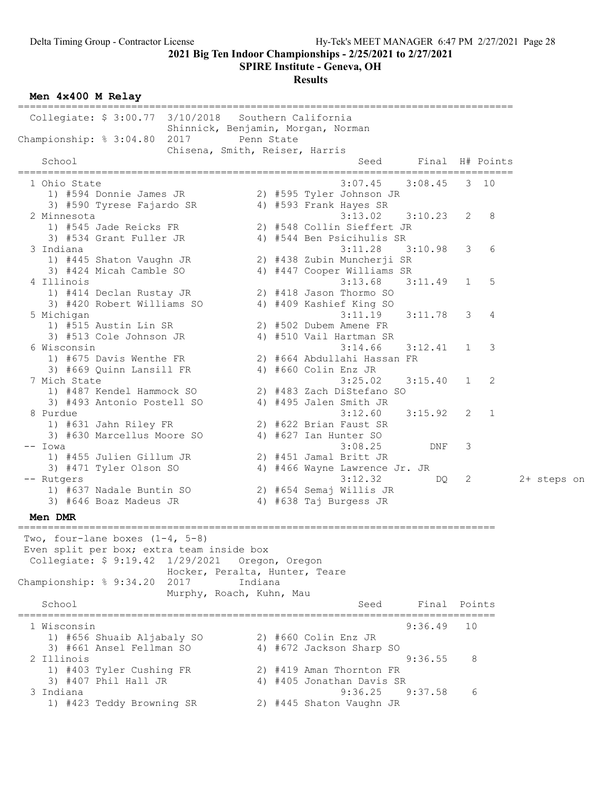SPIRE Institute - Geneva, OH

Results

Men 4x400 M Relay

=================================================================================== Collegiate: \$ 3:00.77 3/10/2018 Southern California Shinnick, Benjamin, Morgan, Norman Championship: % 3:04.80 2017 Penn State Chisena, Smith, Reiser, Harris School School Seed Final H# Points =================================================================================== 1 Ohio State 3:07.45 3:08.45 3 10 1) #594 Donnie James JR 2) #595 Tyler Johnson JR 3) #590 Tyrese Fajardo SR 4) #593 Frank Hayes SR 2 Minnesota 3:13.02 3:10.23 2 8 1) #545 Jade Reicks FR 2) #548 Collin Sieffert JR 3) #534 Grant Fuller JR 4) #544 Ben Psicihulis SR 3 Indiana 3:11.28 3:10.98 3 6 1) #445 Shaton Vaughn JR 2) #438 Zubin Muncherji SR 3) #424 Micah Camble SO 4) #447 Cooper Williams SR 4 Illinois 3:13.68 3:11.49 1 5 1) #414 Declan Rustay JR 2) #418 Jason Thormo SO 3) #420 Robert Williams SO 4) #409 Kashief King SO 5 Michigan 3:11.19 3:11.78 3 4 1) #515 Austin Lin SR 2) #502 Dubem Amene FR 3) #513 Cole Johnson JR 4) #510 Vail Hartman SR 6 Wisconsin 3:14.66 3:12.41 1 3 1) #675 Davis Wenthe FR 2) #664 Abdullahi Hassan FR 3) #669 Quinn Lansill FR 4) #660 Colin Enz JR 7 Mich State 3:25.02 3:15.40 1 2 1) #487 Kendel Hammock SO 2) #483 Zach DiStefano SO 3) #493 Antonio Postell SO 4) #495 Jalen Smith JR 8 Purdue 3:12.60 3:15.92 2 1 1) #631 Jahn Riley FR 2) #622 Brian Faust SR 3) #630 Marcellus Moore SO 4) #627 Ian Hunter SO -- Iowa 3:08.25 DNF 3 1) #455 Julien Gillum JR 2) #451 Jamal Britt JR 3) #471 Tyler Olson SO 4) #466 Wayne Lawrence Jr. JR -- Rutgers 3:12.32 DQ 2 2+ steps on 1) #637 Nadale Buntin SO 2) #654 Semaj Willis JR 3) #646 Boaz Madeus JR 4) #638 Taj Burgess JR Men DMR ================================================================================ Two, four-lane boxes (1-4, 5-8) Even split per box; extra team inside box Collegiate: \$ 9:19.42 1/29/2021 Oregon, Oregon Hocker, Peralta, Hunter, Teare Championship: % 9:34.20 2017 Indiana Murphy, Roach, Kuhn, Mau School School Seed Final Points ================================================================================ 1 Wisconsin 9:36.49 10 1) #656 Shuaib Aljabaly SO 2) #660 Colin Enz JR 3) #661 Ansel Fellman SO 4) #672 Jackson Sharp SO 2 Illinois 9:36.55 8 1) #403 Tyler Cushing FR 2) #419 Aman Thornton FR 3) #407 Phil Hall JR 4) #405 Jonathan Davis SR 3 Indiana 9:36.25 9:37.58 6 1) #423 Teddy Browning SR 2) #445 Shaton Vaughn JR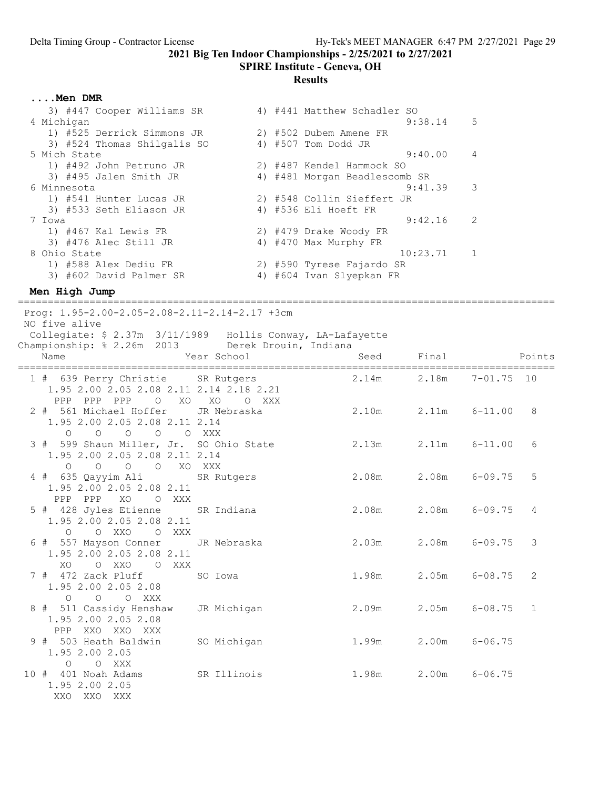#### SPIRE Institute - Geneva, OH

#### Results

....Men DMR

| 3) #447 Cooper Williams SR  |  | 4) #441 Matthew Schadler SO   |  |
|-----------------------------|--|-------------------------------|--|
| 4 Michigan                  |  | 5<br>9:38.14                  |  |
| 1) #525 Derrick Simmons JR  |  | 2) #502 Dubem Amene FR        |  |
| 3) #524 Thomas Shilgalis SO |  | 4) #507 Tom Dodd JR           |  |
| 5 Mich State                |  | 9:40.00<br>4                  |  |
| 1) #492 John Petruno JR     |  | 2) #487 Kendel Hammock SO     |  |
| 3) #495 Jalen Smith JR      |  | 4) #481 Morgan Beadlescomb SR |  |
| 6 Minnesota                 |  | 3<br>9:41.39                  |  |
| 1) #541 Hunter Lucas JR     |  | 2) #548 Collin Sieffert JR    |  |
| 3) #533 Seth Eliason JR     |  | 4) #536 Eli Hoeft FR          |  |
| 7 Iowa                      |  | 2<br>9:42.16                  |  |
| 1) #467 Kal Lewis FR        |  | 2) #479 Drake Woody FR        |  |
| 3) #476 Alec Still JR       |  | 4) #470 Max Murphy FR         |  |
| 8 Ohio State                |  | $\mathbf{1}$<br>10:23.71      |  |
| 1) #588 Alex Dediu FR       |  | 2) #590 Tyrese Fajardo SR     |  |
| 3) #602 David Palmer SR     |  | 4) #604 Ivan Slyepkan FR      |  |
|                             |  |                               |  |

#### Men High Jump

========================================================================================== Prog: 1.95-2.00-2.05-2.08-2.11-2.14-2.17 +3cm NO five alive Collegiate: \$ 2.37m 3/11/1989 Hollis Conway, LA-Lafayette Championship: % 2.26m 2013 Derek Drouin, Indiana nd a control of the Magnetic Seed Final Points<br>Name Seed Final Points ========================================================================================== 1 # 639 Perry Christie SR Rutgers 2.14m 2.18m 7-01.75 10 1.95 2.00 2.05 2.08 2.11 2.14 2.18 2.21 PPP PPP PPP O XO XO O XXX 2 # 561 Michael Hoffer JR Nebraska 2.10m 2.11m 6-11.00 8 1.95 2.00 2.05 2.08 2.11 2.14 O O O O O XXX 3 # 599 Shaun Miller, Jr. SO Ohio State 2.13m 2.11m 6-11.00 6 1.95 2.00 2.05 2.08 2.11 2.14 O O O O XO XXX 4 # 635 Qayyim Ali SR Rutgers 2.08m 2.08m 6-09.75 5 1.95 2.00 2.05 2.08 2.11 PPP PPP XO O XXX 5 # 428 Jyles Etienne SR Indiana 2.08m 2.08m 6-09.75 4 1.95 2.00 2.05 2.08 2.11 O O XXO O XXX 6 # 557 Mayson Conner JR Nebraska 2.03m 2.08m 6-09.75 3 1.95 2.00 2.05 2.08 2.11 XO O XXO O XXX 7 # 472 Zack Pluff SO Iowa 1.98m 2.05m 6-08.75 2 1.95 2.00 2.05 2.08 O O O XXX 8 # 511 Cassidy Henshaw JR Michigan 2.09m 2.05m 6-08.75 1 1.95 2.00 2.05 2.08 PPP XXO XXO XXX 9 # 503 Heath Baldwin SO Michigan 1.99m 2.00m 6-06.75 1.95 2.00 2.05 O O XXX 10 # 401 Noah Adams SR Illinois 1.98m 2.00m 6-06.75 1.95 2.00 2.05 XXO XXO XXX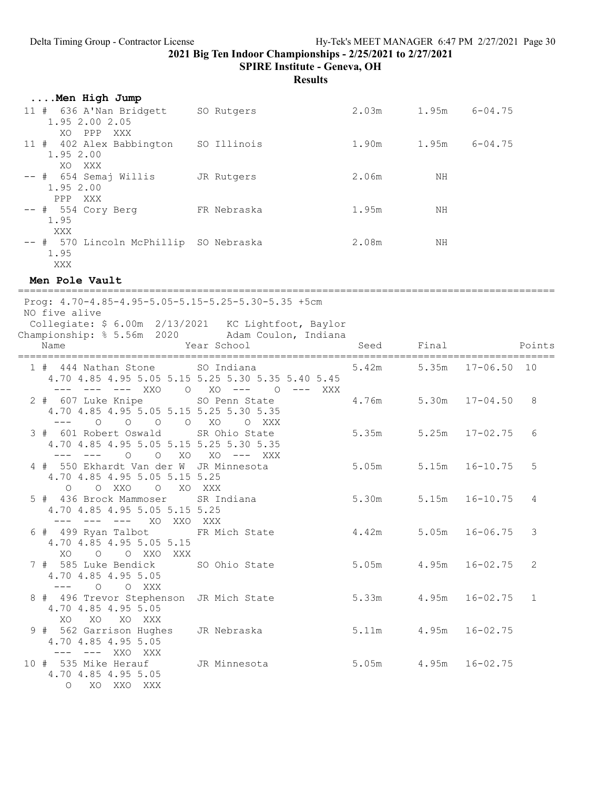SPIRE Institute - Geneva, OH

Results

| Men High Jump                             |             |       |       |             |
|-------------------------------------------|-------------|-------|-------|-------------|
| 11 # 636 A'Nan Bridgett<br>1.95 2.00 2.05 | SO Rutgers  | 2.03m | 1.95m | $6 - 04.75$ |
| PPP<br>XO.<br>XXX                         |             |       |       |             |
| 11 # 402 Alex Babbington<br>1.95 2.00     | SO Illinois | 1.90m | 1.95m | $6 - 04.75$ |
| XO XXX<br>$--$ # $654$ Semaj Willis       | JR Rutgers  | 2.06m | ΝH    |             |
| 1.95 2.00<br>PPP XXX                      |             |       |       |             |
| $--$ # 554 Cory Berg                      | FR Nebraska | 1.95m | NΗ    |             |
| 1.95<br>XXX                               |             |       |       |             |
| -- # 570 Lincoln McPhillip SO Nebraska    |             | 2.08m | ΝH    |             |
| 1.95                                      |             |       |       |             |
| XXX                                       |             |       |       |             |

#### Men Pole Vault

| Prog: 4.70-4.85-4.95-5.05-5.15-5.25-5.30-5.35 +5cm<br>NO five alive<br>Collegiate: \$ 6.00m 2/13/2021 KC Lightfoot, Baylor                                    |                                 |                            |       |                    |        |
|---------------------------------------------------------------------------------------------------------------------------------------------------------------|---------------------------------|----------------------------|-------|--------------------|--------|
| Championship: % 5.56m 2020 Adam Coulon, Indiana<br>Name                                                                                                       | Year School                     | Seed Final                 |       |                    | Points |
| 1 # 444 Nathan Stone SO Indiana<br>4.70 4.85 4.95 5.05 5.15 5.25 5.30 5.35 5.40 5.45<br>--- --- --- XXO                                                       | $O XO ---$<br>O --- XXX         | 5.42m                      |       | 5.35m 17-06.50 10  |        |
| 2 # 607 Luke Knipe<br>4.70 4.85 4.95 5.05 5.15 5.25 5.30 5.35<br>$\begin{array}{ccccccccccccccccc} \circ & \circ & \circ & \circ & \circ & \circ \end{array}$ | SO Penn State<br>XO<br>O XXX    | $4.76m$ 5.30m $17-04.50$   |       |                    | 8      |
| 3 # 601 Robert Oswald<br>4.70 4.85 4.95 5.05 5.15 5.25 5.30 5.35<br>$O$ $O$ $XO$<br>——— ———                                                                   | SR Ohio State<br>$XO$ --- $XXX$ | $5.35m$ $5.25m$ $17-02.75$ |       |                    | 6      |
| 4 # 550 Ekhardt Van der W JR Minnesota<br>4.70 4.85 4.95 5.05 5.15 5.25<br>O XXO<br>O XO XXX<br>$\circ$                                                       |                                 | 5.05m                      |       | $5.15m$ $16-10.75$ | 5      |
| 5 # 436 Brock Mammoser<br>4.70 4.85 4.95 5.05 5.15 5.25<br>--- --- xo xxo xxx                                                                                 | SR Indiana                      | 5.30m                      |       | $5.15m$ $16-10.75$ | 4      |
| 6 # 499 Ryan Talbot FR Mich State<br>4.70 4.85 4.95 5.05 5.15<br>XO.<br>O O XXO XXX                                                                           |                                 | 4.42m                      |       | $5.05m$ $16-06.75$ | 3      |
| 7 # 585 Luke Bendick SO Ohio State<br>4.70 4.85 4.95 5.05<br>$---$ 0 0 XXX                                                                                    |                                 | $5.05m$ $4.95m$ $16-02.75$ |       |                    | 2      |
| 8 # 496 Trevor Stephenson JR Mich State<br>4.70 4.85 4.95 5.05<br>XO XO XXX<br>XO                                                                             |                                 | 5.33m                      | 4.95m | $16 - 02.75$       | 1      |
| 9 # 562 Garrison Hughes JR Nebraska<br>4.70 4.85 4.95 5.05<br>--- --- XXO XXX                                                                                 |                                 | 5.11m 4.95m 16-02.75       |       |                    |        |
| 10 # 535 Mike Herauf<br>4.70 4.85 4.95 5.05<br>XO XXO XXX<br>$\circ$                                                                                          | JR Minnesota                    | 5.05m 4.95m 16-02.75       |       |                    |        |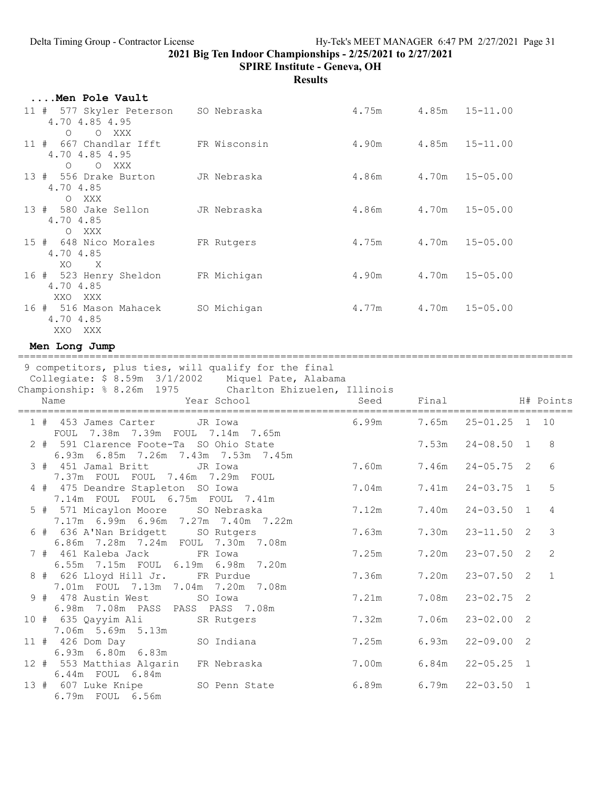SPIRE Institute - Geneva, OH

|  | Men Pole Vault                                                                                                                                                                |                    |                      |       |                    |                |                |
|--|-------------------------------------------------------------------------------------------------------------------------------------------------------------------------------|--------------------|----------------------|-------|--------------------|----------------|----------------|
|  | 11 # 577 Skyler Peterson<br>4.70 4.85 4.95                                                                                                                                    | SO Nebraska        | 4.75m 4.85m 15-11.00 |       |                    |                |                |
|  | O O XXX<br>11 # 667 Chandlar Ifft<br>4.70 4.85 4.95<br>$\circ$<br>O XXX                                                                                                       | FR Wisconsin       | 4.90m                |       | $4.85m$ $15-11.00$ |                |                |
|  | 13 # 556 Drake Burton<br>4.70 4.85<br>O XXX                                                                                                                                   | JR Nebraska        | 4.86m                | 4.70m | $15 - 05.00$       |                |                |
|  | 13 # 580 Jake Sellon<br>4.70 4.85<br>O XXX                                                                                                                                    | JR Nebraska        | 4.86m                | 4.70m | $15 - 05.00$       |                |                |
|  | 15 # 648 Nico Morales<br>4.70 4.85<br>XO X                                                                                                                                    | FR Rutgers         | 4.75m                | 4.70m | $15 - 05.00$       |                |                |
|  | 16 # 523 Henry Sheldon<br>4.70 4.85<br>XXO XXX                                                                                                                                | FR Michigan        | 4.90m                | 4.70m | $15 - 05.00$       |                |                |
|  | 16 # 516 Mason Mahacek SO Michigan<br>4.70 4.85<br>XXO XXX                                                                                                                    |                    | 4.77m                | 4.70m | $15 - 05.00$       |                |                |
|  | Men Long Jump                                                                                                                                                                 |                    |                      |       |                    |                |                |
|  | 9 competitors, plus ties, will qualify for the final<br>Collegiate: \$ 8.59m 3/1/2002 Miquel Pate, Alabama<br>Championship: % 8.26m 1975 Charlton Ehizuelen, Illinois<br>Name | Year School        | Seed                 | Final |                    |                | H# Points      |
|  |                                                                                                                                                                               |                    |                      |       |                    |                |                |
|  | 1 # 453 James Carter                                                                                                                                                          | JR Iowa            | 6.99m                | 7.65m | $25 - 01.25$ 1 10  |                |                |
|  | FOUL 7.38m 7.39m FOUL 7.14m 7.65m<br>2 # 591 Clarence Foote-Ta SO Ohio State<br>6.93m 6.85m 7.26m 7.43m 7.53m 7.45m                                                           |                    |                      | 7.53m | $24 - 08.50$ 1     |                | 8              |
|  | 3 # 451 Jamal Britt<br>7.37m FOUL FOUL 7.46m 7.29m FOUL                                                                                                                       | JR Iowa            | 7.60m                | 7.46m | $24 - 05.75$ 2     |                | 6              |
|  | 4 # 475 Deandre Stapleton SO Iowa                                                                                                                                             |                    | 7.04m                | 7.41m | $24 - 03.75$ 1     |                | 5              |
|  | 7.14m FOUL FOUL 6.75m FOUL 7.41m<br>5 # 571 Micaylon Moore SO Nebraska                                                                                                        |                    | 7.12m                | 7.40m | $24 - 03.50$ 1     |                | 4              |
|  | 7.17m 6.99m 6.96m 7.27m 7.40m 7.22m<br>6 # 636 A'Nan Bridgett SO Rutgers                                                                                                      |                    | 7.63m                | 7.30m | $23 - 11.50$ 2     |                | $\mathfrak{Z}$ |
|  | 6.86m 7.28m 7.24m FOUL 7.30m<br>7 # 461 Kaleba Jack                                                                                                                           | 7.08m<br>FR Iowa   | 7.25m                | 7.20m | $23 - 07.50$ 2     |                | 2              |
|  | 6.55m 7.15m FOUL 6.19m 6.98m<br>8 # 626 Lloyd Hill Jr.                                                                                                                        | 7.20m<br>FR Purdue | 7.36m                | 7.20m | $23 - 07.50$ 2     |                | $\mathbf{1}$   |
|  | 7.01m FOUL 7.13m 7.04m 7.20m 7.08m<br>9 # 478 Austin West                                                                                                                     | SO Iowa            | 7.21m                | 7.08m | $23 - 02.75$       | $\overline{2}$ |                |
|  | 6.98m 7.08m PASS PASS PASS 7.08m<br>10 # 635 Qayyim Ali                                                                                                                       | SR Rutgers         | 7.32m                | 7.06m | $23 - 02.00$ 2     |                |                |
|  | 7.06m 5.69m 5.13m<br>11 # 426 Dom Day                                                                                                                                         | SO Indiana         | 7.25m                | 6.93m | $22 - 09.00$ 2     |                |                |
|  | 6.93m 6.80m 6.83m<br>12 # 553 Matthias Algarin<br>6.44m FOUL 6.84m                                                                                                            | FR Nebraska        | 7.00m                | 6.84m | $22 - 05.25$ 1     |                |                |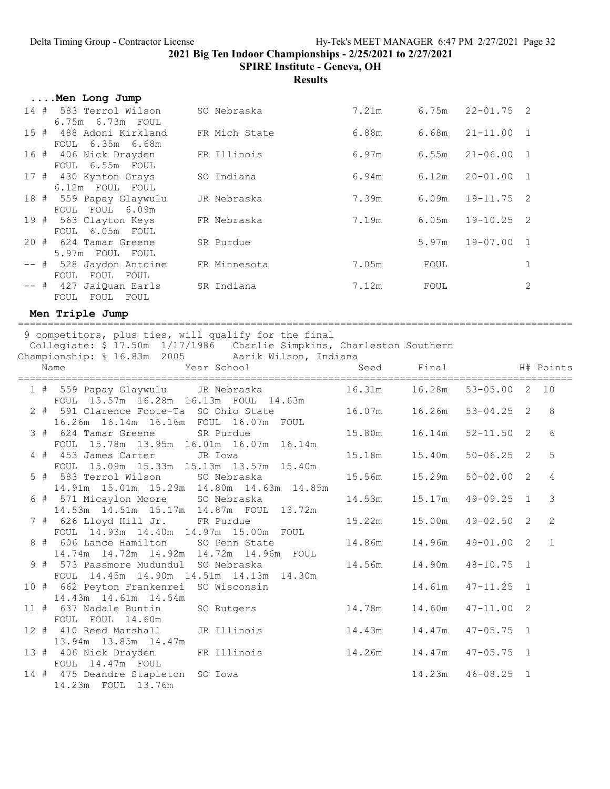SPIRE Institute - Geneva, OH

**Results** 

| Men Long Jump                                   |               |       |       |                |                |
|-------------------------------------------------|---------------|-------|-------|----------------|----------------|
| 14 # 583 Terrol Wilson<br>6.75m  6.73m  FOUL    | SO Nebraska   | 7.21m | 6.75m | $22 - 01.75$ 2 |                |
| 15 # 488 Adoni Kirkland<br>FOUL 6.35m 6.68m     | FR Mich State | 6.88m | 6.68m | $21 - 11.00$   | $\overline{1}$ |
| 16 # 406 Nick Drayden<br>6.55m FOUL<br>FOUL     | FR Illinois   | 6.97m | 6.55m | $21 - 06.00$   | $\overline{1}$ |
| 17 # 430 Kynton Grays<br>6.12m FOUL FOUL        | SO Indiana    | 6.94m | 6.12m | $20 - 01.00$   | $\overline{1}$ |
| 18 # 559 Papay Glaywulu<br>FOUL FOUL 6.09m      | JR Nebraska   | 7.39m | 6.09m | $19 - 11.75$ 2 |                |
| 19 # 563 Clayton Keys<br>FOUL 6.05m FOUL        | FR Nebraska   | 7.19m | 6.05m | $19 - 10.25$   | $\overline{2}$ |
| 20 # 624 Tamar Greene<br>5.97m FOUL FOUL        | SR Purdue     |       | 5.97m | $19 - 07.00$   | $\overline{1}$ |
| -- # 528 Jaydon Antoine<br>FOUL<br>FOUL<br>FOUL | FR Minnesota  | 7.05m | FOUL  |                |                |
| -- # 427 JaiOuan Earls<br>FOUL FOUL<br>FOUL     | SR Indiana    | 7.12m | FOUL  |                | 2              |

#### Men Triple Jump

============================================================================================= 9 competitors, plus ties, will qualify for the final Collegiate: \$ 17.50m 1/17/1986 Charlie Simpkins, Charleston Southern

|  | Championship: % 16.83m 2005 Aarik Wilson, Indiana<br>Year School<br>Name             |                      | Seed Final H# Points |                   |                |
|--|--------------------------------------------------------------------------------------|----------------------|----------------------|-------------------|----------------|
|  |                                                                                      |                      |                      |                   |                |
|  | 1 # 559 Papay Glaywulu JR Nebraska<br>FOUL 15.57m 16.28m 16.13m FOUL 14.63m          |                      |                      | $53 - 05.00$ 2 10 |                |
|  | 2 # 591 Clarence Foote-Ta SO Ohio State<br>16.26m 16.14m 16.16m FOUL 16.07m FOUL     | 16.07m 16.26m        |                      | $53 - 04.25$ 2    | 8              |
|  | 3 # 624 Tamar Greene SR Purdue<br>FOUL 15.78m 13.95m 16.01m 16.07m 16.14m            |                      |                      | $52 - 11.50$ 2    | 6              |
|  | 4 # 453 James Carter JR Iowa<br>FOUL 15.09m 15.33m 15.13m 13.57m 15.40m              |                      | 15.18m   15.40m      | $50 - 06.25$ 2    | 5              |
|  | 5 # 583 Terrol Wilson SO Nebraska<br>14.91m 15.01m 15.29m 14.80m 14.63m 14.85m       |                      |                      | $50 - 02.00$ 2    | $\overline{4}$ |
|  | 6 # 571 Micaylon Moore SO Nebraska<br>14.53m  14.51m  15.17m  14.87m  FOUL  13.72m   |                      | 14.53m 15.17m        | $49 - 09.25$ 1    | $\mathcal{E}$  |
|  | 7 # 626 Lloyd Hill Jr. FR Purdue<br>FOUL 14.93m 14.40m 14.97m 15.00m FOUL            |                      | 15.22m 15.00m        | $49 - 02.50$ 2    | 2              |
|  | 8 # 606 Lance Hamilton SO Penn State<br>14.74m  14.72m  14.92m  14.72m  14.96m  FOUL | 14.86m               | 14.96m               | $49 - 01.00$ 2    | $\overline{1}$ |
|  | 9 # 573 Passmore Mudundul SO Nebraska<br>FOUL 14.45m 14.90m 14.51m 14.13m 14.30m     |                      |                      | $48 - 10.75$ 1    |                |
|  | 10 # 662 Peyton Frankenrei SO Wisconsin<br>14.43m 14.61m 14.54m                      |                      | 14.61m               | $47 - 11.25$ 1    |                |
|  | 11 # 637 Nadale Buntin<br>FOUL FOUL 14.60m                                           | SO Rutgers<br>14.78m | 14.60m               | $47 - 11.00$ 2    |                |
|  | 12 # 410 Reed Marshall<br>JR Illinois<br>13.94m 13.85m 14.47m                        |                      |                      | $47 - 05.75$ 1    |                |
|  | 13 # 406 Nick Drayden FR Illinois<br>FOUL 14.47m FOUL                                |                      |                      | $47 - 05.75$ 1    |                |
|  | 14 # 475 Deandre Stapleton SO Iowa<br>14.23m FOUL 13.76m                             |                      | 14.23m               | $46 - 08.25$ 1    |                |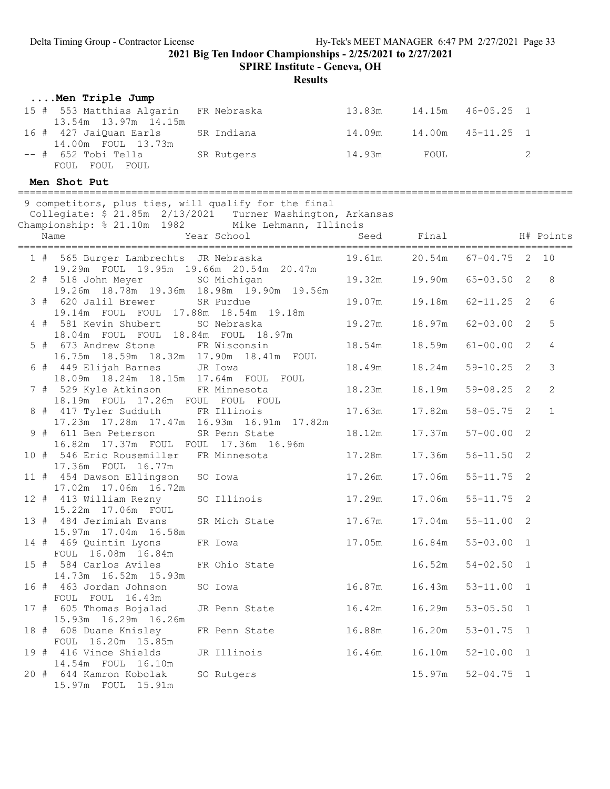SPIRE Institute - Geneva, OH

|  | Men Triple Jump                                                                   |             |               |                                 |        |                |                |                |
|--|-----------------------------------------------------------------------------------|-------------|---------------|---------------------------------|--------|----------------|----------------|----------------|
|  | 15 # 553 Matthias Algarin<br>13.54m 13.97m 14.15m                                 | FR Nebraska |               | 13.83m  14.15m  46-05.25  1     |        |                |                |                |
|  | 16 # 427 JaiQuan Earls<br>14.00m FOUL 13.73m                                      | SR Indiana  |               | 14.09m  14.00m  45-11.25  1     |        |                |                |                |
|  | -- # 652 Tobi Tella<br>FOUL FOUL FOUL                                             | SR Rutgers  |               | 14.93m                          | FOUL   |                | 2              |                |
|  | Men Shot Put                                                                      |             |               |                                 |        |                |                |                |
|  | 9 competitors, plus ties, will qualify for the final                              |             |               |                                 |        |                |                |                |
|  | Collegiate: \$ 21.85m  2/13/2021  Turner Washington, Arkansas                     |             |               |                                 |        |                |                |                |
|  | Championship: % 21.10m 1982 Mike Lehmann, Illinois                                |             |               |                                 |        |                |                |                |
|  | Name                                                                              |             | Year School   | Seed                            | Final  |                |                | H# Points      |
|  | 1 # 565 Burger Lambrechts JR Nebraska<br>19.29m FOUL 19.95m 19.66m 20.54m 20.47m  |             |               | 19.61m  20.54m  67-04.75  2  10 |        |                |                |                |
|  | 2 # 518 John Meyer<br>19.26m 18.78m 19.36m 18.98m 19.90m 19.56m                   | SO Michigan |               | 19.32m 19.90m                   |        | $65 - 03.50$ 2 |                | 8              |
|  | 3 # 620 Jalil Brewer<br>19.14m FOUL FOUL 17.88m 18.54m 19.18m                     | SR Purdue   |               | 19.07m   19.18m                 |        | $62 - 11.25$ 2 |                | 6              |
|  | 4 # 581 Kevin Shubert SO Nebraska<br>18.04m FOUL FOUL 18.84m FOUL 18.97m          |             |               | 19.27m                          | 18.97m | $62 - 03.00$ 2 |                | 5              |
|  | 5 # 673 Andrew Stone FR Wisconsin<br>16.75m  18.59m  18.32m  17.90m  18.41m  FOUL |             |               | 18.54m                          | 18.59m | $61 - 00.00$ 2 |                | 4              |
|  | 6 # 449 Elijah Barnes<br>18.09m  18.24m  18.15m  17.64m  FOUL  FOUL               | JR Iowa     |               | 18.49m                          | 18.24m | $59 - 10.25$ 2 |                | 3              |
|  | 7 # 529 Kyle Atkinson FR Minnesota<br>18.19m FOUL 17.26m FOUL FOUL FOUL           |             |               | 18.23m                          | 18.19m | $59 - 08.25$ 2 |                | $\overline{c}$ |
|  | 8 # 417 Tyler Sudduth<br>17.23m  17.28m  17.47m  16.93m  16.91m  17.82m           | FR Illinois |               | 17.63m                          | 17.82m | $58 - 05.75$ 2 |                | $\mathbf{1}$   |
|  | 9 # 611 Ben Peterson<br>16.82m  17.37m  FOUL  FOUL  17.36m  16.96m                |             | SR Penn State | 18.12m                          | 17.37m | $57 - 00.00$ 2 |                |                |
|  | 10 # 546 Eric Rousemiller FR Minnesota<br>17.36m FOUL 16.77m                      |             |               | 17.28m                          | 17.36m | $56 - 11.50$ 2 |                |                |
|  | 11 # 454 Dawson Ellingson<br>17.02m  17.06m  16.72m                               | SO Iowa     |               | 17.26m                          | 17.06m | $55 - 11.75$ 2 |                |                |
|  | 12 # 413 William Rezny<br>15.22m  17.06m  FOUL                                    |             | SO Illinois   | 17.29m                          | 17.06m | $55 - 11.75$ 2 |                |                |
|  | 13 # 484 Jerimiah Evans<br>15.97m 17.04m 16.58m                                   |             | SR Mich State | 17.67m                          | 17.04m | $55 - 11.00$   | $\overline{2}$ |                |
|  | 14 # 469 Quintin Lyons<br>FOUL 16.08m 16.84m                                      | FR Iowa     |               | 17.05m                          | 16.84m | $55 - 03.00$ 1 |                |                |
|  | 15 # 584 Carlos Aviles<br>14.73m  16.52m  15.93m                                  |             | FR Ohio State |                                 | 16.52m | $54 - 02.50$ 1 |                |                |
|  | 16 # 463 Jordan Johnson<br>FOUL FOUL 16.43m                                       | SO Iowa     |               | 16.87m                          | 16.43m | $53 - 11.00$ 1 |                |                |
|  | 17 # 605 Thomas Bojalad<br>15.93m  16.29m  16.26m                                 |             | JR Penn State | 16.42m                          | 16.29m | $53 - 05.50$ 1 |                |                |
|  | 18 # 608 Duane Knisley<br>FOUL 16.20m 15.85m                                      |             | FR Penn State | 16.88m                          | 16.20m | $53 - 01.75$ 1 |                |                |
|  | 19 # 416 Vince Shields<br>14.54m FOUL 16.10m                                      |             | JR Illinois   | 16.46m                          | 16.10m | $52 - 10.00$ 1 |                |                |
|  | 20 # 644 Kamron Kobolak<br>15.97m FOUL 15.91m                                     | SO Rutgers  |               |                                 | 15.97m | $52 - 04.75$ 1 |                |                |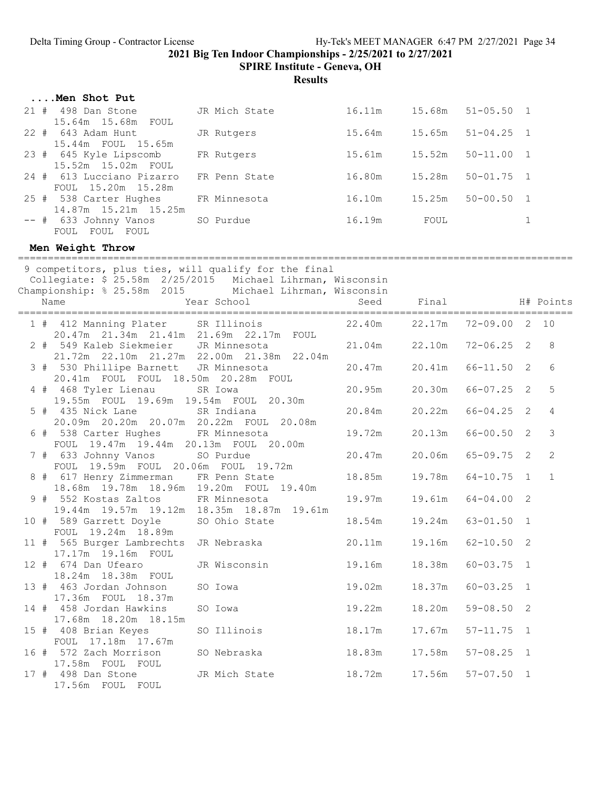SPIRE Institute - Geneva, OH

Results

| Men Shot Put                                    |               |        |        |                |                |
|-------------------------------------------------|---------------|--------|--------|----------------|----------------|
| 21#<br>498 Dan Stone<br>15.64m 15.68m FOUL      | JR Mich State | 16.11m | 15.68m | $51 - 05.50$ 1 |                |
| 22 # 643 Adam Hunt<br>15.44m FOUL 15.65m        | JR Rutgers    | 15.64m | 15.65m | $51 - 04.25$   | $\overline{1}$ |
| 23 # 645 Kyle Lipscomb<br>15.52m 15.02m FOUL    | FR Rutgers    | 15.61m | 15.52m | $50 - 11.00$   | $\overline{1}$ |
| 24 # 613 Lucciano Pizarro<br>FOUL 15.20m 15.28m | FR Penn State | 16.80m | 15.28m | $50 - 01.75$ 1 |                |
| 25 # 538 Carter Hughes<br>14.87m 15.21m 15.25m  | FR Minnesota  | 16.10m | 15.25m | $50 - 00.50$   | $\overline{1}$ |
| $--$ # 633 Johnny Vanos<br>FOUL FOUL<br>FOUL    | SO Purdue     | 16.19m | FOUL   |                |                |

#### Men Weight Throw

============================================================================================= 9 competitors, plus ties, will qualify for the final Collegiate: \$ 25.58m 2/25/2015 Michael Lihrman, Wisconsin Championship: % 25.58m 2015 Michael Lihrman, Wisconsin Name The Year School Contract Seed Final H# Points ============================================================================================= 1 # 412 Manning Plater SR Illinois 20.47m 21.34m 21.41m 21.69m 22.17m FOUL 2 # 549 Kaleb Siekmeier JR Minnesota 21.04m 22.10m 72-06.25 2 8 21.72m 22.10m 21.27m 22.00m 21.38m 22.04m 3 # 530 Phillipe Barnett JR Minnesota 20.47m 20.41m 66-11.50 2 6 20.41m FOUL FOUL 18.50m 20.28m FOUL 4 # 468 Tyler Lienau SR Iowa 20.95m 20.30m 66-07.25 2 5 19.55m FOUL 19.69m 19.54m FOUL 20.30m 5 # 435 Nick Lane SR Indiana 20.84m 20.22m 66-04.25 2 4 20.09m 20.20m 20.07m 20.22m FOUL 20.08m 6 # 538 Carter Hughes FR Minnesota 19.72m 20.13m 66-00.50 2 3 FOUL 19.47m 19.44m 20.13m FOUL 20.00m 20.47m 20.06m 65-09.75 2 2 FOUL 19.59m FOUL 20.06m FOUL 19.72m 8 # 617 Henry Zimmerman FR Penn State 18.85m 19.78m 64-10.75 1 1 18.68m 19.78m 18.96m 19.20m FOUL 19.40m 9 # 552 Kostas Zaltos FR Minnesota 19.97m 19.61m 64-04.00 2 19.44m 19.57m 19.12m 18.35m 18.87m 19.61m 10 # 589 Garrett Doyle SO Ohio State 18.54m 19.24m 63-01.50 1 FOUL 19.24m 18.89m 11 # 565 Burger Lambrechts JR Nebraska 20.11m 19.16m 62-10.50 2 17.17m 19.16m FOUL 12 # 674 Dan Ufearo JR Wisconsin 19.16m 18.38m 60-03.75 1 18.24m 18.38m FOUL 13 # 463 Jordan Johnson SO Iowa 19.02m 18.37m 60-03.25 1 17.36m FOUL 18.37m 14 # 458 Jordan Hawkins SO Iowa 19.22m 18.20m 59-08.50 2 17.68m 18.20m 18.15m 15 # 408 Brian Keyes SO Illinois 18.17m 17.67m 57-11.75 1 FOUL 17.18m 17.67m 16 # 572 Zach Morrison SO Nebraska 18.83m 17.58m 57-08.25 1 17.58m FOUL FOUL<br>17 # 498 Dan Stone JR Mich State 18.72m 17.56m 57-07.50 1 17.56m FOUL FOUL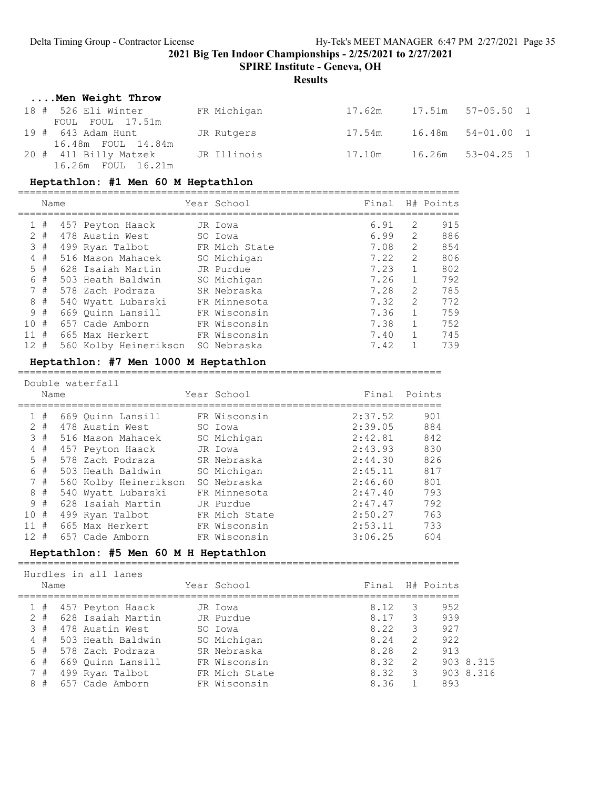SPIRE Institute - Geneva, OH

#### **Results**

### ....Men Weight Throw

| 18 # 526 Eli Winter<br>FOUL FOUL 17.51m                 | FR Michigan | 17.62m | 17.51m 57-05.50 1 |  |
|---------------------------------------------------------|-------------|--------|-------------------|--|
| 19 # 643 Adam Hunt JR Rutgers<br>16.48m FOUL 14.84m     |             | 17.54m | 16.48m 54-01.00 1 |  |
| 20 # 411 Billy Matzek JR Illinois<br>16.26m FOUL 16.21m |             | 17.10m | 16.26m 53-04.25 1 |  |

#### Heptathlon: #1 Men 60 M Heptathlon

==========================================================================

|                 | Name  |                       | Year School   | Final |               | H# Points |
|-----------------|-------|-----------------------|---------------|-------|---------------|-----------|
|                 | #     | 457 Peyton Haack      | JR Iowa       | 6.91  | 2             | 915       |
|                 | $2 +$ | 478 Austin West       | SO Iowa       | 6.99  | 2             | 886       |
|                 | 3#    | 499 Ryan Talbot       | FR Mich State | 7.08  | 2             | 854       |
| 4               | #     | 516 Mason Mahacek     | SO Michigan   | 7.22  | $\mathcal{L}$ | 806       |
| 5               | #     | 628 Isaiah Martin     | JR Purdue     | 7.23  |               | 802       |
| 6               | #     | 503 Heath Baldwin     | SO Michigan   | 7.26  |               | 792       |
|                 | 7#    | 578 Zach Podraza      | SR Nebraska   | 7.28  | $\mathcal{L}$ | 785       |
| 8               | $+$   | 540 Wyatt Lubarski    | FR Minnesota  | 7.32  | $\mathcal{L}$ | 772       |
|                 | 9#    | 669 Ouinn Lansill     | FR Wisconsin  | 7.36  |               | 759       |
| 1 O             | #     | 657 Cade Amborn       | FR Wisconsin  | 7.38  |               | 752       |
| 11              | #     | 665 Max Herkert       | FR Wisconsin  | 7.40  |               | 745       |
| 12 <sup>7</sup> | #     | 560 Kolby Heinerikson | SO Nebraska   | 7.42  |               | 739       |

#### Heptathlon: #7 Men 1000 M Heptathlon

=======================================================================

|                 | Name  | Double waterfall      | Year School   | Final   | Points |
|-----------------|-------|-----------------------|---------------|---------|--------|
| $\mathbf{1}$    | #     | 669 Ouinn Lansill     | FR Wisconsin  | 2:37.52 | 901    |
|                 | $2 +$ | 478 Austin West       | SO Iowa       | 2:39.05 | 884    |
|                 | 3#    | 516 Mason Mahacek     | SO Michigan   | 2:42.81 | 842    |
| 4               | #     | 457 Peyton Haack      | JR Iowa       | 2:43.93 | 830    |
|                 | $5$ # | 578 Zach Podraza      | SR Nebraska   | 2:44.30 | 826    |
| 6               | #     | 503 Heath Baldwin     | SO Michigan   | 2:45.11 | 817    |
|                 | 7#    | 560 Kolby Heinerikson | SO Nebraska   | 2:46.60 | 801    |
| 8               | #     | 540 Wyatt Lubarski    | FR Minnesota  | 2:47.40 | 793    |
|                 | 9#    | 628 Isaiah Martin     | JR Purdue     | 2:47.47 | 792    |
| 10#             |       | 499 Ryan Talbot       | FR Mich State | 2:50.27 | 763    |
| 11#             |       | 665 Max Herkert       | FR Wisconsin  | 2:53.11 | 733    |
| 12 <sup>7</sup> | #     | 657 Cade Amborn       | FR Wisconsin  | 3:06.25 | 604    |

### Heptathlon: #5 Men 60 M H Heptathlon

==========================================================================

| Name  | Hurdles in all lanes | Year School   | Final |               | H# Points |           |
|-------|----------------------|---------------|-------|---------------|-----------|-----------|
|       |                      |               |       |               |           |           |
| 1#    | 457 Peyton Haack     | JR Iowa       | 8.12  | З             | 952       |           |
| $2 +$ | 628 Isaiah Martin    | JR Purdue     | 8.17  | 3             | 939       |           |
| 3#    | 478 Austin West      | SO Iowa       | 8.22  | 3             | 927       |           |
| 4#    | 503 Heath Baldwin    | SO Michigan   | 8.24  | 2             | 922       |           |
| 5#    | 578 Zach Podraza     | SR Nebraska   | 8.28  | $\mathcal{L}$ | 913       |           |
| 6#    | 669 Ouinn Lansill    | FR Wisconsin  | 8.32  | 2             |           | 903 8.315 |
| 7#    | 499 Ryan Talbot      | FR Mich State | 8.32  | 3             |           | 903 8.316 |
| 8#    | 657 Cade Amborn      | FR Wisconsin  | 8.36  |               | 893       |           |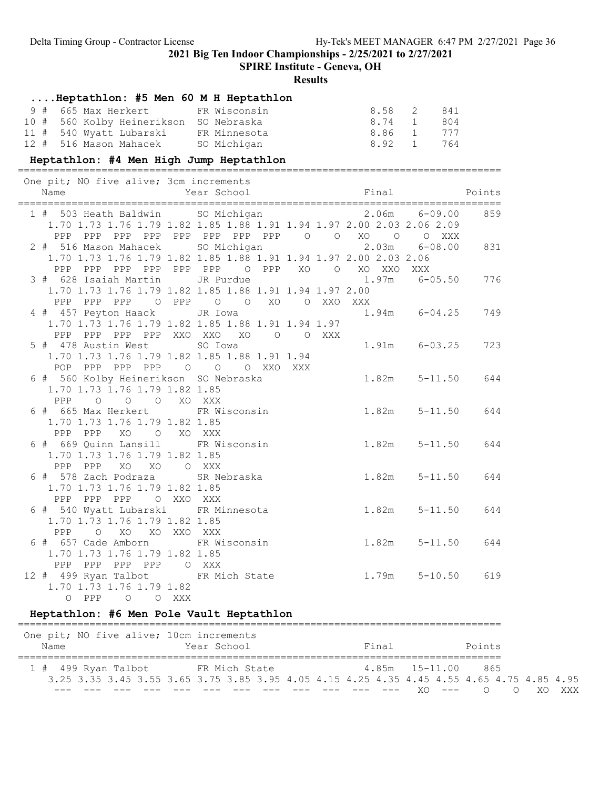SPIRE Institute - Geneva, OH

#### Results

### ....Heptathlon: #5 Men 60 M H Heptathlon

| 9 # 665 Max Herkert         FR Wisconsin |             | 8.58 2 841 |  |
|------------------------------------------|-------------|------------|--|
| 10 # 560 Kolby Heinerikson SO Nebraska   |             | 8.74 1 804 |  |
| 11 # 540 Wyatt Lubarski   FR Minnesota   |             | 8.86 1 777 |  |
| 12 # 516 Mason Mahacek                   | SO Michigan | 8.92 1 764 |  |

#### Heptathlon: #4 Men High Jump Heptathlon

================================================================================= One pit; NO five alive; 3cm increments

| $\frac{1}{2}$ is $\frac{1}{2}$ if $\frac{1}{2}$ if $\frac{1}{2}$ if $\frac{1}{2}$ if $\frac{1}{2}$ if $\frac{1}{2}$ if $\frac{1}{2}$ if $\frac{1}{2}$ if $\frac{1}{2}$ if $\frac{1}{2}$ if $\frac{1}{2}$ if $\frac{1}{2}$ if $\frac{1}{2}$ if $\frac{1}{2}$ if $\frac{1}{2}$ if $\frac{1}{2}$ if<br>Name | Final<br>Year School                                             |                   | Points |
|----------------------------------------------------------------------------------------------------------------------------------------------------------------------------------------------------------------------------------------------------------------------------------------------------------|------------------------------------------------------------------|-------------------|--------|
| 1 # 503 Heath Baldwin SO Michigan 60.00 2.06m 6-09.00<br>1.70 1.73 1.76 1.79 1.82 1.85 1.88 1.91 1.94 1.97 2.00 2.03 2.06 2.09                                                                                                                                                                           |                                                                  |                   | 859    |
| PPP PPP PPP PPP PPP PPP PPP PPP 0 0 XO 0 0 XXX                                                                                                                                                                                                                                                           |                                                                  |                   |        |
| 2 # 516 Mason Mahacek SO Michigan 2.03m 6-08.00                                                                                                                                                                                                                                                          |                                                                  |                   | 831    |
|                                                                                                                                                                                                                                                                                                          | 1.70 1.73 1.76 1.79 1.82 1.85 1.88 1.91 1.94 1.97 2.00 2.03 2.06 |                   |        |
|                                                                                                                                                                                                                                                                                                          | PPP PPP PPP PPP PPP PPP O PPP XO O XO XXO                        | XXX               |        |
| 3 # 628 Isaiah Martin JR Purdue                                                                                                                                                                                                                                                                          |                                                                  | $1.97m$ 6-05.50   | 776    |
|                                                                                                                                                                                                                                                                                                          | 1.70 1.73 1.76 1.79 1.82 1.85 1.88 1.91 1.94 1.97 2.00           |                   |        |
|                                                                                                                                                                                                                                                                                                          | PPP PPP PPP 0 PPP 0 0 XO 0 XXO XXX                               |                   |        |
| 4 # 457 Peyton Haack                                                                                                                                                                                                                                                                                     | JR Iowa                                                          | $1.94m$ $6-04.25$ | 749    |
|                                                                                                                                                                                                                                                                                                          | 1.70 1.73 1.76 1.79 1.82 1.85 1.88 1.91 1.94 1.97                |                   |        |
|                                                                                                                                                                                                                                                                                                          | PPP PPP PPP PPP XXO XXO XO O O XXX                               |                   |        |
| 5 # 478 Austin West                                                                                                                                                                                                                                                                                      | SO Iowa                                                          | $1.91m$ $6-03.25$ | 723    |
| 1.70 1.73 1.76 1.79 1.82 1.85 1.88 1.91 1.94                                                                                                                                                                                                                                                             |                                                                  |                   |        |
| POP PPP PPP PPP 0 0 0 XXO XXX                                                                                                                                                                                                                                                                            |                                                                  |                   |        |
| 6 # 560 Kolby Heinerikson SO Nebraska                                                                                                                                                                                                                                                                    |                                                                  | $1.82m$ $5-11.50$ | 644    |
| 1.70 1.73 1.76 1.79 1.82 1.85                                                                                                                                                                                                                                                                            |                                                                  |                   |        |
| PPP 0 0 0 XO XXX                                                                                                                                                                                                                                                                                         |                                                                  |                   |        |
| 6 # 665 Max Herkert FR Wisconsin 1.82m 5-11.50                                                                                                                                                                                                                                                           |                                                                  |                   | 644    |
| 1.70 1.73 1.76 1.79 1.82 1.85                                                                                                                                                                                                                                                                            |                                                                  |                   |        |
| PPP PPP<br>XO O XO XXX                                                                                                                                                                                                                                                                                   |                                                                  |                   |        |
| 6 # 669 Quinn Lansill FR Wisconsin                                                                                                                                                                                                                                                                       |                                                                  | $1.82m$ $5-11.50$ | 644    |
| 1.70 1.73 1.76 1.79 1.82 1.85<br>PPP PPP XO XO OXXX                                                                                                                                                                                                                                                      |                                                                  |                   |        |
| 6 # 578 Zach Podraza SR Nebraska                                                                                                                                                                                                                                                                         |                                                                  | $1.82m$ $5-11.50$ | 644    |
| 1.70 1.73 1.76 1.79 1.82 1.85                                                                                                                                                                                                                                                                            |                                                                  |                   |        |
| PPP PPP PPP O XXO XXX                                                                                                                                                                                                                                                                                    |                                                                  |                   |        |
| 6 # 540 Wyatt Lubarski FR Minnesota                                                                                                                                                                                                                                                                      |                                                                  | $1.82m$ $5-11.50$ | 644    |
| 1.70 1.73 1.76 1.79 1.82 1.85                                                                                                                                                                                                                                                                            |                                                                  |                   |        |
| PPP O XO XO XXO XXX                                                                                                                                                                                                                                                                                      |                                                                  |                   |        |
| 6 # 657 Cade Amborn FR Wisconsin                                                                                                                                                                                                                                                                         |                                                                  | $1.82m$ $5-11.50$ | 644    |
| 1.70 1.73 1.76 1.79 1.82 1.85                                                                                                                                                                                                                                                                            |                                                                  |                   |        |
| PPP PPP PPP PPP O XXX                                                                                                                                                                                                                                                                                    |                                                                  |                   |        |
| 12 # 499 Ryan Talbot FR Mich State 1.79m 5-10.50 619                                                                                                                                                                                                                                                     |                                                                  |                   |        |
| 1.70 1.73 1.76 1.79 1.82                                                                                                                                                                                                                                                                                 |                                                                  |                   |        |
| O O XXX<br>O PPP                                                                                                                                                                                                                                                                                         |                                                                  |                   |        |

#### Heptathlon: #6 Men Pole Vault Heptathlon

================================================================================= One pit; NO five alive; 10cm increments Name Year School Final Points ================================================================================= 1 # 499 Ryan Talbot FR Mich State 4.85m 15-11.00 865 3.25 3.35 3.45 3.55 3.65 3.75 3.85 3.95 4.05 4.15 4.25 4.35 4.45 4.55 4.65 4.75 4.85 4.95 --- --- --- --- --- --- --- --- --- --- --- --- XO --- O O XO XXX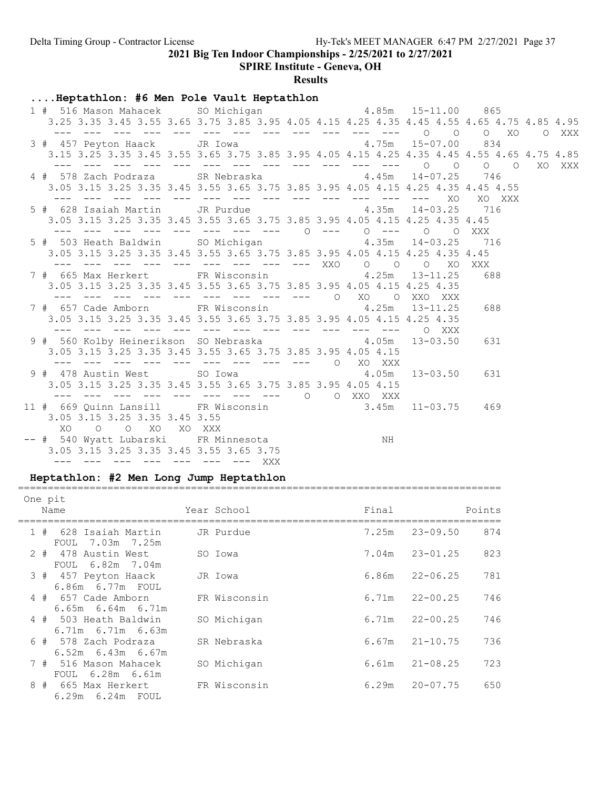SPIRE Institute - Geneva, OH

#### **Results**

### ....Heptathlon: #6 Men Pole Vault Heptathlon

| 1 # 516 Mason Mahacek SO Michigan 4.85m 15-11.00 865<br>3.25 3.35 3.45 3.55 3.65 3.75 3.85 3.95 4.05 4.15 4.25 4.35 4.45 4.55 4.65 4.75 4.85 4.95 |                                                         |    |        |  |
|---------------------------------------------------------------------------------------------------------------------------------------------------|---------------------------------------------------------|----|--------|--|
| 3 # 457 Peyton Haack JR Iowa 4.75m 15-07.00 834<br>3.15 3.25 3.35 3.45 3.55 3.65 3.75 3.85 3.95 4.05 4.15 4.25 4.35 4.45 4.55 4.65 4.75 4.85      |                                                         |    |        |  |
| 4 # 578 Zach Podraza SR Nebraska $4.45$ m 14-07.25 746<br>3.05 3.15 3.25 3.35 3.45 3.55 3.65 3.75 3.85 3.95 4.05 4.15 4.25 4.35 4.45 4.55         |                                                         |    |        |  |
| 5 # 628 Isaiah Martin JR Purdue $4.35m$ 14-03.25 716                                                                                              |                                                         |    | XO XXX |  |
| 3.05 3.15 3.25 3.35 3.45 3.55 3.65 3.75 3.85 3.95 4.05 4.15 4.25 4.35 4.45<br>5 # 503 Heath Baldwin SO Michigan 6 1.35m 14-03.25 716              | --- --- --- --- --- --- --- --- --- 0 --- 0 --- 0 0 XXX |    |        |  |
| 3.05 3.15 3.25 3.35 3.45 3.55 3.65 3.75 3.85 3.95 4.05 4.15 4.25 4.35 4.45                                                                        | --- --- --- --- --- --- --- --- XXO 0 0 0 XO            |    | XXX    |  |
| 7 # 665 Max Herkert FR Wisconsin 4.25m 13-11.25<br>3.05 3.15 3.25 3.35 3.45 3.55 3.65 3.75 3.85 3.95 4.05 4.15 4.25 4.35                          |                                                         |    | 688    |  |
| 7 # 657 Cade Amborn FR Wisconsin 4.25m 13-11.25<br>3.05 3.15 3.25 3.35 3.45 3.55 3.65 3.75 3.85 3.95 4.05 4.15 4.25 4.35                          |                                                         |    | 688    |  |
| 9 # 560 Kolby Heinerikson SO Nebraska $4.05m$ 13-03.50<br>3.05 3.15 3.25 3.35 3.45 3.55 3.65 3.75 3.85 3.95 4.05 4.15                             |                                                         |    | 631    |  |
| 9 # 478 Austin West SO Iowa 4.05m 13-03.50 631                                                                                                    | --- --- --- --- --- --- --- --- --- 0 XO XXX            |    |        |  |
| 3.05 3.15 3.25 3.35 3.45 3.55 3.65 3.75 3.85 3.95 4.05 4.15                                                                                       |                                                         |    |        |  |
| 11 # 669 Quinn Lansill FR Wisconsin 3.45m 11-03.75 469<br>3.05 3.15 3.25 3.35 3.45 3.55<br>XO O O XO XO XXX                                       |                                                         |    |        |  |
| -- # 540 Wyatt Lubarski FR Minnesota<br>3.05 3.15 3.25 3.35 3.45 3.55 3.65 3.75<br>--- --- --- --- --- --- --- --- XXX                            |                                                         | NH |        |  |

#### Heptathlon: #2 Men Long Jump Heptathlon =================================================================================

## One pit Name Year School Final Points =================================================================================  $1 + 620$  Isaiah Martin  $\overline{1}$  Purdue

|       | -020 ISAIAN MATUIN<br>7.03m 7.25m<br>FOUL        | JK Furaue    | $1.25$ iil | 23-09.JU     | O / 4 |
|-------|--------------------------------------------------|--------------|------------|--------------|-------|
| $2 +$ | 478 Austin West                                  | SO Iowa      | 7.04m      | $23 - 01.25$ | 823   |
|       | FOUL 6.82m 7.04m<br>3 # 457 Peyton Haack         | JR Iowa      | 6.86m      | $22 - 06.25$ | 781   |
|       | 6.86m 6.77m FOUL<br>4 # 657 Cade Amborn          | FR Wisconsin | 6.71m      | $22 - 00.25$ | 746   |
|       | $6.65m$ $6.64m$ $6.71m$<br>4 # 503 Heath Baldwin | SO Michigan  | 6.71m      | $22 - 00.25$ | 746   |
|       | $6.71m$ $6.71m$ $6.63m$<br>6 # 578 Zach Podraza  | SR Nebraska  | 6.67m      | $21 - 10.75$ | 736   |
| 7#    | $6.52m$ $6.43m$ $6.67m$<br>516 Mason Mahacek     | SO Michigan  | 6.61m      | $21 - 08.25$ | 723   |
|       | FOUL 6.28m 6.61m                                 |              |            |              |       |
| 8#    | 665 Max Herkert<br>6.29m  6.24m  FOUL            | FR Wisconsin | 6.29m      | $20 - 07.75$ | 650   |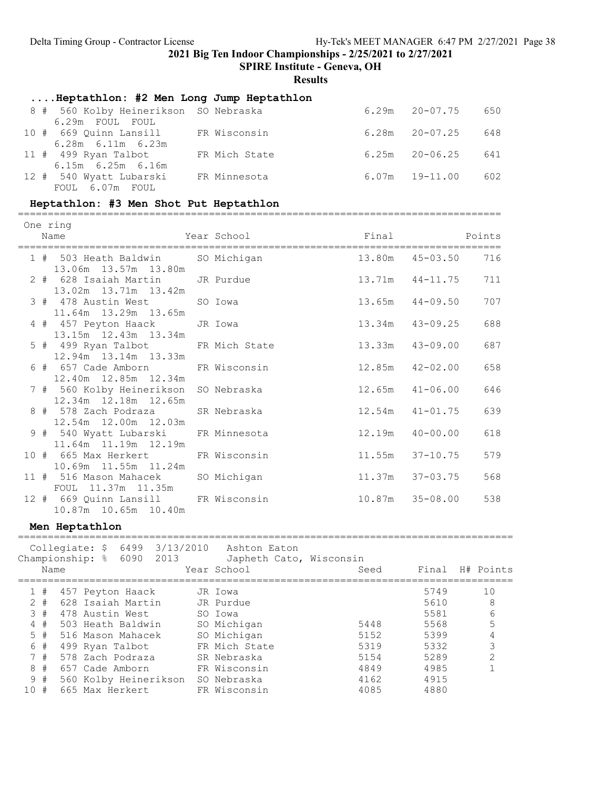SPIRE Institute - Geneva, OH

Results

| Heptathlon: #2 Men Long Jump Heptathlon   |               |                    |     |
|-------------------------------------------|---------------|--------------------|-----|
| 8 # 560 Kolby Heinerikson SO Nebraska     |               | $6.29m$ $20-07.75$ | 650 |
| 6.29m FOUL FOUL<br>10 # 669 Ouinn Lansill | FR Wisconsin  | $6.28m$ $20-07.25$ | 648 |
| $6.28m$ $6.11m$ $6.23m$                   |               |                    |     |
| 11 # 499 Ryan Talbot                      | FR Mich State | $6.25m$ $20-06.25$ | 641 |
| $6.15m$ $6.25m$ $6.16m$                   |               |                    |     |
| 12 # 540 Wyatt Lubarski                   | FR Minnesota  | $6.07m$ $19-11.00$ | 602 |
| FOUL 6.07m FOUL                           |               |                    |     |

### Heptathlon: #3 Men Shot Put Heptathlon

=================================================================================

| One ring | Name                                                          | Year School is a series of the series of the series of the series of the series of the series of the series of |        |                     |     |
|----------|---------------------------------------------------------------|----------------------------------------------------------------------------------------------------------------|--------|---------------------|-----|
|          | 1 # 503 Heath Baldwin SO Michigan<br>13.06m  13.57m  13.80m   |                                                                                                                |        | 13.80m  45-03.50    | 716 |
|          | 2 # 628 Isaiah Martin JR Purdue<br>13.02m  13.71m  13.42m     |                                                                                                                |        | $13.71m$ $44-11.75$ | 711 |
|          | 3 # 478 Austin West<br>11.64m 13.29m 13.65m                   | SO Iowa                                                                                                        |        | $13.65m$ $44-09.50$ | 707 |
|          | 4 # 457 Peyton Haack<br>13.15m  12.43m  13.34m                | JR Iowa                                                                                                        | 13.34m | 43-09.25            | 688 |
|          | 5 # 499 Ryan Talbot FR Mich State<br>12.94m 13.14m 13.33m     |                                                                                                                | 13.33m | 43-09.00            | 687 |
|          | 6 # 657 Cade Amborn FR Wisconsin<br>12.40m  12.85m  12.34m    |                                                                                                                | 12.85m | 42-02.00            | 658 |
|          | 7 # 560 Kolby Heinerikson SO Nebraska<br>12.34m 12.18m 12.65m |                                                                                                                |        | $12.65m$ $41-06.00$ | 646 |
|          | 8 # 578 Zach Podraza SR Nebraska<br>12.54m  12.00m  12.03m    |                                                                                                                |        | $12.54m$ $41-01.75$ | 639 |
|          | 9 # 540 Wyatt Lubarski FR Minnesota<br>11.64m 11.19m 12.19m   |                                                                                                                | 12.19m | 40-00.00            | 618 |
|          | 10 # 665 Max Herkert FR Wisconsin<br>10.69m 11.55m 11.24m     |                                                                                                                | 11.55m | 37-10.75            | 579 |
|          | 11 # 516 Mason Mahacek<br>FOUL 11.37m 11.35m                  | SO Michigan                                                                                                    |        | $11.37m$ $37-03.75$ | 568 |
|          | 12 # 669 Quinn Lansill FR Wisconsin<br>10.87m  10.65m  10.40m |                                                                                                                |        | 10.87m 35-08.00     | 538 |
|          | Men Heptathlon                                                |                                                                                                                |        |                     |     |

|     | Name   |  | Championship: % 6090  | 2013 | Collegiate: $$64993/13/2010$ Ashton Eaton<br>Japheth Cato, Wisconsin<br>Year School | Seed | Final | H# Points |
|-----|--------|--|-----------------------|------|-------------------------------------------------------------------------------------|------|-------|-----------|
|     | 1#     |  | 457 Peyton Haack      |      | JR Iowa                                                                             |      | 5749  | 10        |
|     | $2 +$  |  | 628 Isaiah Martin     |      | JR Purdue                                                                           |      | 5610  | 8         |
|     | $3 \#$ |  | 478 Austin West       |      | SO Iowa                                                                             |      | 5581  | 6         |
| 4   | #      |  | 503 Heath Baldwin     |      | SO Michigan                                                                         | 5448 | 5568  | 5         |
|     | $5 +$  |  | 516 Mason Mahacek     |      | SO Michigan                                                                         | 5152 | 5399  |           |
|     | 6#     |  | 499 Ryan Talbot       |      | FR Mich State                                                                       | 5319 | 5332  | ς         |
|     | 7#     |  | 578 Zach Podraza      |      | SR Nebraska                                                                         | 5154 | 5289  |           |
| 8   | #      |  | 657 Cade Amborn       |      | FR Wisconsin                                                                        | 4849 | 4985  |           |
|     | 9#     |  | 560 Kolby Heinerikson |      | SO Nebraska                                                                         | 4162 | 4915  |           |
| 10# |        |  | 665 Max Herkert       |      | FR Wisconsin                                                                        | 4085 | 4880  |           |
|     |        |  |                       |      |                                                                                     |      |       |           |